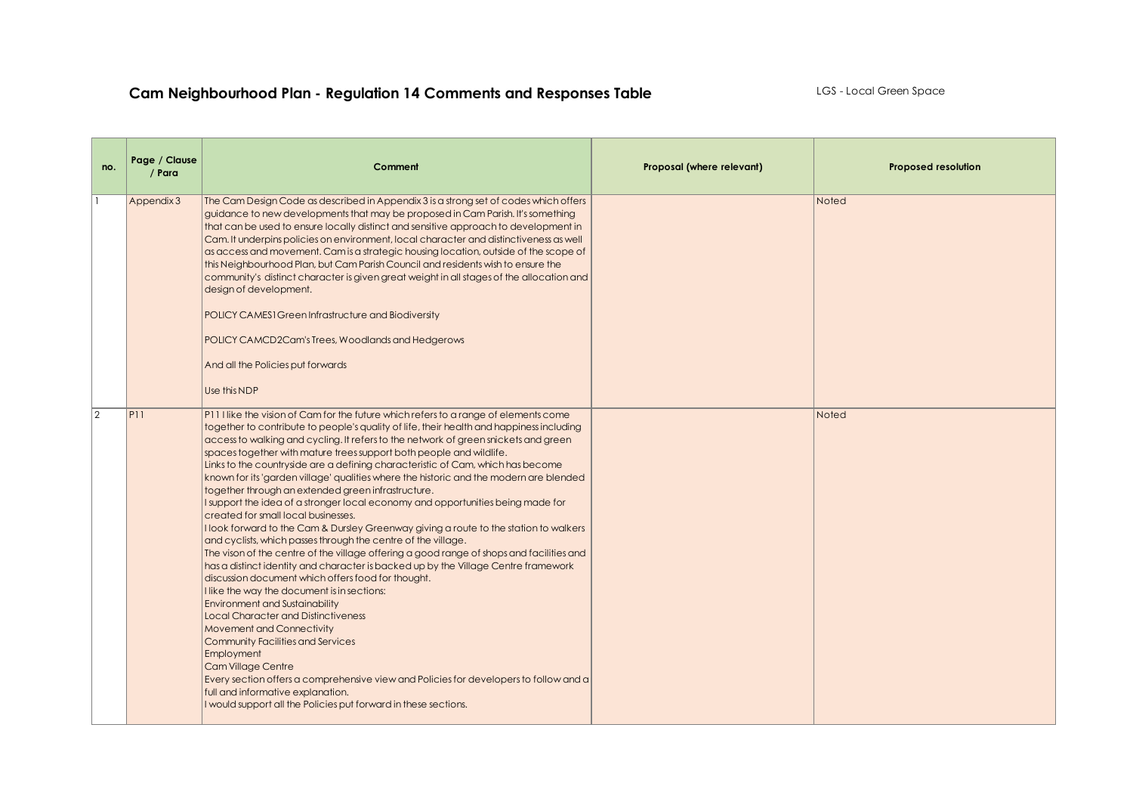## Cam Neighbourhood Plan - Regulation 14 Comments and Responses Table **LGS - Local Green Space**

| no.            | Page / Clause<br>/ Para | Comment                                                                                                                                                                                                                                                                                                                                                                                                                                                                                                                                                                                                                                                                                                                                                                                                                                                                                                                                                                                                                                                                                                                                                                                                                                                                                                                                                                                                                                                                                                                                                                | Proposal (where relevant) | <b>Proposed resolution</b> |
|----------------|-------------------------|------------------------------------------------------------------------------------------------------------------------------------------------------------------------------------------------------------------------------------------------------------------------------------------------------------------------------------------------------------------------------------------------------------------------------------------------------------------------------------------------------------------------------------------------------------------------------------------------------------------------------------------------------------------------------------------------------------------------------------------------------------------------------------------------------------------------------------------------------------------------------------------------------------------------------------------------------------------------------------------------------------------------------------------------------------------------------------------------------------------------------------------------------------------------------------------------------------------------------------------------------------------------------------------------------------------------------------------------------------------------------------------------------------------------------------------------------------------------------------------------------------------------------------------------------------------------|---------------------------|----------------------------|
|                | Appendix 3              | The Cam Design Code as described in Appendix 3 is a strong set of codes which offers<br>guidance to new developments that may be proposed in Cam Parish. It's something<br>that can be used to ensure locally distinct and sensitive approach to development in<br>Cam. It underpins policies on environment, local character and distinctiveness as well<br>as access and movement. Cam is a strategic housing location, outside of the scope of<br>this Neighbourhood Plan, but Cam Parish Council and residents wish to ensure the<br>community's distinct character is given great weight in all stages of the allocation and<br>design of development.<br>POLICY CAMES1 Green Infrastructure and Biodiversity<br>POLICY CAMCD2Cam's Trees, Woodlands and Hedgerows<br>And all the Policies put forwards<br>Use this NDP                                                                                                                                                                                                                                                                                                                                                                                                                                                                                                                                                                                                                                                                                                                                           |                           | Noted                      |
| $\overline{2}$ | P11                     | P11 I like the vision of Cam for the future which refers to a range of elements come<br>together to contribute to people's quality of life, their health and happiness including<br>access to walking and cycling. It refers to the network of green snickets and green<br>spaces together with mature trees support both people and wildlife.<br>Links to the countryside are a defining characteristic of Cam, which has become<br>known for its 'garden village' qualities where the historic and the modern are blended<br>together through an extended green infrastructure.<br>I support the idea of a stronger local economy and opportunities being made for<br>created for small local businesses.<br>Hook forward to the Cam & Dursley Greenway giving a route to the station to walkers<br>and cyclists, which passes through the centre of the village.<br>The vison of the centre of the village offering a good range of shops and facilities and<br>has a distinct identity and character is backed up by the Village Centre framework<br>discussion document which offers food for thought.<br>I like the way the document is in sections:<br><b>Environment and Sustainability</b><br><b>Local Character and Distinctiveness</b><br><b>Movement and Connectivity</b><br>Community Facilities and Services<br>Employment<br><b>Cam Village Centre</b><br>Every section offers a comprehensive view and Policies for developers to follow and a<br>full and informative explanation.<br>I would support all the Policies put forward in these sections. |                           | Noted                      |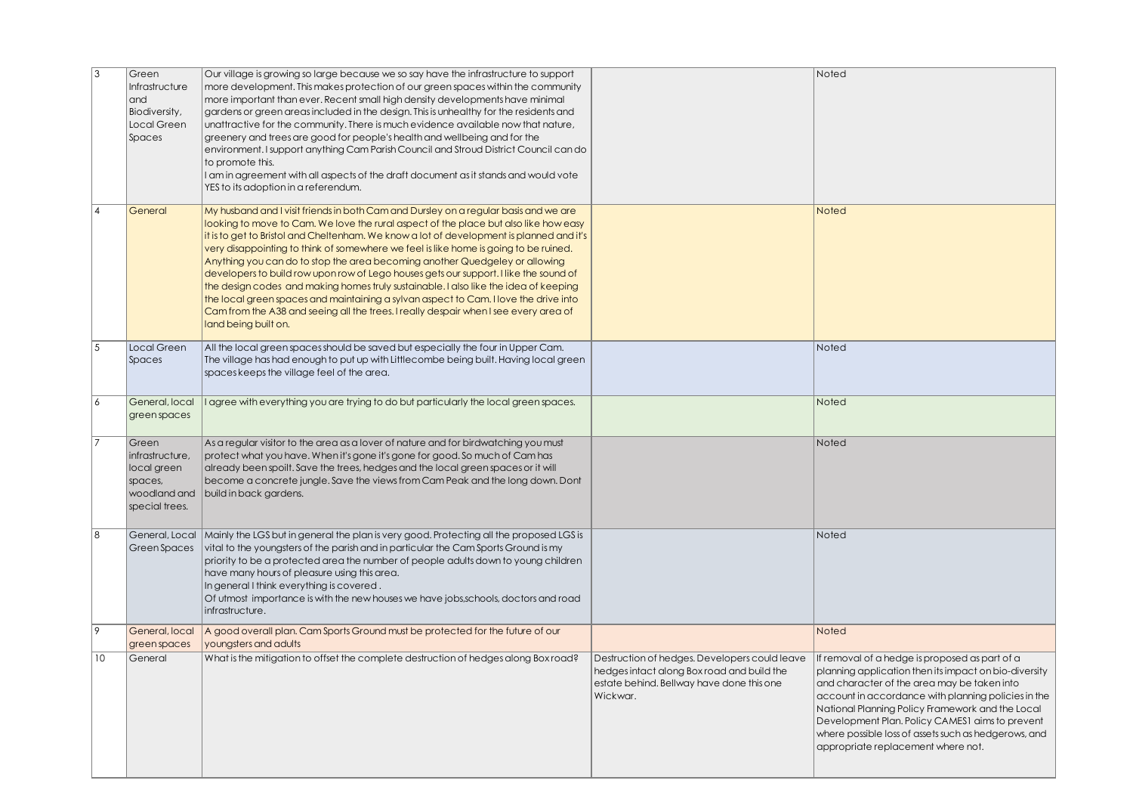| $\overline{3}$ | Green<br>Infrastructure<br>and<br>Biodiversity,<br>Local Green<br>Spaces             | Our village is growing so large because we so say have the infrastructure to support<br>more development. This makes protection of our green spaces within the community<br>more important than ever. Recent small high density developments have minimal<br>gardens or green areas included in the design. This is unhealthy for the residents and<br>unattractive for the community. There is much evidence available now that nature,<br>greenery and trees are good for people's health and wellbeing and for the<br>environment. I support anything Cam Parish Council and Stroud District Council can do<br>to promote this.<br>I am in agreement with all aspects of the draft document as it stands and would vote<br>YES to its adoption in a referendum.                                                                       |                                                                                                                                                                                                     | Noted                                                                                                                                                                                                                                                                                                                                                            |
|----------------|--------------------------------------------------------------------------------------|------------------------------------------------------------------------------------------------------------------------------------------------------------------------------------------------------------------------------------------------------------------------------------------------------------------------------------------------------------------------------------------------------------------------------------------------------------------------------------------------------------------------------------------------------------------------------------------------------------------------------------------------------------------------------------------------------------------------------------------------------------------------------------------------------------------------------------------|-----------------------------------------------------------------------------------------------------------------------------------------------------------------------------------------------------|------------------------------------------------------------------------------------------------------------------------------------------------------------------------------------------------------------------------------------------------------------------------------------------------------------------------------------------------------------------|
| 14             | General                                                                              | My husband and I visit friends in both Cam and Dursley on a regular basis and we are<br>looking to move to Cam. We love the rural aspect of the place but also like how easy<br>it is to get to Bristol and Cheltenham. We know a lot of development is planned and it's<br>very disappointing to think of somewhere we feel is like home is going to be ruined.<br>Anything you can do to stop the area becoming another Quedgeley or allowing<br>developers to build row upon row of Lego houses gets our support. I like the sound of<br>the design codes and making homes truly sustainable. I also like the idea of keeping<br>the local green spaces and maintaining a sylvan aspect to Cam. I love the drive into<br>Cam from the A38 and seeing all the trees. I really despair when I see every area of<br>land being built on. |                                                                                                                                                                                                     | Noted                                                                                                                                                                                                                                                                                                                                                            |
| 5              | Local Green<br>Spaces                                                                | All the local green spaces should be saved but especially the four in Upper Cam.<br>The village has had enough to put up with Littlecombe being built. Having local green<br>spaces keeps the village feel of the area.                                                                                                                                                                                                                                                                                                                                                                                                                                                                                                                                                                                                                  |                                                                                                                                                                                                     | Noted                                                                                                                                                                                                                                                                                                                                                            |
| 6              | General, local<br>green spaces                                                       | I agree with everything you are trying to do but particularly the local green spaces.                                                                                                                                                                                                                                                                                                                                                                                                                                                                                                                                                                                                                                                                                                                                                    |                                                                                                                                                                                                     | Noted                                                                                                                                                                                                                                                                                                                                                            |
|                | Green<br>infrastructure,<br>local green<br>spaces,<br>woodland and<br>special trees. | As a regular visitor to the area as a lover of nature and for birdwatching you must<br>protect what you have. When it's gone it's gone for good. So much of Cam has<br>already been spoilt. Save the trees, hedges and the local green spaces or it will<br>become a concrete jungle. Save the views from Cam Peak and the long down. Dont<br>build in back gardens.                                                                                                                                                                                                                                                                                                                                                                                                                                                                     |                                                                                                                                                                                                     | Noted                                                                                                                                                                                                                                                                                                                                                            |
| 8              | General, Local<br>Green Spaces                                                       | Mainly the LGS but in general the plan is very good. Protecting all the proposed LGS is<br>vital to the youngsters of the parish and in particular the Cam Sports Ground is my<br>priority to be a protected area the number of people adults down to young children<br>have many hours of pleasure using this area.<br>In general I think everything is covered.<br>Of utmost importance is with the new houses we have jobs, schools, doctors and road<br>infrastructure.                                                                                                                                                                                                                                                                                                                                                              |                                                                                                                                                                                                     | Noted                                                                                                                                                                                                                                                                                                                                                            |
| 19             | General, local<br>green spaces                                                       | A good overall plan. Cam Sports Ground must be protected for the future of our<br>youngsters and adults                                                                                                                                                                                                                                                                                                                                                                                                                                                                                                                                                                                                                                                                                                                                  |                                                                                                                                                                                                     | Noted                                                                                                                                                                                                                                                                                                                                                            |
| 10             | General                                                                              | What is the mitigation to offset the complete destruction of hedges along Boxroad?                                                                                                                                                                                                                                                                                                                                                                                                                                                                                                                                                                                                                                                                                                                                                       | Destruction of hedges. Developers could leave If removal of a hedge is proposed as part of a<br>hedges intact along Box road and build the<br>estate behind. Bellway have done this one<br>Wickwar. | planning application then its impact on bio-diversity<br>and character of the area may be taken into<br>account in accordance with planning policies in the<br>National Planning Policy Framework and the Local<br>Development Plan. Policy CAMES1 aims to prevent<br>where possible loss of assets such as hedgerows, and<br>appropriate replacement where not. |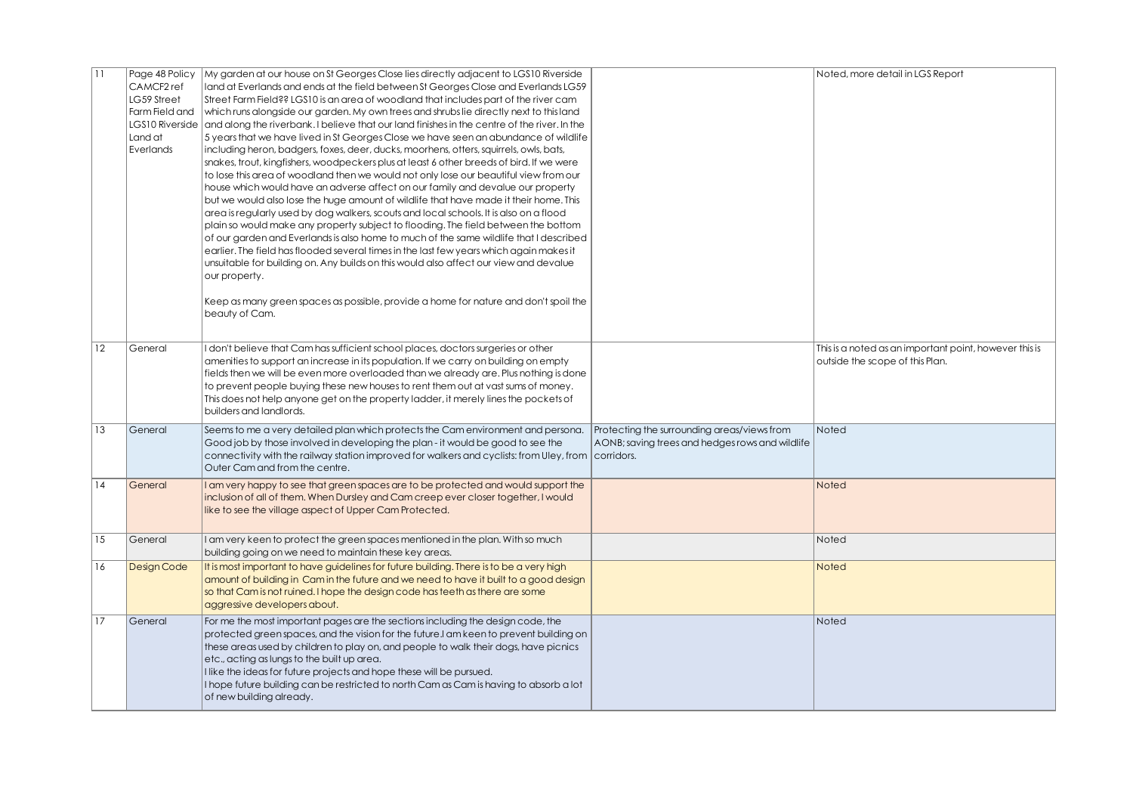| 11              | Page 48 Policy  | My garden at our house on St Georges Close lies directly adjacent to LGS10 Riverside                            |                                                 | Noted, more detail in LGS Report                       |
|-----------------|-----------------|-----------------------------------------------------------------------------------------------------------------|-------------------------------------------------|--------------------------------------------------------|
|                 | CAMCF2 ref      | land at Everlands and ends at the field between St Georges Close and Everlands LG59                             |                                                 |                                                        |
|                 | LG59 Street     | Street Farm Field?? LGS10 is an area of woodland that includes part of the river cam                            |                                                 |                                                        |
|                 | Farm Field and  | which runs alongside our garden. My own trees and shrubs lie directly next to this land                         |                                                 |                                                        |
|                 | LGS10 Riverside | and along the riverbank. I believe that our land finishes in the centre of the river. In the                    |                                                 |                                                        |
|                 | Land at         | 5 years that we have lived in St Georges Close we have seen an abundance of wildlife                            |                                                 |                                                        |
|                 | Everlands       | including heron, badgers, foxes, deer, ducks, moorhens, otters, squirrels, owls, bats,                          |                                                 |                                                        |
|                 |                 | snakes, trout, kingfishers, woodpeckers plus at least 6 other breeds of bird. If we were                        |                                                 |                                                        |
|                 |                 | to lose this area of woodland then we would not only lose our beautiful view from our                           |                                                 |                                                        |
|                 |                 | house which would have an adverse affect on our family and devalue our property                                 |                                                 |                                                        |
|                 |                 | but we would also lose the huge amount of wildlife that have made it their home. This                           |                                                 |                                                        |
|                 |                 | area is regularly used by dog walkers, scouts and local schools. It is also on a flood                          |                                                 |                                                        |
|                 |                 | plain so would make any property subject to flooding. The field between the bottom                              |                                                 |                                                        |
|                 |                 | of our garden and Everlands is also home to much of the same wildlife that I described                          |                                                 |                                                        |
|                 |                 | earlier. The field has flooded several times in the last few years which again makes it                         |                                                 |                                                        |
|                 |                 | unsuitable for building on. Any builds on this would also affect our view and devalue                           |                                                 |                                                        |
|                 |                 | our property.                                                                                                   |                                                 |                                                        |
|                 |                 |                                                                                                                 |                                                 |                                                        |
|                 |                 | Keep as many green spaces as possible, provide a home for nature and don't spoil the                            |                                                 |                                                        |
|                 |                 | beauty of Cam.                                                                                                  |                                                 |                                                        |
|                 |                 |                                                                                                                 |                                                 |                                                        |
| 12              |                 |                                                                                                                 |                                                 |                                                        |
|                 | General         | I don't believe that Cam has sufficient school places, doctors surgeries or other                               |                                                 | This is a noted as an important point, however this is |
|                 |                 | amenities to support an increase in its population. If we carry on building on empty                            |                                                 | outside the scope of this Plan.                        |
|                 |                 | fields then we will be even more overloaded than we already are. Plus nothing is done                           |                                                 |                                                        |
|                 |                 | to prevent people buying these new houses to rent them out at vast sums of money.                               |                                                 |                                                        |
|                 |                 | This does not help anyone get on the property ladder, it merely lines the pockets of<br>builders and landlords. |                                                 |                                                        |
|                 |                 |                                                                                                                 |                                                 |                                                        |
| 13              | General         | Seems to me a very detailed plan which protects the Cam environment and persona.                                | Protecting the surrounding areas/views from     | Noted                                                  |
|                 |                 | Good job by those involved in developing the plan - it would be good to see the                                 | AONB; saving trees and hedges rows and wildlife |                                                        |
|                 |                 | connectivity with the railway station improved for walkers and cyclists: from Uley, from   corridors.           |                                                 |                                                        |
|                 |                 | Outer Cam and from the centre.                                                                                  |                                                 |                                                        |
| 14              | General         | I am very happy to see that green spaces are to be protected and would support the                              |                                                 | Noted                                                  |
|                 |                 | inclusion of all of them. When Dursley and Cam creep ever closer together, I would                              |                                                 |                                                        |
|                 |                 | like to see the village aspect of Upper Cam Protected.                                                          |                                                 |                                                        |
|                 |                 |                                                                                                                 |                                                 |                                                        |
| 15              | General         | I am very keen to protect the green spaces mentioned in the plan. With so much                                  |                                                 | Noted                                                  |
|                 |                 | building going on we need to maintain these key areas.                                                          |                                                 |                                                        |
| 16              | Design Code     | It is most important to have guidelines for future building. There is to be a very high                         |                                                 | Noted                                                  |
|                 |                 | amount of building in Cam in the future and we need to have it built to a good design                           |                                                 |                                                        |
|                 |                 | so that Cam is not ruined. I hope the design code has teeth as there are some                                   |                                                 |                                                        |
|                 |                 | aggressive developers about.                                                                                    |                                                 |                                                        |
| $\overline{17}$ | General         | For me the most important pages are the sections including the design code, the                                 |                                                 | Noted                                                  |
|                 |                 | protected green spaces, and the vision for the future. I am keen to prevent building on                         |                                                 |                                                        |
|                 |                 | these areas used by children to play on, and people to walk their dogs, have picnics                            |                                                 |                                                        |
|                 |                 | etc., acting as lungs to the built up area.                                                                     |                                                 |                                                        |
|                 |                 | I like the ideas for future projects and hope these will be pursued.                                            |                                                 |                                                        |
|                 |                 | I hope future building can be restricted to north Cam as Cam is having to absorb a lot                          |                                                 |                                                        |
|                 |                 | of new building already.                                                                                        |                                                 |                                                        |
|                 |                 |                                                                                                                 |                                                 |                                                        |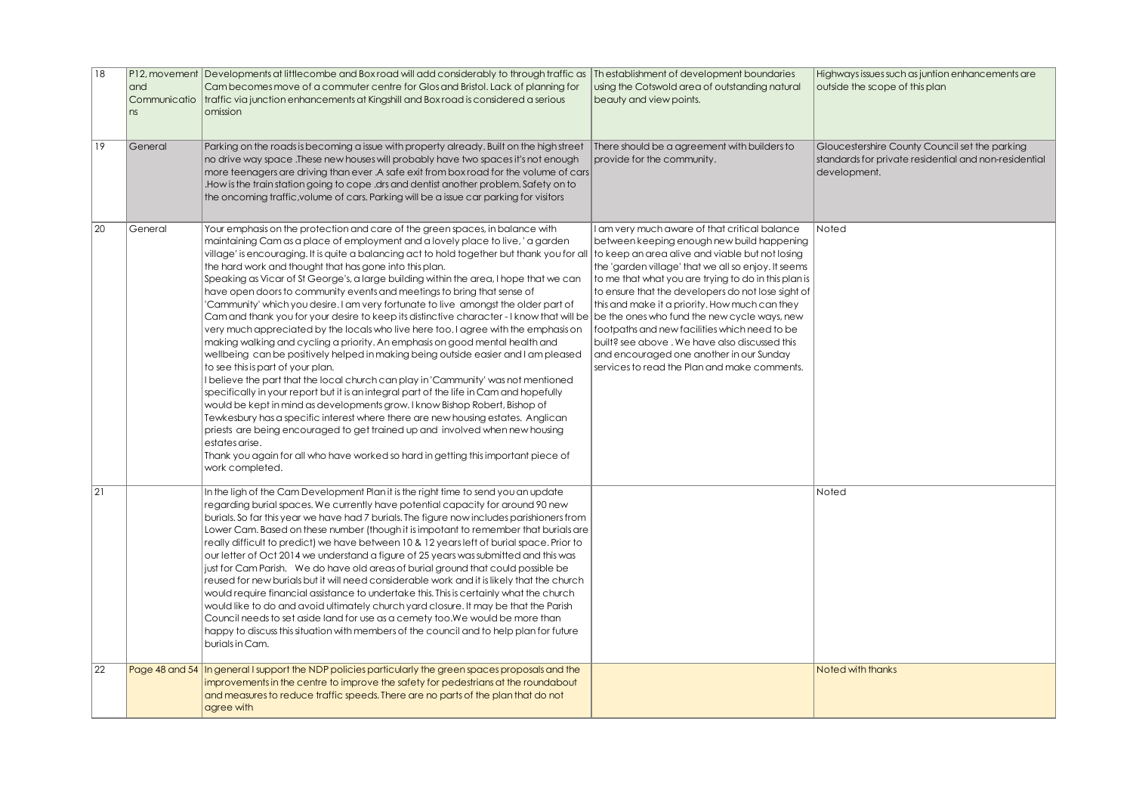| 18 | and<br>Communicatio<br>ns | P12, movement   Developments at littlecombe and Box road will add considerably to through traffic as   Thestablishment of development boundaries<br>Cam becomes move of a commuter centre for Glos and Bristol. Lack of planning for<br>traffic via junction enhancements at Kingshill and Box road is considered a serious<br>omission                                                                                                                                                                                                                                                                                                                                                                                                                                                                                                                                                                                                                                                                                                                                                                                                                                                                                                                                                                                                                                                                                                                                                                                                                                                            | using the Cotswold area of outstanding natural<br>beauty and view points.                                                                                                                                                                                                                                                                                                                                                                                                                                                                                               | Highways issues such as juntion enhancements are<br>outside the scope of this plan                                      |
|----|---------------------------|----------------------------------------------------------------------------------------------------------------------------------------------------------------------------------------------------------------------------------------------------------------------------------------------------------------------------------------------------------------------------------------------------------------------------------------------------------------------------------------------------------------------------------------------------------------------------------------------------------------------------------------------------------------------------------------------------------------------------------------------------------------------------------------------------------------------------------------------------------------------------------------------------------------------------------------------------------------------------------------------------------------------------------------------------------------------------------------------------------------------------------------------------------------------------------------------------------------------------------------------------------------------------------------------------------------------------------------------------------------------------------------------------------------------------------------------------------------------------------------------------------------------------------------------------------------------------------------------------|-------------------------------------------------------------------------------------------------------------------------------------------------------------------------------------------------------------------------------------------------------------------------------------------------------------------------------------------------------------------------------------------------------------------------------------------------------------------------------------------------------------------------------------------------------------------------|-------------------------------------------------------------------------------------------------------------------------|
| 19 | General                   | Parking on the roads is becoming a issue with property already. Built on the high street<br>no drive way space .These new houses will probably have two spaces it's not enough<br>more teenagers are driving than ever .A safe exit from box road for the volume of cars<br>How is the train station going to cope .drs and dentist another problem. Safety on to<br>the oncoming traffic, volume of cars. Parking will be a issue car parking for visitors                                                                                                                                                                                                                                                                                                                                                                                                                                                                                                                                                                                                                                                                                                                                                                                                                                                                                                                                                                                                                                                                                                                                        | There should be a agreement with builders to<br>provide for the community.                                                                                                                                                                                                                                                                                                                                                                                                                                                                                              | Gloucestershire County Council set the parking<br>standards for private residential and non-residential<br>development. |
| 20 | General                   | Your emphasis on the protection and care of the green spaces, in balance with<br>maintaining Cam as a place of employment and a lovely place to live, 'a garden<br>village' is encouraging. It is quite a balancing act to hold together but thank you for all<br>the hard work and thought that has gone into this plan.<br>Speaking as Vicar of St George's, a large building within the area, I hope that we can<br>have open doors to community events and meetings to bring that sense of<br>'Cammunity' which you desire. I am very fortunate to live amongst the older part of<br>Cam and thank you for your desire to keep its distinctive character - I know that will be   be the ones who fund the new cycle ways, new<br>very much appreciated by the locals who live here too. I agree with the emphasis on<br>making walking and cycling a priority. An emphasis on good mental health and<br>wellbeing can be positively helped in making being outside easier and I am pleased<br>to see this is part of your plan.<br>I believe the part that the local church can play in 'Cammunity' was not mentioned<br>specifically in your report but it is an integral part of the life in Cam and hopefully<br>would be kept in mind as developments grow. I know Bishop Robert, Bishop of<br>Tewkesbury has a specific interest where there are new housing estates. Anglican<br>priests are being encouraged to get trained up and involved when new housing<br>estates arise.<br>Thank you again for all who have worked so hard in getting this important piece of<br>work completed. | I am very much aware of that critical balance<br>between keeping enough new build happening<br>l   to keep an area alive and viable but not losing<br>the 'garden village' that we all so enjoy. It seems<br>to me that what you are trying to do in this plan is<br>to ensure that the developers do not lose sight of<br>this and make it a priority. How much can they<br>footpaths and new facilities which need to be<br>built? see above. We have also discussed this<br>and encouraged one another in our Sunday<br>services to read the Plan and make comments. | Noted                                                                                                                   |
| 21 |                           | In the ligh of the Cam Development Plan it is the right time to send you an update<br>regarding burial spaces. We currently have potential capacity for around 90 new<br>burials. So far this year we have had 7 burials. The figure now includes parishioners from<br>Lower Cam. Based on these number (though it is impotant to remember that burials are<br>really difficult to predict) we have between 10 & 12 years left of burial space. Prior to<br>our letter of Oct 2014 we understand a figure of 25 years was submitted and this was<br>just for Cam Parish. We do have old areas of burial ground that could possible be<br>reused for new burials but it will need considerable work and it is likely that the church<br>would require financial assistance to undertake this. This is certainly what the church<br>would like to do and avoid ultimately church yard closure. It may be that the Parish<br>Council needs to set aside land for use as a cemety too. We would be more than<br>happy to discuss this situation with members of the council and to help plan for future<br>burials in Cam.                                                                                                                                                                                                                                                                                                                                                                                                                                                                             |                                                                                                                                                                                                                                                                                                                                                                                                                                                                                                                                                                         | Noted                                                                                                                   |
| 22 |                           | Page 48 and 54 In general I support the NDP policies particularly the green spaces proposals and the<br>improvements in the centre to improve the safety for pedestrians at the roundabout<br>and measures to reduce traffic speeds. There are no parts of the plan that do not<br>agree with                                                                                                                                                                                                                                                                                                                                                                                                                                                                                                                                                                                                                                                                                                                                                                                                                                                                                                                                                                                                                                                                                                                                                                                                                                                                                                      |                                                                                                                                                                                                                                                                                                                                                                                                                                                                                                                                                                         | Noted with thanks                                                                                                       |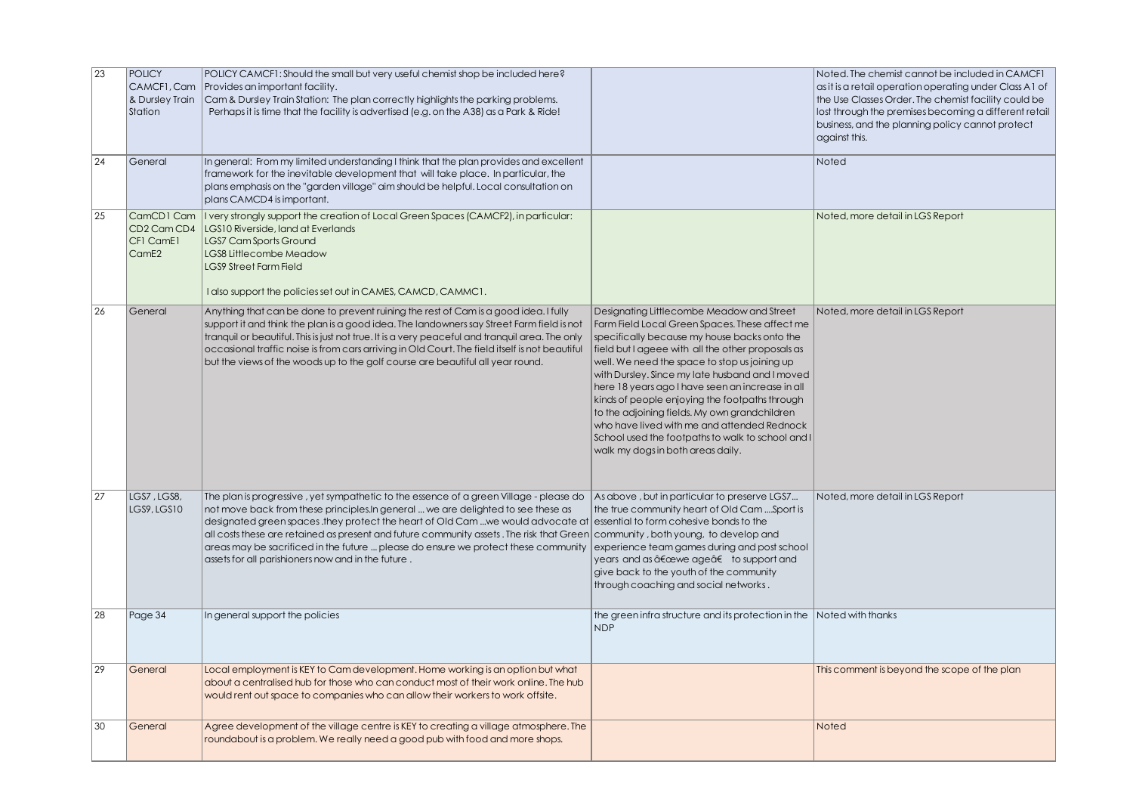| $\overline{23}$ | <b>POLICY</b><br>CAMCF1, Cam<br>& Dursley Train<br>Station                          | POLICY CAMCF1: Should the small but very useful chemist shop be included here?<br>Provides an important facility.<br>Cam & Dursley Train Station: The plan correctly highlights the parking problems.<br>Perhaps it is time that the facility is advertised (e.g. on the A38) as a Park & Ride!                                                                                                                                                                                                                                                                                     |                                                                                                                                                                                                                                                                                                                                                                                                                                                                                                                                                                                                      | Noted. The chemist cannot be included in CAMCF1<br>as it is a retail operation operating under Class A1 of<br>the Use Classes Order. The chemist facility could be<br>lost through the premises becoming a different retail<br>business, and the planning policy cannot protect<br>against this. |
|-----------------|-------------------------------------------------------------------------------------|-------------------------------------------------------------------------------------------------------------------------------------------------------------------------------------------------------------------------------------------------------------------------------------------------------------------------------------------------------------------------------------------------------------------------------------------------------------------------------------------------------------------------------------------------------------------------------------|------------------------------------------------------------------------------------------------------------------------------------------------------------------------------------------------------------------------------------------------------------------------------------------------------------------------------------------------------------------------------------------------------------------------------------------------------------------------------------------------------------------------------------------------------------------------------------------------------|--------------------------------------------------------------------------------------------------------------------------------------------------------------------------------------------------------------------------------------------------------------------------------------------------|
| 24              | General                                                                             | In general: From my limited understanding I think that the plan provides and excellent<br>framework for the inevitable development that will take place. In particular, the<br>plans emphasis on the "garden village" aim should be helpful. Local consultation on<br>plans CAMCD4 is important.                                                                                                                                                                                                                                                                                    |                                                                                                                                                                                                                                                                                                                                                                                                                                                                                                                                                                                                      | Noted                                                                                                                                                                                                                                                                                            |
| 25              | CamCD1 Cam<br>CD <sub>2</sub> Cam CD <sub>4</sub><br>CF1 CamE1<br>CamE <sub>2</sub> | I very strongly support the creation of Local Green Spaces (CAMCF2), in particular:<br>LGS10 Riverside, land at Everlands<br><b>LGS7 Cam Sports Ground</b><br>LGS8 Littlecombe Meadow<br><b>LGS9 Street Farm Field</b><br>I also support the policies set out in CAMES, CAMCD, CAMMC1.                                                                                                                                                                                                                                                                                              |                                                                                                                                                                                                                                                                                                                                                                                                                                                                                                                                                                                                      | Noted, more detail in LGS Report                                                                                                                                                                                                                                                                 |
| 26              | General                                                                             | Anything that can be done to prevent ruining the rest of Cam is a good idea. I fully<br>support it and think the plan is a good idea. The landowners say Street Farm field is not<br>tranquil or beautiful. This is just not true. It is a very peaceful and tranquil area. The only<br>occasional traffic noise is from cars arriving in Old Court. The field itself is not beautiful<br>but the views of the woods up to the golf course are beautiful all year round.                                                                                                            | Designating Littlecombe Meadow and Street<br>Farm Field Local Green Spaces. These affect me<br>specifically because my house backs onto the<br>field but I ageee with all the other proposals as<br>well. We need the space to stop us joining up<br>with Dursley. Since my late husband and I moved<br>here 18 years ago I have seen an increase in all<br>kinds of people enjoying the footpaths through<br>to the adjoining fields. My own grandchildren<br>who have lived with me and attended Rednock<br>School used the footpaths to walk to school and I<br>walk my dogs in both areas daily. | Noted, more detail in LGS Report                                                                                                                                                                                                                                                                 |
| 27              | LGS7, LGS8,<br>LGS9, LGS10                                                          | The plan is progressive, yet sympathetic to the essence of a green Village - please do<br>not move back from these principles. In general  we are delighted to see these as<br>designated green spaces they protect the heart of Old Cam we would advocate at essential to form cohesive bonds to the<br>all costs these are retained as present and future community assets. The risk that Green community, both young, to develop and<br>areas may be sacrificed in the future  please do ensure we protect these community<br>assets for all parishioners now and in the future. | As above, but in particular to preserve LGS7<br>the true community heart of Old Cam  Sport is<br>experience team games during and post school<br>years and as "we age†to support and<br>give back to the youth of the community<br>through coaching and social networks.                                                                                                                                                                                                                                                                                                                             | Noted, more detail in LGS Report                                                                                                                                                                                                                                                                 |
| 28              | Page 34                                                                             | In general support the policies                                                                                                                                                                                                                                                                                                                                                                                                                                                                                                                                                     | the green infra structure and its protection in the Noted with thanks<br>NDP                                                                                                                                                                                                                                                                                                                                                                                                                                                                                                                         |                                                                                                                                                                                                                                                                                                  |
| 29              | General                                                                             | Local employment is KEY to Cam development. Home working is an option but what<br>about a centralised hub for those who can conduct most of their work online. The hub<br>would rent out space to companies who can allow their workers to work offsite.                                                                                                                                                                                                                                                                                                                            |                                                                                                                                                                                                                                                                                                                                                                                                                                                                                                                                                                                                      | This comment is beyond the scope of the plan                                                                                                                                                                                                                                                     |
| 30              | General                                                                             | Agree development of the village centre is KEY to creating a village atmosphere. The<br>roundabout is a problem. We really need a good pub with food and more shops.                                                                                                                                                                                                                                                                                                                                                                                                                |                                                                                                                                                                                                                                                                                                                                                                                                                                                                                                                                                                                                      | Noted                                                                                                                                                                                                                                                                                            |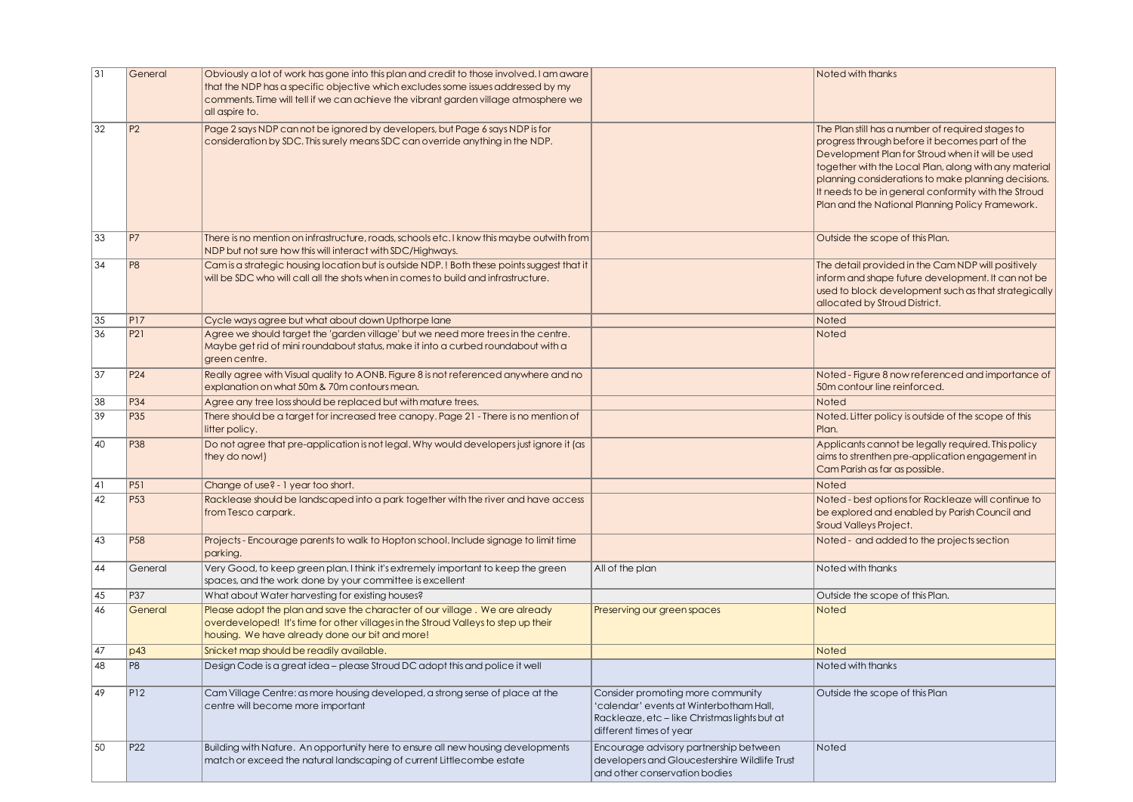| 31              | General         | Obviously a lot of work has gone into this plan and credit to those involved. I am aware<br>that the NDP has a specific objective which excludes some issues addressed by my<br>comments. Time will tell if we can achieve the vibrant garden village atmosphere we<br>all aspire to. |                                                                                                                                                          | Noted with thanks                                                                                                                                                                                                                                                                                                                                                                   |
|-----------------|-----------------|---------------------------------------------------------------------------------------------------------------------------------------------------------------------------------------------------------------------------------------------------------------------------------------|----------------------------------------------------------------------------------------------------------------------------------------------------------|-------------------------------------------------------------------------------------------------------------------------------------------------------------------------------------------------------------------------------------------------------------------------------------------------------------------------------------------------------------------------------------|
| $\overline{32}$ | P <sub>2</sub>  | Page 2 says NDP can not be ignored by developers, but Page 6 says NDP is for<br>consideration by SDC. This surely means SDC can override anything in the NDP.                                                                                                                         |                                                                                                                                                          | The Plan still has a number of required stages to<br>progress through before it becomes part of the<br>Development Plan for Stroud when it will be used<br>together with the Local Plan, along with any material<br>planning considerations to make planning decisions.<br>It needs to be in general conformity with the Stroud<br>Plan and the National Planning Policy Framework. |
| 33              | P7              | There is no mention on infrastructure, roads, schools etc. I know this maybe outwith from<br>NDP but not sure how this will interact with SDC/Highways.                                                                                                                               |                                                                                                                                                          | Outside the scope of this Plan.                                                                                                                                                                                                                                                                                                                                                     |
| 34              | P8              | Cam is a strategic housing location but is outside NDP. I Both these points suggest that it<br>will be SDC who will call all the shots when in comes to build and infrastructure.                                                                                                     |                                                                                                                                                          | The detail provided in the Cam NDP will positively<br>inform and shape future development. It can not be<br>used to block development such as that strategically<br>allocated by Stroud District.                                                                                                                                                                                   |
| 35              | PI7             | Cycle ways agree but what about down Upthorpe lane                                                                                                                                                                                                                                    |                                                                                                                                                          | Noted                                                                                                                                                                                                                                                                                                                                                                               |
| 36              | P21             | Agree we should target the 'garden village' but we need more trees in the centre.<br>Maybe get rid of mini roundabout status, make it into a curbed roundabout with a<br>green centre.                                                                                                |                                                                                                                                                          | Noted                                                                                                                                                                                                                                                                                                                                                                               |
| 37              | P <sub>24</sub> | Really agree with Visual quality to AONB. Figure 8 is not referenced anywhere and no<br>explanation on what 50m & 70m contours mean.                                                                                                                                                  |                                                                                                                                                          | Noted - Figure 8 now referenced and importance of<br>50m contour line reinforced.                                                                                                                                                                                                                                                                                                   |
| 38              | P34             | Agree any tree loss should be replaced but with mature trees.                                                                                                                                                                                                                         |                                                                                                                                                          | Noted                                                                                                                                                                                                                                                                                                                                                                               |
| $\overline{39}$ | P <sub>35</sub> | There should be a target for increased tree canopy. Page 21 - There is no mention of<br>litter policy.                                                                                                                                                                                |                                                                                                                                                          | Noted. Litter policy is outside of the scope of this<br>Plan.                                                                                                                                                                                                                                                                                                                       |
| 40              | P38             | Do not agree that pre-application is not legal. Why would developers just ignore it (as<br>they do now!)                                                                                                                                                                              |                                                                                                                                                          | Applicants cannot be legally required. This policy<br>aims to strenthen pre-application engagement in<br>Cam Parish as far as possible.                                                                                                                                                                                                                                             |
| 41              | P51             | Change of use? - 1 year too short.                                                                                                                                                                                                                                                    |                                                                                                                                                          | Noted                                                                                                                                                                                                                                                                                                                                                                               |
| $\sqrt{42}$     | P <sub>53</sub> | Racklease should be landscaped into a park together with the river and have access<br>from Tesco carpark.                                                                                                                                                                             |                                                                                                                                                          | Noted - best options for Rackleaze will continue to<br>be explored and enabled by Parish Council and<br>Sroud Valleys Project.                                                                                                                                                                                                                                                      |
| 43              | P <sub>58</sub> | Projects - Encourage parents to walk to Hopton school. Include signage to limit time<br>parking.                                                                                                                                                                                      |                                                                                                                                                          | Noted - and added to the projects section                                                                                                                                                                                                                                                                                                                                           |
| 44              | General         | Very Good, to keep green plan. I think it's extremely important to keep the green<br>spaces, and the work done by your committee is excellent                                                                                                                                         | All of the plan                                                                                                                                          | Noted with thanks                                                                                                                                                                                                                                                                                                                                                                   |
| 45              | P37             | What about Water harvesting for existing houses?                                                                                                                                                                                                                                      |                                                                                                                                                          | Outside the scope of this Plan.                                                                                                                                                                                                                                                                                                                                                     |
| 46              | General         | Please adopt the plan and save the character of our village. We are already<br>overdeveloped! It's time for other villages in the Stroud Valleys to step up their<br>housing. We have already done our bit and more!                                                                  | Preserving our green spaces                                                                                                                              | <b>Noted</b>                                                                                                                                                                                                                                                                                                                                                                        |
| 47              | p43             | Snicket map should be readily available.                                                                                                                                                                                                                                              |                                                                                                                                                          | Noted                                                                                                                                                                                                                                                                                                                                                                               |
| 48              | P8              | Design Code is a great idea - please Stroud DC adopt this and police it well                                                                                                                                                                                                          |                                                                                                                                                          | Noted with thanks                                                                                                                                                                                                                                                                                                                                                                   |
| 49              | PI2             | Cam Village Centre: as more housing developed, a strong sense of place at the<br>centre will become more important                                                                                                                                                                    | Consider promoting more community<br>'calendar' events at Winterbotham Hall,<br>Rackleaze, etc - like Christmas lights but at<br>different times of year | Outside the scope of this Plan                                                                                                                                                                                                                                                                                                                                                      |
| 50              | P22             | Building with Nature. An opportunity here to ensure all new housing developments<br>match or exceed the natural landscaping of current Littlecombe estate                                                                                                                             | Encourage advisory partnership between<br>developers and Gloucestershire Wildlife Trust<br>and other conservation bodies                                 | Noted                                                                                                                                                                                                                                                                                                                                                                               |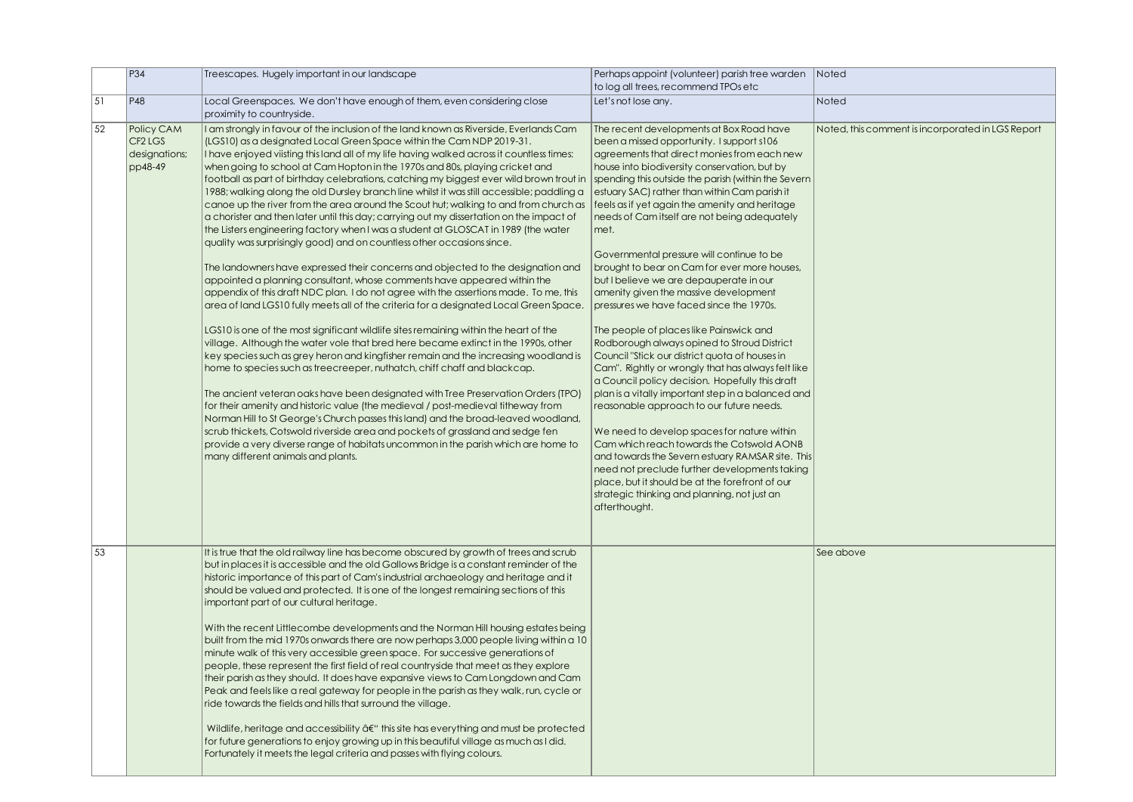|                 | P34                                                           | Treescapes. Hugely important in our landscape                                                                                                                                                                                                                                                                                                                                                                                                                                                                                                                                                                                                                                                                                                                                                                                                                                                                                                                                                                                                                                                                                                                                                                                                                                                                                                                                                                                                                                                                                                                                                                                                                                                                                                                                                                                                                                                                                                                                                                                                                              | Perhaps appoint (volunteer) parish tree warden                                                                                                                                                                                                                                                                                                                                                                                                                                                                                                                                                                                                                                                                                                                                                                                                                                                                                                                                                                                                                                                                                                                                                                                                                                                                 | Noted                                             |
|-----------------|---------------------------------------------------------------|----------------------------------------------------------------------------------------------------------------------------------------------------------------------------------------------------------------------------------------------------------------------------------------------------------------------------------------------------------------------------------------------------------------------------------------------------------------------------------------------------------------------------------------------------------------------------------------------------------------------------------------------------------------------------------------------------------------------------------------------------------------------------------------------------------------------------------------------------------------------------------------------------------------------------------------------------------------------------------------------------------------------------------------------------------------------------------------------------------------------------------------------------------------------------------------------------------------------------------------------------------------------------------------------------------------------------------------------------------------------------------------------------------------------------------------------------------------------------------------------------------------------------------------------------------------------------------------------------------------------------------------------------------------------------------------------------------------------------------------------------------------------------------------------------------------------------------------------------------------------------------------------------------------------------------------------------------------------------------------------------------------------------------------------------------------------------|----------------------------------------------------------------------------------------------------------------------------------------------------------------------------------------------------------------------------------------------------------------------------------------------------------------------------------------------------------------------------------------------------------------------------------------------------------------------------------------------------------------------------------------------------------------------------------------------------------------------------------------------------------------------------------------------------------------------------------------------------------------------------------------------------------------------------------------------------------------------------------------------------------------------------------------------------------------------------------------------------------------------------------------------------------------------------------------------------------------------------------------------------------------------------------------------------------------------------------------------------------------------------------------------------------------|---------------------------------------------------|
|                 |                                                               |                                                                                                                                                                                                                                                                                                                                                                                                                                                                                                                                                                                                                                                                                                                                                                                                                                                                                                                                                                                                                                                                                                                                                                                                                                                                                                                                                                                                                                                                                                                                                                                                                                                                                                                                                                                                                                                                                                                                                                                                                                                                            | to log all trees, recommend TPOs etc                                                                                                                                                                                                                                                                                                                                                                                                                                                                                                                                                                                                                                                                                                                                                                                                                                                                                                                                                                                                                                                                                                                                                                                                                                                                           |                                                   |
| $\overline{51}$ | P48                                                           | Local Greenspaces. We don't have enough of them, even considering close<br>proximity to countryside.                                                                                                                                                                                                                                                                                                                                                                                                                                                                                                                                                                                                                                                                                                                                                                                                                                                                                                                                                                                                                                                                                                                                                                                                                                                                                                                                                                                                                                                                                                                                                                                                                                                                                                                                                                                                                                                                                                                                                                       | Let's not lose any.                                                                                                                                                                                                                                                                                                                                                                                                                                                                                                                                                                                                                                                                                                                                                                                                                                                                                                                                                                                                                                                                                                                                                                                                                                                                                            | Noted                                             |
| 52              | Policy CAM<br>CF <sub>2</sub> LGS<br>designations;<br>pp48-49 | I am strongly in favour of the inclusion of the land known as Riverside, Everlands Cam<br>(LGS10) as a designated Local Green Space within the Cam NDP 2019-31.<br>I have enjoyed viisting this land all of my life having walked across it countless times:<br>when going to school at Cam Hopton in the 1970s and 80s, playing cricket and<br>football as part of birthday celebrations, catching my biggest ever wild brown trout in<br>1988; walking along the old Dursley branch line whilst it was still accessible; paddling a<br>canoe up the river from the area around the Scout hut; walking to and from church as<br>a chorister and then later until this day; carrying out my dissertation on the impact of<br>the Listers engineering factory when I was a student at GLOSCAT in 1989 (the water<br>quality was surprisingly good) and on countless other occasions since.<br>The landowners have expressed their concerns and objected to the designation and<br>appointed a planning consultant, whose comments have appeared within the<br>appendix of this draft NDC plan. I do not agree with the assertions made. To me, this<br>area of land LGS10 fully meets all of the criteria for a designated Local Green Space.<br>LGS10 is one of the most significant wildlife sites remaining within the heart of the<br>village. Although the water vole that bred here became extinct in the 1990s, other<br>key species such as grey heron and kingfisher remain and the increasing woodland is<br>home to species such as treecreeper, nuthatch, chiff chaff and blackcap.<br>The ancient veteran oaks have been designated with Tree Preservation Orders (TPO)<br>for their amenity and historic value (the medieval / post-medieval titheway from<br>Norman Hill to St George's Church passes this land) and the broad-leaved woodland,<br>scrub thickets, Cotswold riverside area and pockets of grassland and sedge fen<br>provide a very diverse range of habitats uncommon in the parish which are home to<br>many different animals and plants. | The recent developments at Box Road have<br>been a missed opportunity. I support s106<br>agreements that direct monies from each new<br>house into biodiversity conservation, but by<br>spending this outside the parish (within the Severn<br>estuary SAC) rather than within Cam parish it<br>feels as if yet again the amenity and heritage<br>needs of Camitself are not being adequately<br>met.<br>Governmental pressure will continue to be<br>brought to bear on Cam for ever more houses,<br>but I believe we are depauperate in our<br>amenity given the massive development<br>pressures we have faced since the 1970s.<br>The people of places like Painswick and<br>Rodborough always opined to Stroud District<br>Council "Stick our district quota of houses in<br>Cam". Rightly or wrongly that has always felt like<br>a Council policy decision. Hopefully this draft<br>plan is a vitally important step in a balanced and<br>reasonable approach to our future needs.<br>We need to develop spaces for nature within<br>Cam which reach towards the Cotswold AONB<br>and towards the Severn estuary RAMSAR site. This<br>need not preclude further developments taking<br>place, but it should be at the forefront of our<br>strategic thinking and planning, not just an<br>afterthought. | Noted, this comment is incorporated in LGS Report |
| 53              |                                                               | It is true that the old railway line has become obscured by growth of trees and scrub<br>but in places it is accessible and the old Gallows Bridge is a constant reminder of the<br>historic importance of this part of Cam's industrial archaeology and heritage and it<br>should be valued and protected. It is one of the longest remaining sections of this<br>important part of our cultural heritage.<br>With the recent Littlecombe developments and the Norman Hill housing estates being<br>built from the mid 1970s onwards there are now perhaps 3,000 people living within a 10<br>minute walk of this very accessible green space. For successive generations of<br>people, these represent the first field of real countryside that meet as they explore<br>their parish as they should. It does have expansive views to Cam Longdown and Cam<br>Peak and feels like a real gateway for people in the parish as they walk, run, cycle or<br>ride towards the fields and hills that surround the village.<br>Wildlife, heritage and accessibility $\hat{a}$ $\epsilon$ " this site has everything and must be protected<br>for future generations to enjoy growing up in this beautiful village as much as I did.<br>Fortunately it meets the legal criteria and passes with flying colours.                                                                                                                                                                                                                                                                                                                                                                                                                                                                                                                                                                                                                                                                                                                                                                  |                                                                                                                                                                                                                                                                                                                                                                                                                                                                                                                                                                                                                                                                                                                                                                                                                                                                                                                                                                                                                                                                                                                                                                                                                                                                                                                | See above                                         |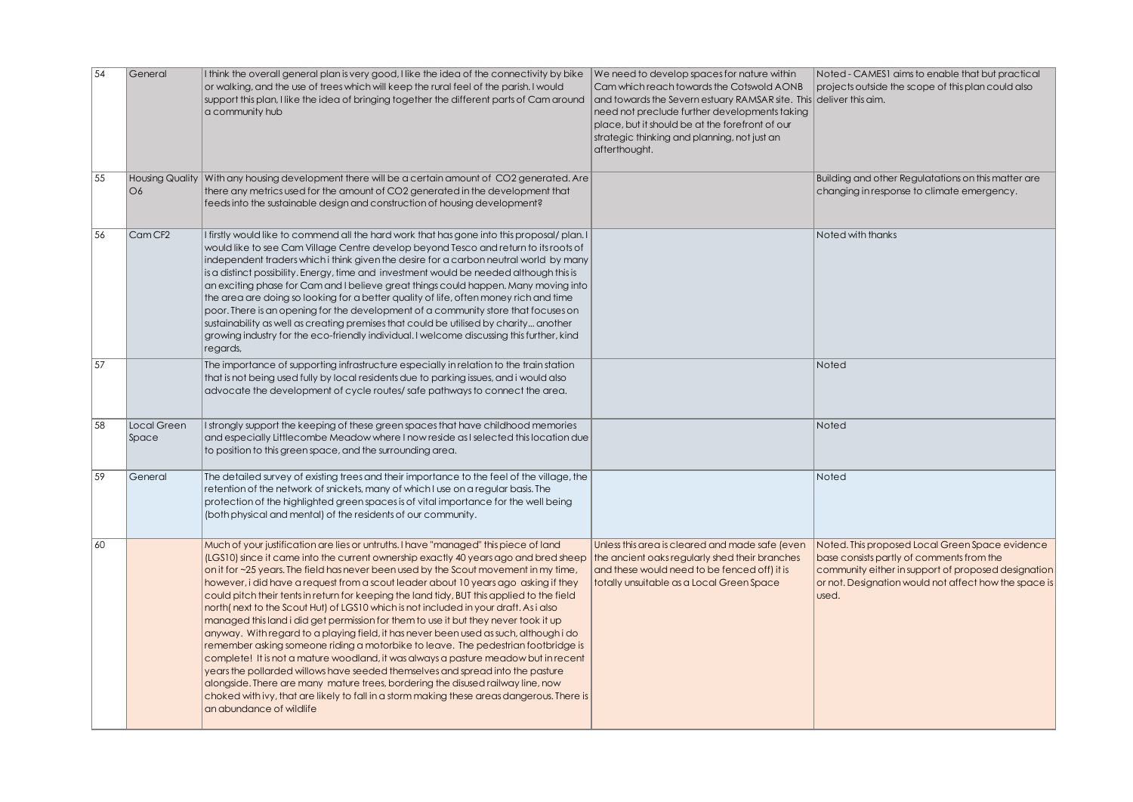| 54 | General              | I think the overall general plan is very good, I like the idea of the connectivity by bike<br>or walking, and the use of trees which will keep the rural feel of the parish. I would<br>support this plan, I like the idea of bringing together the different parts of Cam around<br>a community hub                                                                                                                                                                                                                                                                                                                                                                                                                                                                                                                                                                                                                                                                                                                                                                                                                                                                                                                                                          | We need to develop spaces for nature within<br>Cam which reach towards the Cotswold AONB<br>and towards the Severn estuary RAMSAR site. This deliver this aim.<br>need not preclude further developments taking<br>place, but it should be at the forefront of our<br>strategic thinking and planning, not just an<br>afterthought. | Noted - CAMES1 aims to enable that but practical<br>projects outside the scope of this plan could also                                                                                                                |
|----|----------------------|---------------------------------------------------------------------------------------------------------------------------------------------------------------------------------------------------------------------------------------------------------------------------------------------------------------------------------------------------------------------------------------------------------------------------------------------------------------------------------------------------------------------------------------------------------------------------------------------------------------------------------------------------------------------------------------------------------------------------------------------------------------------------------------------------------------------------------------------------------------------------------------------------------------------------------------------------------------------------------------------------------------------------------------------------------------------------------------------------------------------------------------------------------------------------------------------------------------------------------------------------------------|-------------------------------------------------------------------------------------------------------------------------------------------------------------------------------------------------------------------------------------------------------------------------------------------------------------------------------------|-----------------------------------------------------------------------------------------------------------------------------------------------------------------------------------------------------------------------|
| 55 | O6                   | Housing Quality With any housing development there will be a certain amount of CO2 generated. Are<br>there any metrics used for the amount of CO2 generated in the development that<br>feeds into the sustainable design and construction of housing development?                                                                                                                                                                                                                                                                                                                                                                                                                                                                                                                                                                                                                                                                                                                                                                                                                                                                                                                                                                                             |                                                                                                                                                                                                                                                                                                                                     | Building and other Regulatations on this matter are<br>changing in response to climate emergency.                                                                                                                     |
| 56 | Cam CF <sub>2</sub>  | I firstly would like to commend all the hard work that has gone into this proposal/plan. I<br>would like to see Cam Village Centre develop beyond Tesco and return to its roots of<br>independent traders which i think given the desire for a carbon neutral world by many<br>is a distinct possibility. Energy, time and investment would be needed although this is<br>an exciting phase for Cam and I believe great things could happen. Many moving into<br>the area are doing so looking for a better quality of life, often money rich and time<br>poor. There is an opening for the development of a community store that focuses on<br>sustainability as well as creating premises that could be utilised by charity another<br>growing industry for the eco-friendly individual. I welcome discussing this further, kind<br>regards,                                                                                                                                                                                                                                                                                                                                                                                                                |                                                                                                                                                                                                                                                                                                                                     | Noted with thanks                                                                                                                                                                                                     |
| 57 |                      | The importance of supporting infrastructure especially in relation to the train station<br>that is not being used fully by local residents due to parking issues, and i would also<br>advocate the development of cycle routes/safe pathways to connect the area.                                                                                                                                                                                                                                                                                                                                                                                                                                                                                                                                                                                                                                                                                                                                                                                                                                                                                                                                                                                             |                                                                                                                                                                                                                                                                                                                                     | Noted                                                                                                                                                                                                                 |
| 58 | Local Green<br>Space | I strongly support the keeping of these green spaces that have childhood memories<br>and especially Littlecombe Meadow where I now reside as I selected this location due<br>to position to this green space, and the surrounding area.                                                                                                                                                                                                                                                                                                                                                                                                                                                                                                                                                                                                                                                                                                                                                                                                                                                                                                                                                                                                                       |                                                                                                                                                                                                                                                                                                                                     | Noted                                                                                                                                                                                                                 |
| 59 | General              | The detailed survey of existing trees and their importance to the feel of the village, the<br>retention of the network of snickets, many of which I use on a regular basis. The<br>protection of the highlighted green spaces is of vital importance for the well being<br>(both physical and mental) of the residents of our community.                                                                                                                                                                                                                                                                                                                                                                                                                                                                                                                                                                                                                                                                                                                                                                                                                                                                                                                      |                                                                                                                                                                                                                                                                                                                                     | Noted                                                                                                                                                                                                                 |
| 60 |                      | Much of your justification are lies or untruths. I have "managed" this piece of land<br>(LGS10) since it came into the current ownership exactly 40 years ago and bred sheep   the ancient oaks regularly shed their branches<br>on it for ~25 years. The field has never been used by the Scout movement in my time,<br>however, i did have a request from a scout leader about 10 years ago asking if they<br>could pitch their tents in return for keeping the land tidy, BUT this applied to the field<br>north(next to the Scout Hut) of LGS10 which is not included in your draft. As i also<br>managed this land i did get permission for them to use it but they never took it up<br>anyway. With regard to a playing field, it has never been used as such, although i do<br>remember asking someone riding a motorbike to leave. The pedestrian footbridge is<br>complete! It is not a mature woodland, it was always a pasture meadow but in recent<br>years the pollarded willows have seeded themselves and spread into the pasture<br>alongside. There are many mature trees, bordering the disused railway line, now<br>choked with ivy, that are likely to fall in a storm making these areas dangerous. There is<br>an abundance of wildlife | Unless this area is cleared and made safe (even<br>and these would need to be fenced off) it is<br>totally unsuitable as a Local Green Space                                                                                                                                                                                        | Noted. This proposed Local Green Space evidence<br>base consists partly of comments from the<br>community either in support of proposed designation<br>or not. Designation would not affect how the space is<br>used. |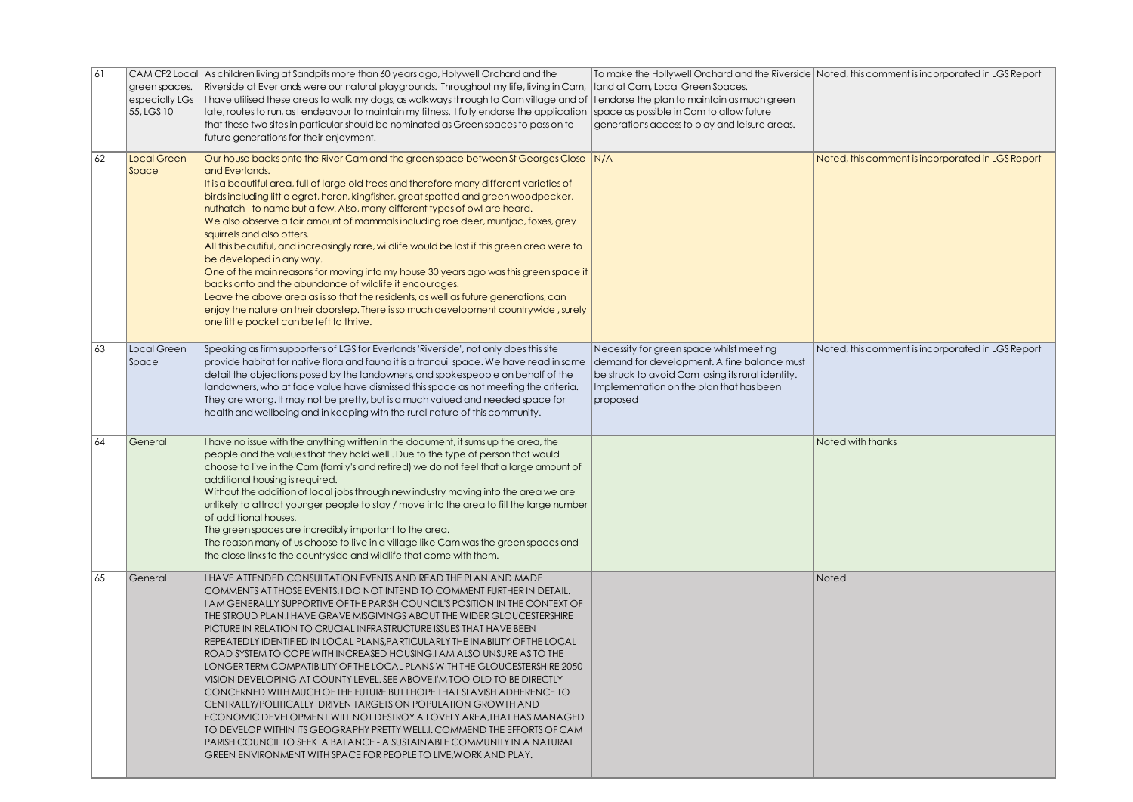| 61 | green spaces.<br>especially LGs<br>55, LGS 10 | CAM CF2 Local As children living at Sandpits more than 60 years ago, Holywell Orchard and the<br>Riverside at Everlands were our natural playgrounds. Throughout my life, living in Cam,<br>I have utilised these areas to walk my dogs, as walkways through to Cam village and of  I endorse the plan to maintain as much green<br>late, routes to run, as lendeavour to maintain my fitness. I fully endorse the application<br>that these two sites in particular should be nominated as Green spaces to pass on to<br>future generations for their enjoyment.                                                                                                                                                                                                                                                                                                                                                                                                                                                                                                                                                                                    | Iand at Cam, Local Green Spaces.<br>space as possible in Cam to allow future<br>generations access to play and leisure areas.                                                                        | To make the Hollywell Orchard and the Riverside   Noted, this comment is incorporated in LGS Report |
|----|-----------------------------------------------|------------------------------------------------------------------------------------------------------------------------------------------------------------------------------------------------------------------------------------------------------------------------------------------------------------------------------------------------------------------------------------------------------------------------------------------------------------------------------------------------------------------------------------------------------------------------------------------------------------------------------------------------------------------------------------------------------------------------------------------------------------------------------------------------------------------------------------------------------------------------------------------------------------------------------------------------------------------------------------------------------------------------------------------------------------------------------------------------------------------------------------------------------|------------------------------------------------------------------------------------------------------------------------------------------------------------------------------------------------------|-----------------------------------------------------------------------------------------------------|
| 62 | Local Green<br>Space                          | Our house backs onto the River Cam and the green space between St Georges Close   N/A<br>and Everlands.<br>It is a beautiful area, full of large old trees and therefore many different varieties of<br>birds including little egret, heron, kingfisher, great spotted and green woodpecker,<br>nuthatch - to name but a few. Also, many different types of owl are heard.<br>We also observe a fair amount of mammals including roe deer, muntiac, foxes, grey<br>squirrels and also otters.<br>All this beautiful, and increasingly rare, wildlife would be lost if this green area were to<br>be developed in any way.<br>One of the main reasons for moving into my house 30 years ago was this green space it<br>backs onto and the abundance of wildlife it encourages.<br>Leave the above area as is so that the residents, as well as future generations, can<br>enjoy the nature on their doorstep. There is so much development countrywide, surely<br>one little pocket can be left to thrive.                                                                                                                                            |                                                                                                                                                                                                      | Noted, this comment is incorporated in LGS Report                                                   |
| 63 | Local Green<br>Space                          | Speaking as firm supporters of LGS for Everlands 'Riverside', not only does this site<br>provide habitat for native flora and fauna it is a tranquil space. We have read in some<br>detail the objections posed by the landowners, and spokespeople on behalf of the<br>landowners, who at face value have dismissed this space as not meeting the criteria.<br>They are wrong. It may not be pretty, but is a much valued and needed space for<br>health and wellbeing and in keeping with the rural nature of this community.                                                                                                                                                                                                                                                                                                                                                                                                                                                                                                                                                                                                                      | Necessity for green space whilst meeting<br>demand for development. A fine balance must<br>be struck to avoid Cam losing its rural identity.<br>Implementation on the plan that has been<br>proposed | Noted, this comment is incorporated in LGS Report                                                   |
| 64 | General                                       | I have no issue with the anything written in the document, it sums up the area, the<br>people and the values that they hold well. Due to the type of person that would<br>choose to live in the Cam (family's and retired) we do not feel that a large amount of<br>additional housing is required.<br>Without the addition of local jobs through new industry moving into the area we are<br>unlikely to attract younger people to stay / move into the area to fill the large number<br>of additional houses.<br>The green spaces are incredibly important to the area.<br>The reason many of us choose to live in a village like Cam was the green spaces and<br>the close links to the countryside and wildlife that come with them.                                                                                                                                                                                                                                                                                                                                                                                                             |                                                                                                                                                                                                      | Noted with thanks                                                                                   |
| 65 | General                                       | <b>I HAVE ATTENDED CONSULTATION EVENTS AND READ THE PLAN AND MADE</b><br>COMMENTS AT THOSE EVENTS. I DO NOT INTEND TO COMMENT FURTHER IN DETAIL.<br>I AM GENERALLY SUPPORTIVE OF THE PARISH COUNCIL'S POSITION IN THE CONTEXT OF<br>THE STROUD PLAN.I HAVE GRAVE MISGIVINGS ABOUT THE WIDER GLOUCESTERSHIRE<br>PICTURE IN RELATION TO CRUCIAL INFRASTRUCTURE ISSUES THAT HAVE BEEN<br>REPEATEDLY IDENTIFIED IN LOCAL PLANS, PARTICULARLY THE INABILITY OF THE LOCAL<br>ROAD SYSTEM TO COPE WITH INCREASED HOUSING I AM ALSO UNSURE AS TO THE<br>LONGER TERM COMPATIBILITY OF THE LOCAL PLANS WITH THE GLOUCESTERSHIRE 2050<br>VISION DEVELOPING AT COUNTY LEVEL. SEE ABOVE.I'M TOO OLD TO BE DIRECTLY<br>CONCERNED WITH MUCH OF THE FUTURE BUT I HOPE THAT SLAVISH ADHERENCE TO<br>CENTRALLY/POLITICALLY DRIVEN TARGETS ON POPULATION GROWTH AND<br>ECONOMIC DEVELOPMENT WILL NOT DESTROY A LOVELY AREA, THAT HAS MANAGED<br>TO DEVELOP WITHIN ITS GEOGRAPHY PRETTY WELL.I. COMMEND THE EFFORTS OF CAM<br>PARISH COUNCIL TO SEEK A BALANCE - A SUSTAINABLE COMMUNITY IN A NATURAL<br>GREEN ENVIRONMENT WITH SPACE FOR PEOPLE TO LIVE, WORK AND PLAY. |                                                                                                                                                                                                      | Noted                                                                                               |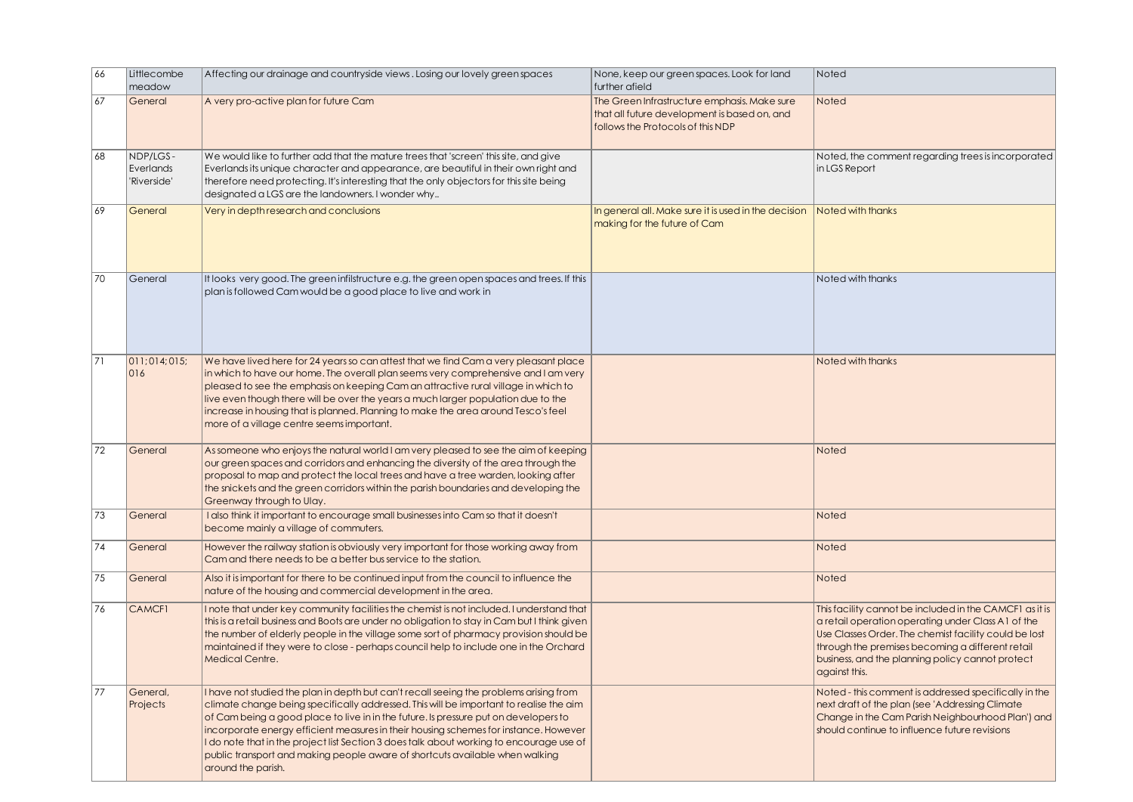| 66              | Littlecombe<br>meadow                       | Affecting our drainage and countryside views. Losing our lovely green spaces                                                                                                                                                                                                                                                                                                                                                                                                                                                                                       | None, keep our green spaces. Look for land<br>further afield                                                                      | Noted                                                                                                                                                                                                                                                                                           |
|-----------------|---------------------------------------------|--------------------------------------------------------------------------------------------------------------------------------------------------------------------------------------------------------------------------------------------------------------------------------------------------------------------------------------------------------------------------------------------------------------------------------------------------------------------------------------------------------------------------------------------------------------------|-----------------------------------------------------------------------------------------------------------------------------------|-------------------------------------------------------------------------------------------------------------------------------------------------------------------------------------------------------------------------------------------------------------------------------------------------|
| $\overline{67}$ | General                                     | A very pro-active plan for future Cam                                                                                                                                                                                                                                                                                                                                                                                                                                                                                                                              | The Green Infrastructure emphasis. Make sure<br>that all future development is based on, and<br>follows the Protocols of this NDP | Noted                                                                                                                                                                                                                                                                                           |
| 68              | NDP/LGS-<br><b>Everlands</b><br>'Riverside' | We would like to further add that the mature trees that 'screen' this site, and give<br>Everlands its unique character and appearance, are beautiful in their own right and<br>therefore need protecting. It's interesting that the only objectors for this site being<br>designated a LGS are the landowners. I wonder why                                                                                                                                                                                                                                        |                                                                                                                                   | Noted, the comment regarding trees is incorporated<br>in LGS Report                                                                                                                                                                                                                             |
| 69              | General                                     | Very in depth research and conclusions                                                                                                                                                                                                                                                                                                                                                                                                                                                                                                                             | In general all. Make sure it is used in the decision Noted with thanks<br>making for the future of Cam                            |                                                                                                                                                                                                                                                                                                 |
| 70              | General                                     | It looks very good. The green infilstructure e.g. the green open spaces and trees. If this<br>plan is followed Cam would be a good place to live and work in                                                                                                                                                                                                                                                                                                                                                                                                       |                                                                                                                                   | Noted with thanks                                                                                                                                                                                                                                                                               |
| 71              | 011;014;015;<br>016                         | We have lived here for 24 years so can attest that we find Cam a very pleasant place<br>in which to have our home. The overall plan seems very comprehensive and I am very<br>pleased to see the emphasis on keeping Cam an attractive rural village in which to<br>live even though there will be over the years a much larger population due to the<br>increase in housing that is planned. Planning to make the area around Tesco's feel<br>more of a village centre seems important.                                                                           |                                                                                                                                   | Noted with thanks                                                                                                                                                                                                                                                                               |
| 72              | General                                     | As someone who enjoys the natural world I am very pleased to see the aim of keeping<br>our green spaces and corridors and enhancing the diversity of the area through the<br>proposal to map and protect the local trees and have a tree warden, looking after<br>the snickets and the green corridors within the parish boundaries and developing the<br>Greenway through to Ulay.                                                                                                                                                                                |                                                                                                                                   | Noted                                                                                                                                                                                                                                                                                           |
| 73              | General                                     | I also think it important to encourage small businesses into Cam so that it doesn't<br>become mainly a village of commuters.                                                                                                                                                                                                                                                                                                                                                                                                                                       |                                                                                                                                   | Noted                                                                                                                                                                                                                                                                                           |
| 74              | General                                     | However the railway station is obviously very important for those working away from<br>Cam and there needs to be a better bus service to the station.                                                                                                                                                                                                                                                                                                                                                                                                              |                                                                                                                                   | Noted                                                                                                                                                                                                                                                                                           |
| 75              | General                                     | Also it is important for there to be continued input from the council to influence the<br>nature of the housing and commercial development in the area.                                                                                                                                                                                                                                                                                                                                                                                                            |                                                                                                                                   | Noted                                                                                                                                                                                                                                                                                           |
| 76              | <b>CAMCF1</b>                               | I note that under key community facilities the chemist is not included. I understand that<br>this is a retail business and Boots are under no obligation to stay in Cam but I think given<br>the number of elderly people in the village some sort of pharmacy provision should be<br>maintained if they were to close - perhaps council help to include one in the Orchard<br>Medical Centre.                                                                                                                                                                     |                                                                                                                                   | This facility cannot be included in the CAMCF1 as it is<br>a retail operation operating under Class A1 of the<br>Use Classes Order. The chemist facility could be lost<br>through the premises becoming a different retail<br>business, and the planning policy cannot protect<br>against this. |
| 77              | General,<br>Projects                        | I have not studied the plan in depth but can't recall seeing the problems arising from<br>climate change being specifically addressed. This will be important to realise the aim<br>of Cam being a good place to live in in the future. Is pressure put on developers to<br>incorporate energy efficient measures in their housing schemes for instance. However<br>I do note that in the project list Section 3 does talk about working to encourage use of<br>public transport and making people aware of shortcuts available when walking<br>around the parish. |                                                                                                                                   | Noted - this comment is addressed specifically in the<br>next draft of the plan (see 'Addressing Climate<br>Change in the Cam Parish Neighbourhood Plan') and<br>should continue to influence future revisions                                                                                  |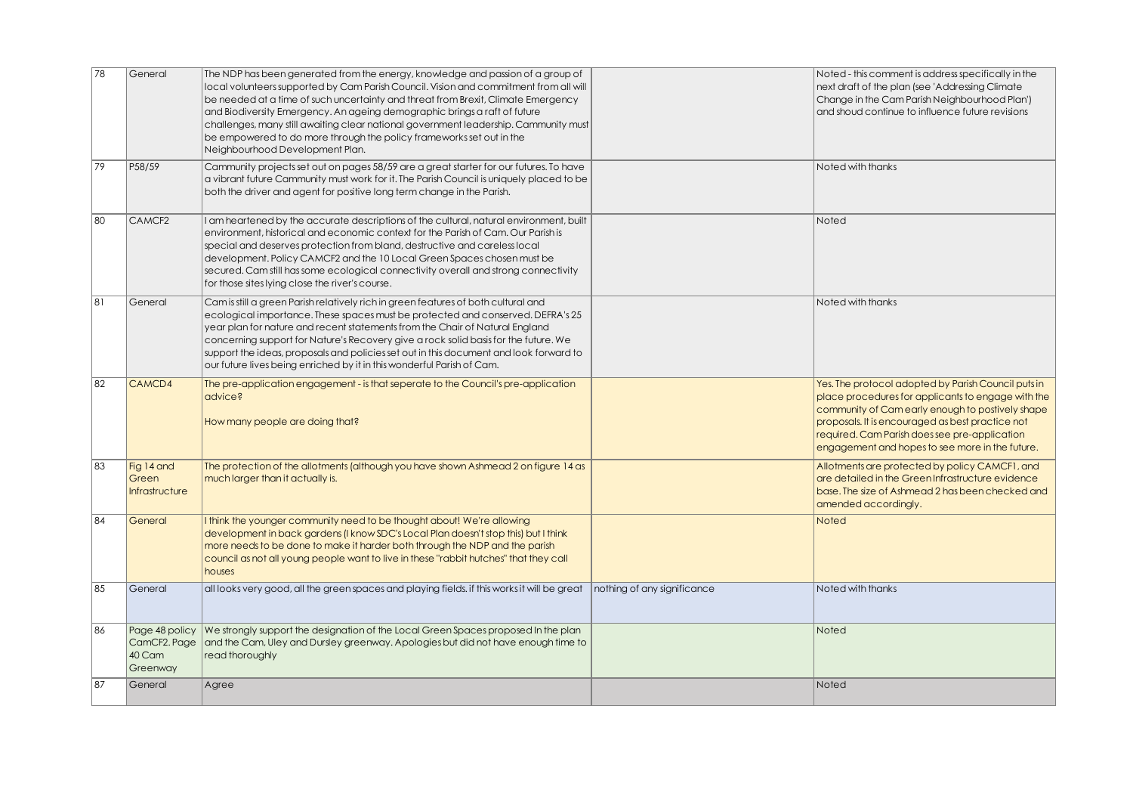| 78              | General                                              | The NDP has been generated from the energy, knowledge and passion of a group of<br>local volunteers supported by Cam Parish Council. Vision and commitment from all will<br>be needed at a time of such uncertainty and threat from Brexit, Climate Emergency<br>and Biodiversity Emergency. An ageing demographic brings a raft of future<br>challenges, many still awaiting clear national government leadership. Cammunity must<br>be empowered to do more through the policy frameworks set out in the<br>Neighbourhood Development Plan. |                             | Noted - this comment is address specifically in the<br>next draft of the plan (see 'Addressing Climate<br>Change in the Cam Parish Neighbourhood Plan')<br>and shoud continue to influence future revisions                                                                                                           |
|-----------------|------------------------------------------------------|-----------------------------------------------------------------------------------------------------------------------------------------------------------------------------------------------------------------------------------------------------------------------------------------------------------------------------------------------------------------------------------------------------------------------------------------------------------------------------------------------------------------------------------------------|-----------------------------|-----------------------------------------------------------------------------------------------------------------------------------------------------------------------------------------------------------------------------------------------------------------------------------------------------------------------|
| 79              | P58/59                                               | Cammunity projects set out on pages 58/59 are a great starter for our futures. To have<br>a vibrant future Cammunity must work for it. The Parish Council is uniquely placed to be<br>both the driver and agent for positive long term change in the Parish.                                                                                                                                                                                                                                                                                  |                             | Noted with thanks                                                                                                                                                                                                                                                                                                     |
| 80              | CAMCF <sub>2</sub>                                   | I am heartened by the accurate descriptions of the cultural, natural environment, built<br>environment, historical and economic context for the Parish of Cam. Our Parish is<br>special and deserves protection from bland, destructive and careless local<br>development. Policy CAMCF2 and the 10 Local Green Spaces chosen must be<br>secured. Cam still has some ecological connectivity overall and strong connectivity<br>for those sites lying close the river's course.                                                               |                             | Noted                                                                                                                                                                                                                                                                                                                 |
| $\overline{81}$ | General                                              | Cam is still a green Parish relatively rich in green features of both cultural and<br>ecological importance. These spaces must be protected and conserved. DEFRA's 25<br>year plan for nature and recent statements from the Chair of Natural England<br>concerning support for Nature's Recovery give a rock solid basis for the future. We<br>support the ideas, proposals and policies set out in this document and look forward to<br>our future lives being enriched by it in this wonderful Parish of Cam.                              |                             | Noted with thanks                                                                                                                                                                                                                                                                                                     |
| 82              | CAMCD4                                               | The pre-application engagement - is that seperate to the Council's pre-application<br>advice?<br>How many people are doing that?                                                                                                                                                                                                                                                                                                                                                                                                              |                             | Yes. The protocol adopted by Parish Council puts in<br>place procedures for applicants to engage with the<br>community of Cam early enough to postively shape<br>proposals. It is encouraged as best practice not<br>required. Cam Parish does see pre-application<br>engagement and hopes to see more in the future. |
| 83              | Fig 14 and<br>Green<br>Infrastructure                | The protection of the allotments (although you have shown Ashmead 2 on figure 14 as<br>much larger than it actually is.                                                                                                                                                                                                                                                                                                                                                                                                                       |                             | Allotments are protected by policy CAMCF1, and<br>are detailed in the Green Infrastructure evidence<br>base. The size of Ashmead 2 has been checked and<br>amended accordingly.                                                                                                                                       |
| 84              | General                                              | I think the younger community need to be thought about! We're allowing<br>development in back gardens (I know SDC's Local Plan doesn't stop this) but I think<br>more needs to be done to make it harder both through the NDP and the parish<br>council as not all young people want to live in these "rabbit hutches" that they call<br>houses                                                                                                                                                                                               |                             | Noted                                                                                                                                                                                                                                                                                                                 |
| 85              | General                                              | all looks very good, all the green spaces and playing fields. if this works it will be great                                                                                                                                                                                                                                                                                                                                                                                                                                                  | nothing of any significance | Noted with thanks                                                                                                                                                                                                                                                                                                     |
| 86              | Page 48 policy<br>CamCF2. Page<br>40 Cam<br>Greenway | We strongly support the designation of the Local Green Spaces proposed In the plan<br>and the Cam, Uley and Dursley greenway. Apologies but did not have enough time to<br>read thoroughly                                                                                                                                                                                                                                                                                                                                                    |                             | Noted                                                                                                                                                                                                                                                                                                                 |
| 87              | General                                              | Agree                                                                                                                                                                                                                                                                                                                                                                                                                                                                                                                                         |                             | Noted                                                                                                                                                                                                                                                                                                                 |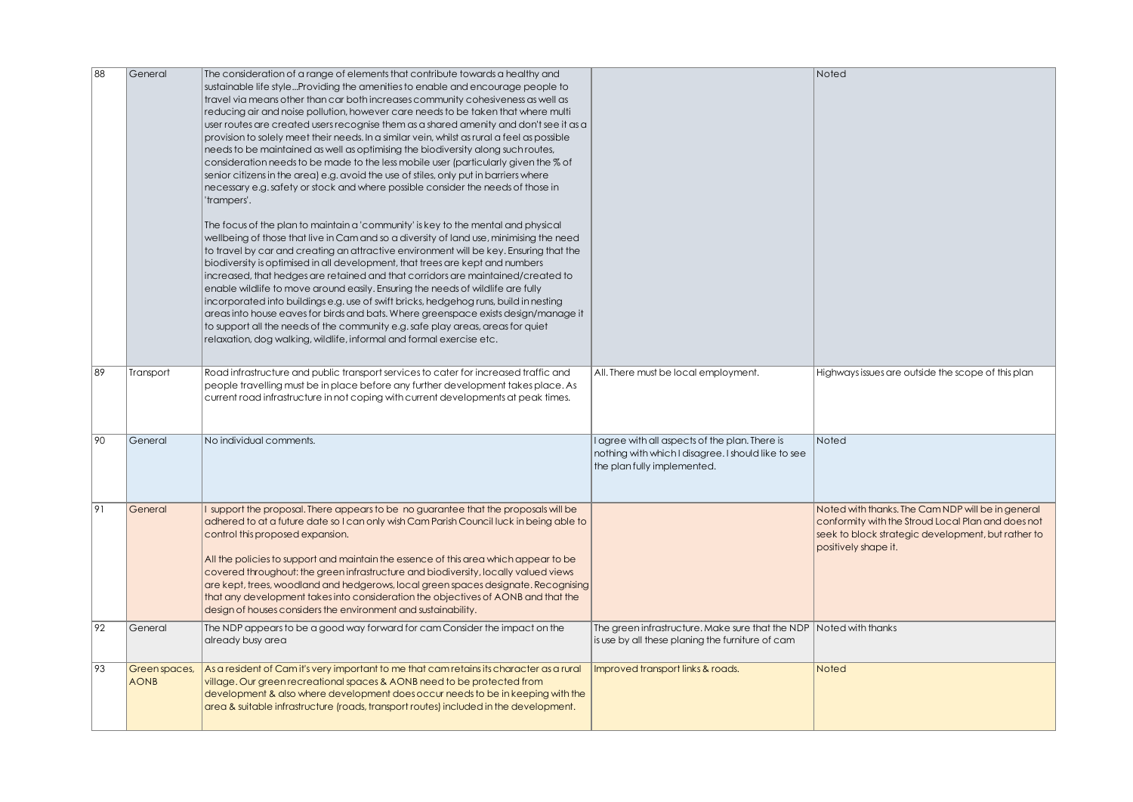| 88 | General                      | The consideration of a range of elements that contribute towards a healthy and<br>sustainable life styleProviding the amenities to enable and encourage people to<br>travel via means other than car both increases community cohesiveness as well as<br>reducing air and noise pollution, however care needs to be taken that where multi<br>user routes are created users recognise them as a shared amenity and don't see it as a<br>provision to solely meet their needs. In a similar vein, whilst as rural a feel as possible<br>needs to be maintained as well as optimising the biodiversity along such routes,<br>consideration needs to be made to the less mobile user (particularly given the % of<br>senior citizens in the area) e.g. avoid the use of stiles, only put in barriers where<br>necessary e.g. safety or stock and where possible consider the needs of those in<br>'trampers'.<br>The focus of the plan to maintain a 'community' is key to the mental and physical<br>wellbeing of those that live in Cam and so a diversity of land use, minimising the need<br>to travel by car and creating an attractive environment will be key. Ensuring that the<br>biodiversity is optimised in all development, that trees are kept and numbers<br>increased, that hedges are retained and that corridors are maintained/created to<br>enable wildlife to move around easily. Ensuring the needs of wildlife are fully<br>incorporated into buildings e.g. use of swift bricks, hedgehog runs, build in nesting<br>areas into house eaves for birds and bats. Where greenspace exists design/manage it<br>to support all the needs of the community e.g. safe play areas, areas for quiet<br>relaxation, dog walking, wildlife, informal and formal exercise etc. |                                                                                                                                      | Noted                                                                                                                                                                                 |
|----|------------------------------|-----------------------------------------------------------------------------------------------------------------------------------------------------------------------------------------------------------------------------------------------------------------------------------------------------------------------------------------------------------------------------------------------------------------------------------------------------------------------------------------------------------------------------------------------------------------------------------------------------------------------------------------------------------------------------------------------------------------------------------------------------------------------------------------------------------------------------------------------------------------------------------------------------------------------------------------------------------------------------------------------------------------------------------------------------------------------------------------------------------------------------------------------------------------------------------------------------------------------------------------------------------------------------------------------------------------------------------------------------------------------------------------------------------------------------------------------------------------------------------------------------------------------------------------------------------------------------------------------------------------------------------------------------------------------------------------------------------------------------------------------------------------------------------------|--------------------------------------------------------------------------------------------------------------------------------------|---------------------------------------------------------------------------------------------------------------------------------------------------------------------------------------|
| 89 | Transport                    | Road infrastructure and public transport services to cater for increased traffic and<br>people travelling must be in place before any further development takes place. As<br>current road infrastructure in not coping with current developments at peak times.                                                                                                                                                                                                                                                                                                                                                                                                                                                                                                                                                                                                                                                                                                                                                                                                                                                                                                                                                                                                                                                                                                                                                                                                                                                                                                                                                                                                                                                                                                                         | All. There must be local employment.                                                                                                 | Highways issues are outside the scope of this plan                                                                                                                                    |
| 90 | General                      | No individual comments.                                                                                                                                                                                                                                                                                                                                                                                                                                                                                                                                                                                                                                                                                                                                                                                                                                                                                                                                                                                                                                                                                                                                                                                                                                                                                                                                                                                                                                                                                                                                                                                                                                                                                                                                                                 | I agree with all aspects of the plan. There is<br>nothing with which I disagree. I should like to see<br>the plan fully implemented. | Noted                                                                                                                                                                                 |
| 91 | General                      | support the proposal. There appears to be no guarantee that the proposals will be<br>adhered to at a future date so I can only wish Cam Parish Council luck in being able to<br>control this proposed expansion.<br>All the policies to support and maintain the essence of this area which appear to be<br>covered throughout: the green infrastructure and biodiversity, locally valued views<br>are kept, trees, woodland and hedgerows, local green spaces designate. Recognising<br>that any development takes into consideration the objectives of AONB and that the<br>design of houses considers the environment and sustainability.                                                                                                                                                                                                                                                                                                                                                                                                                                                                                                                                                                                                                                                                                                                                                                                                                                                                                                                                                                                                                                                                                                                                            |                                                                                                                                      | Noted with thanks. The Cam NDP will be in general<br>conformity with the Stroud Local Plan and does not<br>seek to block strategic development, but rather to<br>positively shape it. |
| 92 | General                      | The NDP appears to be a good way forward for cam Consider the impact on the<br>already busy area                                                                                                                                                                                                                                                                                                                                                                                                                                                                                                                                                                                                                                                                                                                                                                                                                                                                                                                                                                                                                                                                                                                                                                                                                                                                                                                                                                                                                                                                                                                                                                                                                                                                                        | The green infrastructure. Make sure that the NDP Noted with thanks<br>is use by all these planing the furniture of cam               |                                                                                                                                                                                       |
| 93 | Green spaces,<br><b>AONB</b> | As a resident of Camit's very important to me that cam retains its character as a rural<br>village. Our green recreational spaces & AONB need to be protected from<br>development & also where development does occur needs to be in keeping with the<br>area & suitable infrastructure (roads, transport routes) included in the development.                                                                                                                                                                                                                                                                                                                                                                                                                                                                                                                                                                                                                                                                                                                                                                                                                                                                                                                                                                                                                                                                                                                                                                                                                                                                                                                                                                                                                                          | Improved transport links & roads.                                                                                                    | <b>Noted</b>                                                                                                                                                                          |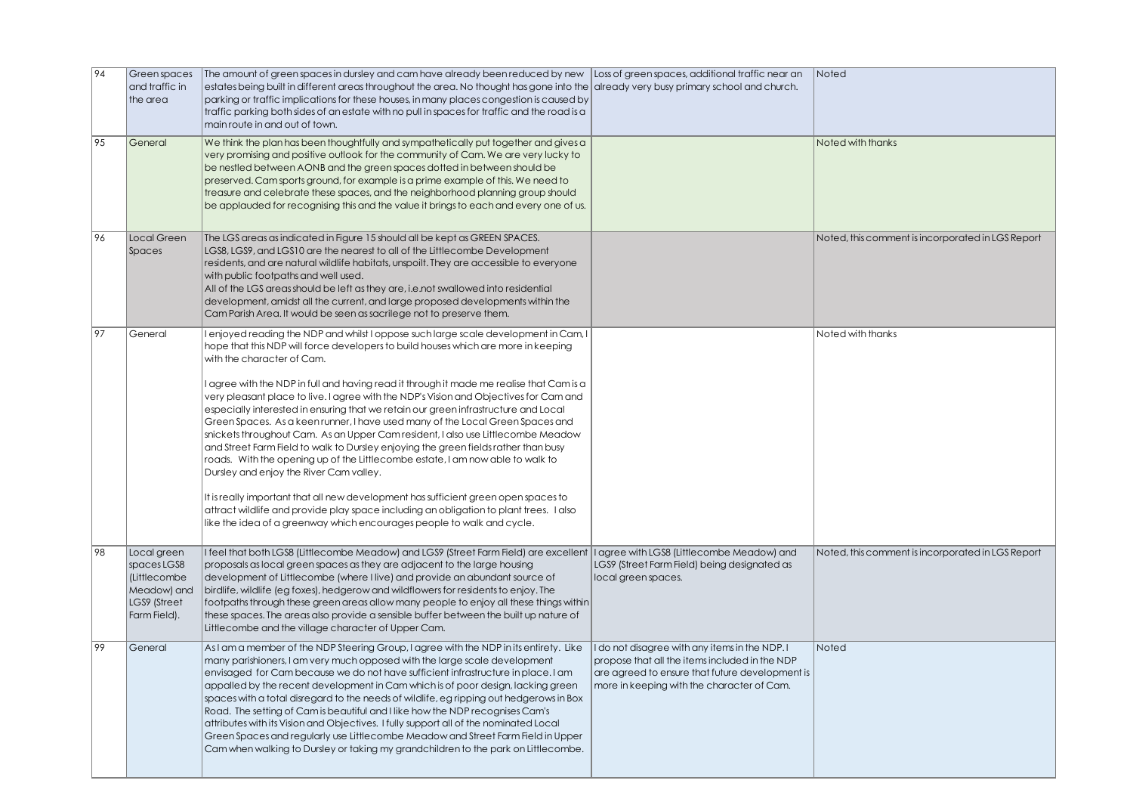| $\sqrt{94}$ | Green spaces<br>and traffic in<br>the area                                                | The amount of green spaces in dursley and cam have already been reduced by new<br>estates being built in different areas throughout the area. No thought has gone into the already very busy primary school and church.<br>parking or traffic implications for these houses, in many places congestion is caused by<br>traffic parking both sides of an estate with no pull in spaces for traffic and the road is a<br>main route in and out of town.                                                                                                                                                                                                                                                                                                                                                                                                                                                                                                                                                                                                                                                                                     | Loss of green spaces, additional traffic near an                                                                                                                                                           | Noted                                             |
|-------------|-------------------------------------------------------------------------------------------|-------------------------------------------------------------------------------------------------------------------------------------------------------------------------------------------------------------------------------------------------------------------------------------------------------------------------------------------------------------------------------------------------------------------------------------------------------------------------------------------------------------------------------------------------------------------------------------------------------------------------------------------------------------------------------------------------------------------------------------------------------------------------------------------------------------------------------------------------------------------------------------------------------------------------------------------------------------------------------------------------------------------------------------------------------------------------------------------------------------------------------------------|------------------------------------------------------------------------------------------------------------------------------------------------------------------------------------------------------------|---------------------------------------------------|
| 95          | General                                                                                   | We think the plan has been thoughtfully and sympathetically put together and gives a<br>very promising and positive outlook for the community of Cam. We are very lucky to<br>be nestled between AONB and the green spaces dotted in between should be<br>preserved. Cam sports ground, for example is a prime example of this. We need to<br>treasure and celebrate these spaces, and the neighborhood planning group should<br>be applauded for recognising this and the value it brings to each and every one of us.                                                                                                                                                                                                                                                                                                                                                                                                                                                                                                                                                                                                                   |                                                                                                                                                                                                            | Noted with thanks                                 |
| 96          | Local Green<br><b>Spaces</b>                                                              | The LGS areas as indicated in Figure 15 should all be kept as GREEN SPACES.<br>LGS8, LGS9, and LGS10 are the nearest to all of the Littlecombe Development<br>residents, and are natural wildlife habitats, unspoilt. They are accessible to everyone<br>with public footpaths and well used.<br>All of the LGS areas should be left as they are, i.e.not swallowed into residential<br>development, amidst all the current, and large proposed developments within the<br>Cam Parish Area. It would be seen as sacrilege not to preserve them.                                                                                                                                                                                                                                                                                                                                                                                                                                                                                                                                                                                           |                                                                                                                                                                                                            | Noted, this comment is incorporated in LGS Report |
| 197         | General                                                                                   | I enjoyed reading the NDP and whilst I oppose such large scale development in Cam, I<br>hope that this NDP will force developers to build houses which are more in keeping<br>with the character of Cam.<br>I agree with the NDP in full and having read it through it made me realise that Cam is a<br>very pleasant place to live. I agree with the NDP's Vision and Objectives for Cam and<br>especially interested in ensuring that we retain our green infrastructure and Local<br>Green Spaces. As a keen runner, I have used many of the Local Green Spaces and<br>snickets throughout Cam. As an Upper Cam resident, I also use Littlecombe Meadow<br>and Street Farm Field to walk to Dursley enjoying the green fields rather than busy<br>roads. With the opening up of the Littlecombe estate, I am now able to walk to<br>Dursley and enjoy the River Cam valley.<br>It is really important that all new development has sufficient green open spaces to<br>attract wildlife and provide play space including an obligation to plant trees. I also<br>like the idea of a greenway which encourages people to walk and cycle. |                                                                                                                                                                                                            | Noted with thanks                                 |
| 98          | Local green<br>spaces LGS8<br>(Littlecombe<br>Meadow) and<br>LGS9 (Street<br>Farm Field). | I feel that both LGS8 (Littlecombe Meadow) and LGS9 (Street Farm Field) are excellent  I agree with LGS8 (Littlecombe Meadow) and<br>proposals as local green spaces as they are adjacent to the large housing<br>development of Littlecombe (where I live) and provide an abundant source of<br>birdlife, wildlife (eg foxes), hedgerow and wildflowers for residents to enjoy. The<br>footpaths through these green areas allow many people to enjoy all these things within<br>these spaces. The areas also provide a sensible buffer between the built up nature of<br>Littlecombe and the village character of Upper Cam.                                                                                                                                                                                                                                                                                                                                                                                                                                                                                                            | LGS9 (Street Farm Field) being designated as<br>local green spaces.                                                                                                                                        | Noted, this comment is incorporated in LGS Report |
| 99          | General                                                                                   | As I am a member of the NDP Steering Group, I agree with the NDP in its entirety. Like<br>many parishioners, I am very much opposed with the large scale development<br>envisaged for Cam because we do not have sufficient infrastructure in place. I am<br>appalled by the recent development in Cam which is of poor design, lacking green<br>spaces with a total disregard to the needs of wildlife, eg ripping out hedgerows in Box<br>Road. The setting of Cam is beautiful and I like how the NDP recognises Cam's<br>attributes with its Vision and Objectives. I fully support all of the nominated Local<br>Green Spaces and regularly use Littlecombe Meadow and Street Farm Field in Upper<br>Cam when walking to Dursley or taking my grandchildren to the park on Littlecombe.                                                                                                                                                                                                                                                                                                                                              | I do not disagree with any items in the NDP. I<br>propose that all the items included in the NDP<br>$\alpha$ are agreed to ensure that future development is<br>more in keeping with the character of Cam. | Noted                                             |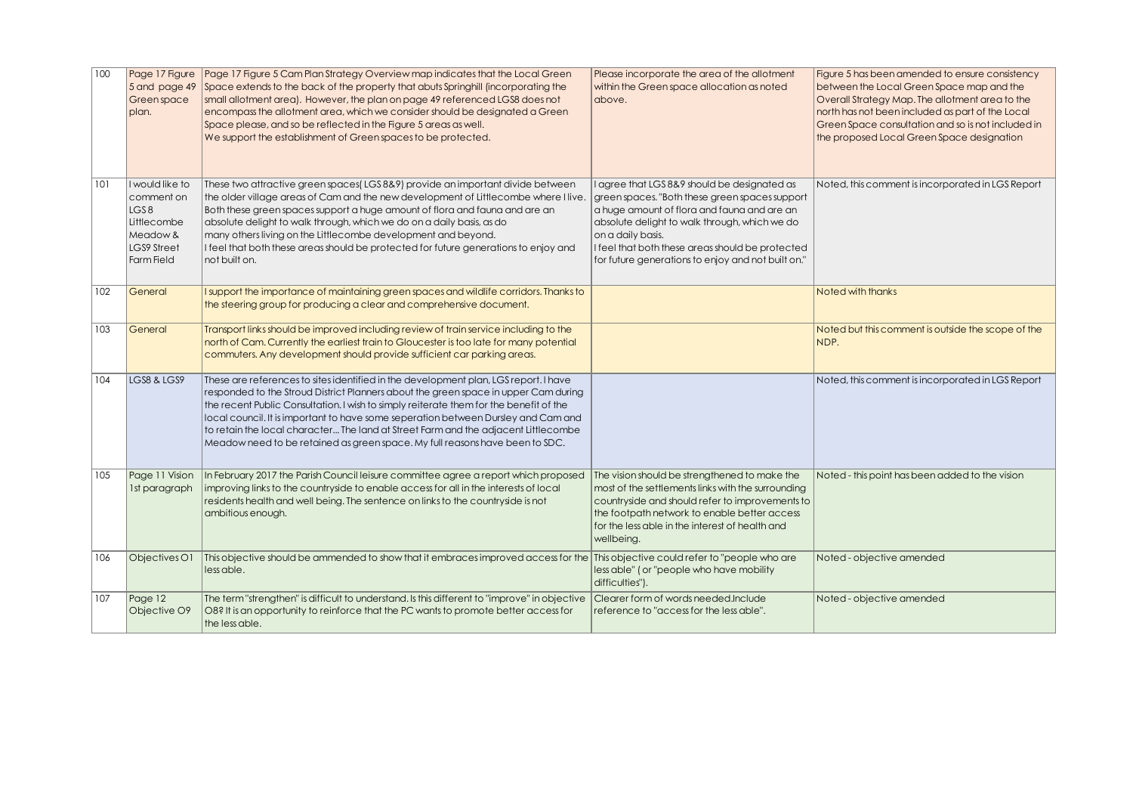| 100 | Page 17 Figure<br>5 and page 49<br>Green space<br>plan.                                                   | Page 17 Figure 5 Cam Plan Strategy Overview map indicates that the Local Green<br>Space extends to the back of the property that abuts Springhill (incorporating the<br>small allotment area). However, the plan on page 49 referenced LGS8 does not<br>encompass the allotment area, which we consider should be designated a Green<br>Space please, and so be reflected in the Figure 5 areas as well.<br>We support the establishment of Green spaces to be protected.                                                         | Please incorporate the area of the allotment<br>within the Green space allocation as noted<br>above.                                                                                                                                                                                                                          | Figure 5 has been amended to ensure consistency<br>between the Local Green Space map and the<br>Overall Strategy Map. The allotment area to the<br>north has not been included as part of the Local<br>Green Space consultation and so is not included in<br>the proposed Local Green Space designation |
|-----|-----------------------------------------------------------------------------------------------------------|-----------------------------------------------------------------------------------------------------------------------------------------------------------------------------------------------------------------------------------------------------------------------------------------------------------------------------------------------------------------------------------------------------------------------------------------------------------------------------------------------------------------------------------|-------------------------------------------------------------------------------------------------------------------------------------------------------------------------------------------------------------------------------------------------------------------------------------------------------------------------------|---------------------------------------------------------------------------------------------------------------------------------------------------------------------------------------------------------------------------------------------------------------------------------------------------------|
| 101 | I would like to<br>comment on<br>LGS <sub>8</sub><br>Littlecombe<br>Meadow &<br>LGS9 Street<br>Farm Field | These two attractive green spaces (LGS 8&9) provide an important divide between<br>the older village areas of Cam and the new development of Littlecombe where I live.<br>Both these green spaces support a huge amount of flora and fauna and are an<br>absolute delight to walk through, which we do on a daily basis, as do<br>many others living on the Littlecombe development and beyond.<br>I feel that both these areas should be protected for future generations to enjoy and<br>not built on.                          | I agree that LGS 8&9 should be designated as<br>green spaces. "Both these green spaces support<br>a huge amount of flora and fauna and are an<br>absolute delight to walk through, which we do<br>on a daily basis.<br>I feel that both these areas should be protected<br>for future generations to enjoy and not built on." | Noted, this comment is incorporated in LGS Report                                                                                                                                                                                                                                                       |
| 102 | General                                                                                                   | I support the importance of maintaining green spaces and wildlife corridors. Thanks to<br>the steering group for producing a clear and comprehensive document.                                                                                                                                                                                                                                                                                                                                                                    |                                                                                                                                                                                                                                                                                                                               | Noted with thanks                                                                                                                                                                                                                                                                                       |
| 103 | General                                                                                                   | Transport links should be improved including review of train service including to the<br>north of Cam. Currently the earliest train to Gloucester is too late for many potential<br>commuters. Any development should provide sufficient car parking areas.                                                                                                                                                                                                                                                                       |                                                                                                                                                                                                                                                                                                                               | Noted but this comment is outside the scope of the<br>NDP.                                                                                                                                                                                                                                              |
| 104 | LGS8 & LGS9                                                                                               | These are references to sites identified in the development plan, LGS report. I have<br>responded to the Stroud District Planners about the green space in upper Cam during<br>the recent Public Consultation. I wish to simply reiterate them for the benefit of the<br>local council. It is important to have some seperation between Dursley and Cam and<br>to retain the local character The land at Street Farm and the adjacent Littlecombe<br>Meadow need to be retained as green space. My full reasons have been to SDC. |                                                                                                                                                                                                                                                                                                                               | Noted, this comment is incorporated in LGS Report                                                                                                                                                                                                                                                       |
| 105 | Page 11 Vision<br>1st paragraph                                                                           | In February 2017 the Parish Council leisure committee agree a report which proposed<br>improving links to the countryside to enable access for all in the interests of local<br>residents health and well being. The sentence on links to the countryside is not<br>ambitious enough.                                                                                                                                                                                                                                             | The vision should be strengthened to make the<br>most of the settlements links with the surrounding<br>countryside and should refer to improvements to<br>the footpath network to enable better access<br>for the less able in the interest of health and<br>wellbeing.                                                       | Noted - this point has been added to the vision                                                                                                                                                                                                                                                         |
| 106 | Objectives O1                                                                                             | This objective should be ammended to show that it embraces improved access for the This objective could refer to "people who are<br>less able.                                                                                                                                                                                                                                                                                                                                                                                    | less able" (or "people who have mobility<br>difficulties").                                                                                                                                                                                                                                                                   | Noted - objective amended                                                                                                                                                                                                                                                                               |
| 107 | Page12<br>Objective O9                                                                                    | The term "strengthen" is difficult to understand. Is this different to "improve" in objective<br>O8? It is an opportunity to reinforce that the PC wants to promote better access for<br>the less able.                                                                                                                                                                                                                                                                                                                           | Clearer form of words needed. Include<br>reference to "access for the less able".                                                                                                                                                                                                                                             | Noted - objective amended                                                                                                                                                                                                                                                                               |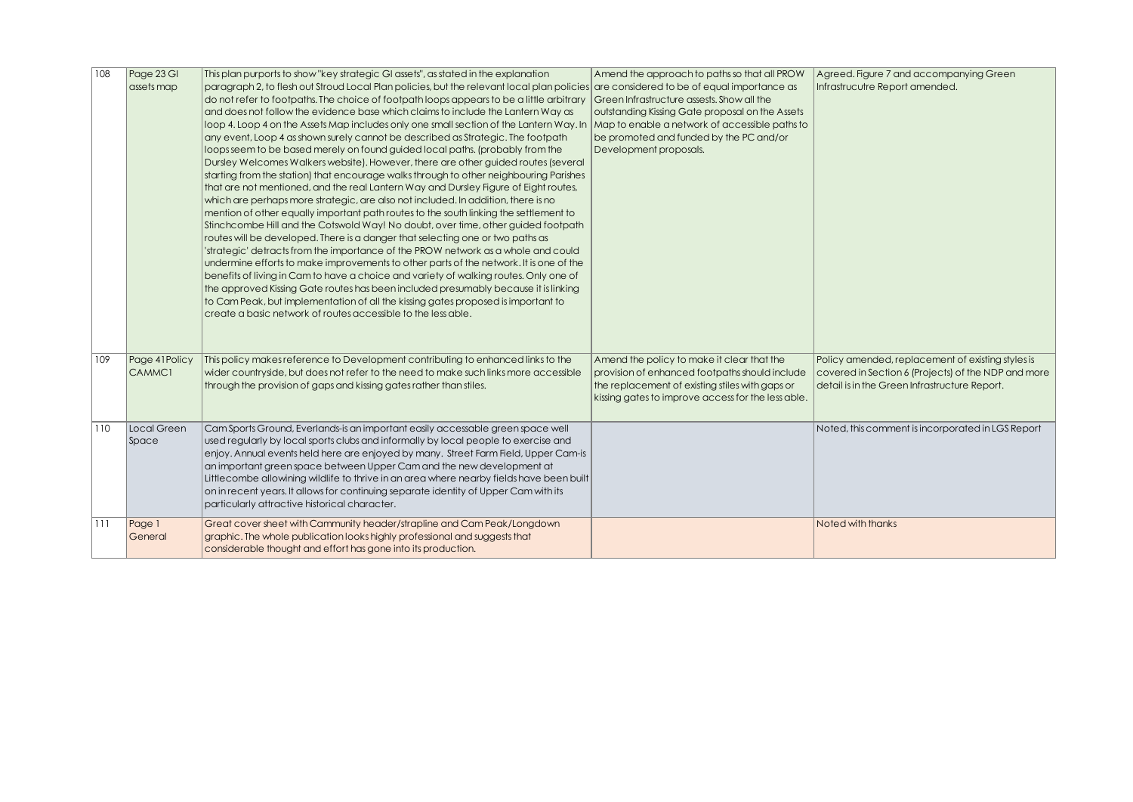| 108 | Page 23 GI     | This plan purports to show "key strategic GI assets", as stated in the explanation                                                       | Amend the approach to paths so that all PROW       | Agreed. Figure 7 and accompanying Green             |
|-----|----------------|------------------------------------------------------------------------------------------------------------------------------------------|----------------------------------------------------|-----------------------------------------------------|
|     | assets map     | paragraph 2, to flesh out Stroud Local Plan policies, but the relevant local plan policies are considered to be of equal importance as   |                                                    | Infrastrucutre Report amended.                      |
|     |                | do not refer to footpaths. The choice of footpath loops appears to be a little arbitrary                                                 | Green Infrastructure assests. Show all the         |                                                     |
|     |                | and does not follow the evidence base which claims to include the Lantern Way as                                                         | outstanding Kissing Gate proposal on the Assets    |                                                     |
|     |                | loop 4. Loop 4 on the Assets Map includes only one small section of the Lantern Way. In   Map to enable a network of accessible paths to |                                                    |                                                     |
|     |                | any event, Loop 4 as shown surely cannot be described as Strategic. The footpath                                                         | be promoted and funded by the PC and/or            |                                                     |
|     |                | loops seem to be based merely on found guided local paths. (probably from the                                                            | Development proposals.                             |                                                     |
|     |                | Dursley Welcomes Walkers website). However, there are other guided routes (several                                                       |                                                    |                                                     |
|     |                | starting from the station) that encourage walks through to other neighbouring Parishes                                                   |                                                    |                                                     |
|     |                | that are not mentioned, and the real Lantern Way and Dursley Figure of Eight routes,                                                     |                                                    |                                                     |
|     |                | which are perhaps more strategic, are also not included. In addition, there is no                                                        |                                                    |                                                     |
|     |                | mention of other equally important path routes to the south linking the settlement to                                                    |                                                    |                                                     |
|     |                | Stinchcombe Hill and the Cotswold Way! No doubt, over time, other guided footpath                                                        |                                                    |                                                     |
|     |                | routes will be developed. There is a danger that selecting one or two paths as                                                           |                                                    |                                                     |
|     |                | 'strategic' detracts from the importance of the PROW network as a whole and could                                                        |                                                    |                                                     |
|     |                | undermine efforts to make improvements to other parts of the network. It is one of the                                                   |                                                    |                                                     |
|     |                | benefits of living in Cam to have a choice and variety of walking routes. Only one of                                                    |                                                    |                                                     |
|     |                | the approved Kissing Gate routes has been included presumably because it is linking                                                      |                                                    |                                                     |
|     |                | to Cam Peak, but implementation of all the kissing gates proposed is important to                                                        |                                                    |                                                     |
|     |                | create a basic network of routes accessible to the less able.                                                                            |                                                    |                                                     |
|     |                |                                                                                                                                          |                                                    |                                                     |
|     |                |                                                                                                                                          |                                                    |                                                     |
|     |                |                                                                                                                                          |                                                    |                                                     |
| 109 | Page 41 Policy | This policy makes reference to Development contributing to enhanced links to the                                                         | Amend the policy to make it clear that the         | Policy amended, replacement of existing styles is   |
|     | CAMMC1         | wider countryside, but does not refer to the need to make such links more accessible                                                     | provision of enhanced footpaths should include     | covered in Section 6 (Projects) of the NDP and more |
|     |                | through the provision of gaps and kissing gates rather than stiles.                                                                      | the replacement of existing stiles with gaps or    | detail is in the Green Infrastructure Report.       |
|     |                |                                                                                                                                          | kissing gates to improve access for the less able. |                                                     |
|     |                |                                                                                                                                          |                                                    |                                                     |
| 110 | Local Green    | Cam Sports Ground, Everlands-is an important easily accessable green space well                                                          |                                                    | Noted, this comment is incorporated in LGS Report   |
|     | Space          | used regularly by local sports clubs and informally by local people to exercise and                                                      |                                                    |                                                     |
|     |                | enjoy. Annual events held here are enjoyed by many. Street Farm Field, Upper Cam-is                                                      |                                                    |                                                     |
|     |                | an important green space between Upper Cam and the new development at                                                                    |                                                    |                                                     |
|     |                | Littlecombe allowining wildlife to thrive in an area where nearby fields have been built                                                 |                                                    |                                                     |
|     |                | on in recent years. It allows for continuing separate identity of Upper Cam with its                                                     |                                                    |                                                     |
|     |                | particularly attractive historical character.                                                                                            |                                                    |                                                     |
| 111 | Page 1         | Great cover sheet with Cammunity header/strapline and Cam Peak/Longdown                                                                  |                                                    | Noted with thanks                                   |
|     | General        | graphic. The whole publication looks highly professional and suggests that                                                               |                                                    |                                                     |
|     |                | considerable thought and effort has gone into its production.                                                                            |                                                    |                                                     |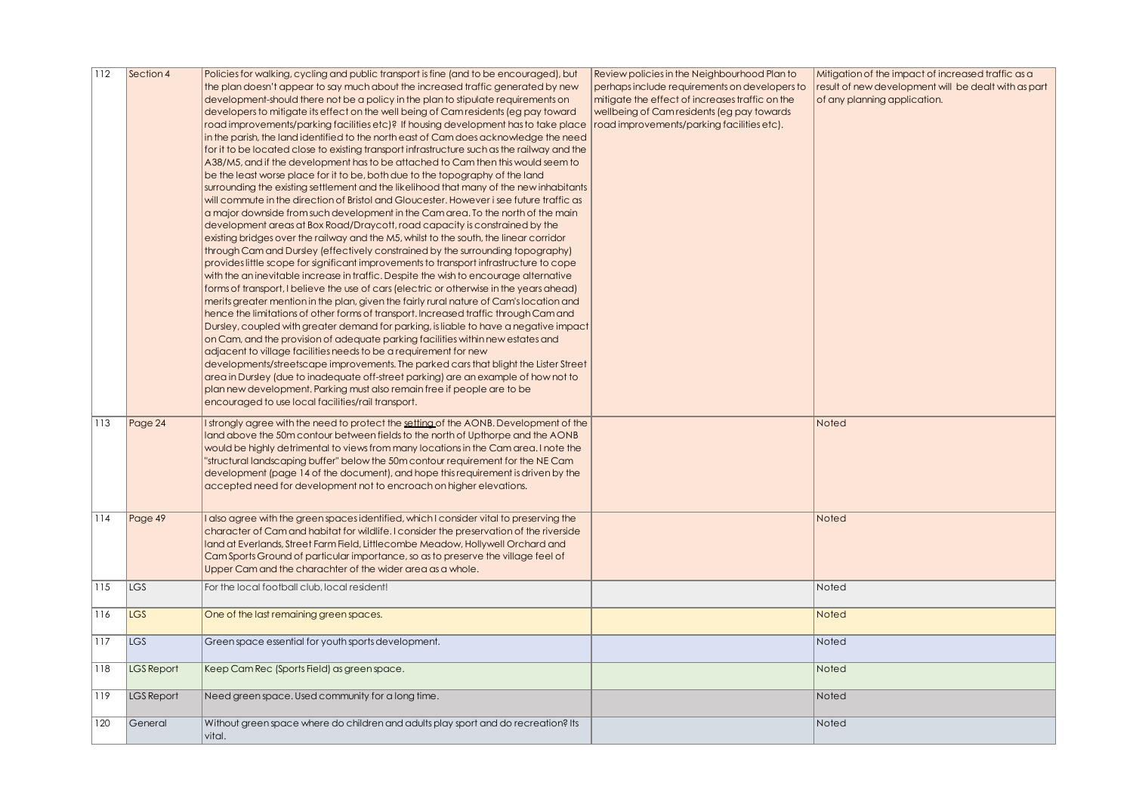| 112 | Section 4         | Policies for walking, cycling and public transport is fine (and to be encouraged), but      | Review policies in the Neighbourhood Plan to    | Mitigation of the impact of increased traffic as a   |
|-----|-------------------|---------------------------------------------------------------------------------------------|-------------------------------------------------|------------------------------------------------------|
|     |                   | the plan doesn't appear to say much about the increased traffic generated by new            | perhaps include requirements on developers to   | result of new development will be dealt with as part |
|     |                   | development-should there not be a policy in the plan to stipulate requirements on           | mitigate the effect of increases traffic on the | of any planning application.                         |
|     |                   | developers to mitigate its effect on the well being of Cam residents (eg pay toward         | wellbeing of Cam residents (eg pay towards)     |                                                      |
|     |                   | road improvements/parking facilities etc)? If housing development has to take place         | road improvements/parking facilities etc).      |                                                      |
|     |                   | in the parish, the land identified to the north east of Cam does acknowledge the need       |                                                 |                                                      |
|     |                   | for it to be located close to existing transport infrastructure such as the railway and the |                                                 |                                                      |
|     |                   | A38/M5, and if the development has to be attached to Cam then this would seem to            |                                                 |                                                      |
|     |                   | be the least worse place for it to be, both due to the topography of the land               |                                                 |                                                      |
|     |                   | surrounding the existing settlement and the likelihood that many of the new inhabitants     |                                                 |                                                      |
|     |                   | will commute in the direction of Bristol and Gloucester. However i see future traffic as    |                                                 |                                                      |
|     |                   | a major downside from such development in the Cam area. To the north of the main            |                                                 |                                                      |
|     |                   | development areas at Box Road/Draycott, road capacity is constrained by the                 |                                                 |                                                      |
|     |                   |                                                                                             |                                                 |                                                      |
|     |                   | existing bridges over the railway and the M5, whilst to the south, the linear corridor      |                                                 |                                                      |
|     |                   | through Cam and Dursley (effectively constrained by the surrounding topography)             |                                                 |                                                      |
|     |                   | provides little scope for significant improvements to transport infrastructure to cope      |                                                 |                                                      |
|     |                   | with the an inevitable increase in traffic. Despite the wish to encourage alternative       |                                                 |                                                      |
|     |                   | forms of transport, I believe the use of cars (electric or otherwise in the years ahead)    |                                                 |                                                      |
|     |                   | merits greater mention in the plan, given the fairly rural nature of Cam's location and     |                                                 |                                                      |
|     |                   | hence the limitations of other forms of transport. Increased traffic through Cam and        |                                                 |                                                      |
|     |                   | Dursley, coupled with greater demand for parking, is liable to have a negative impact       |                                                 |                                                      |
|     |                   | on Cam, and the provision of adequate parking facilities within new estates and             |                                                 |                                                      |
|     |                   | adjacent to village facilities needs to be a requirement for new                            |                                                 |                                                      |
|     |                   | developments/streetscape improvements. The parked cars that blight the Lister Street        |                                                 |                                                      |
|     |                   | area in Dursley (due to inadequate off-street parking) are an example of how not to         |                                                 |                                                      |
|     |                   | plan new development. Parking must also remain free if people are to be                     |                                                 |                                                      |
|     |                   | encouraged to use local facilities/rail transport.                                          |                                                 |                                                      |
| 113 | Page 24           | I strongly agree with the need to protect the setting of the AONB. Development of the       |                                                 | Noted                                                |
|     |                   | land above the 50m contour between fields to the north of Upthorpe and the AONB             |                                                 |                                                      |
|     |                   | would be highly detrimental to views from many locations in the Cam area. I note the        |                                                 |                                                      |
|     |                   | 'structural landscaping buffer" below the 50m contour requirement for the NE Cam            |                                                 |                                                      |
|     |                   | development (page 14 of the document), and hope this requirement is driven by the           |                                                 |                                                      |
|     |                   | accepted need for development not to encroach on higher elevations.                         |                                                 |                                                      |
|     |                   |                                                                                             |                                                 |                                                      |
|     |                   |                                                                                             |                                                 |                                                      |
| 114 | Page 49           | I also agree with the green spaces identified, which I consider vital to preserving the     |                                                 | Noted                                                |
|     |                   | character of Cam and habitat for wildlife. I consider the preservation of the riverside     |                                                 |                                                      |
|     |                   | land at Everlands, Street Farm Field, Littlecombe Meadow, Hollywell Orchard and             |                                                 |                                                      |
|     |                   | Cam Sports Ground of particular importance, so as to preserve the village feel of           |                                                 |                                                      |
|     |                   | Upper Cam and the charachter of the wider area as a whole.                                  |                                                 |                                                      |
| 115 | LGS               | For the local football club, local resident!                                                |                                                 | Noted                                                |
|     |                   |                                                                                             |                                                 |                                                      |
| 116 | <b>LGS</b>        | One of the last remaining green spaces.                                                     |                                                 | Noted                                                |
|     |                   |                                                                                             |                                                 |                                                      |
| 117 | LGS               | Green space essential for youth sports development.                                         |                                                 | Noted                                                |
|     |                   |                                                                                             |                                                 |                                                      |
| 118 | <b>LGS Report</b> | Keep Cam Rec (Sports Field) as green space.                                                 |                                                 | Noted                                                |
|     |                   |                                                                                             |                                                 |                                                      |
| 119 | LGS Report        | Need green space. Used community for a long time.                                           |                                                 | Noted                                                |
|     |                   |                                                                                             |                                                 |                                                      |
| 120 | General           | Without green space where do children and adults play sport and do recreation? Its          |                                                 | Noted                                                |
|     |                   | vital.                                                                                      |                                                 |                                                      |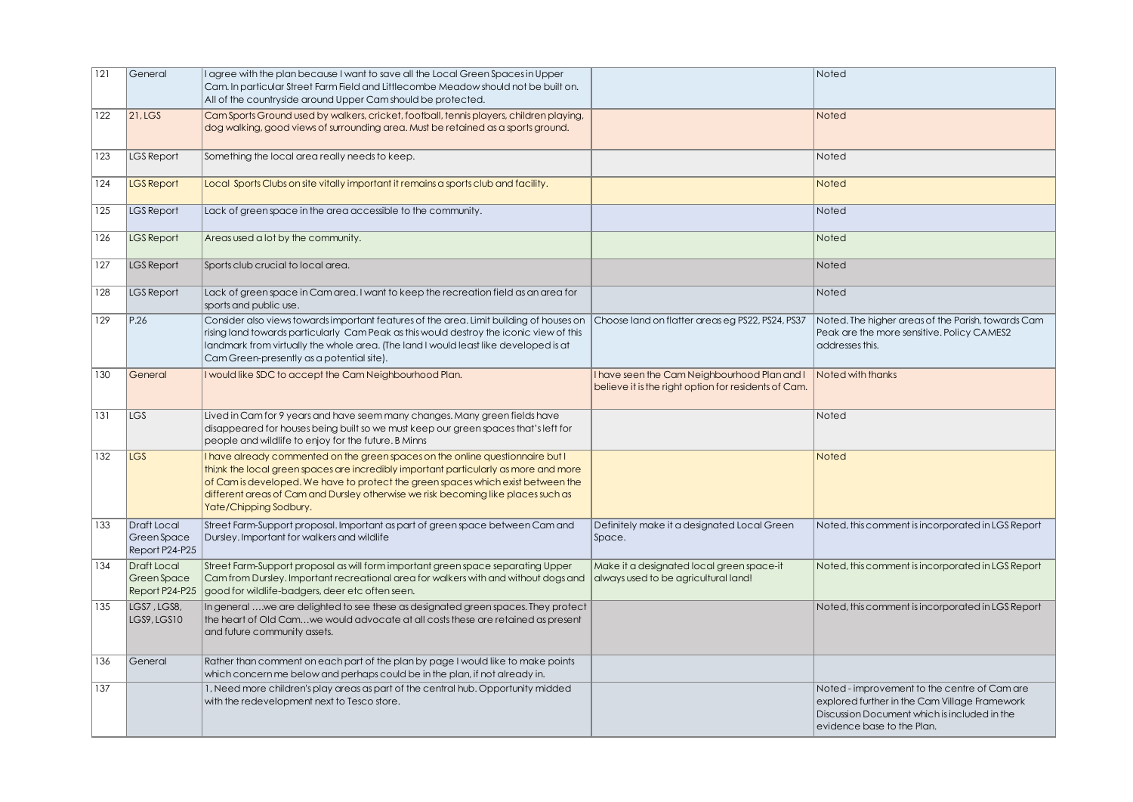| 121 | <b>General</b>                               | I agree with the plan because I want to save all the Local Green Spaces in Upper<br>Cam. In particular Street Farm Field and Littlecombe Meadow should not be built on.<br>All of the countryside around Upper Cam should be protected.                                                                                                                                    |                                                                                                      | Noted                                                                                                                                                                       |
|-----|----------------------------------------------|----------------------------------------------------------------------------------------------------------------------------------------------------------------------------------------------------------------------------------------------------------------------------------------------------------------------------------------------------------------------------|------------------------------------------------------------------------------------------------------|-----------------------------------------------------------------------------------------------------------------------------------------------------------------------------|
| 122 | 21,LGS                                       | Cam Sports Ground used by walkers, cricket, football, tennis players, children playing,<br>dog walking, good views of surrounding area. Must be retained as a sports ground.                                                                                                                                                                                               |                                                                                                      | Noted                                                                                                                                                                       |
| 123 | LGS Report                                   | Something the local area really needs to keep.                                                                                                                                                                                                                                                                                                                             |                                                                                                      | Noted                                                                                                                                                                       |
| 124 | <b>LGS Report</b>                            | Local Sports Clubs on site vitally important it remains a sports club and facility.                                                                                                                                                                                                                                                                                        |                                                                                                      | <b>Noted</b>                                                                                                                                                                |
| 125 | LGS Report                                   | Lack of green space in the area accessible to the community.                                                                                                                                                                                                                                                                                                               |                                                                                                      | Noted                                                                                                                                                                       |
| 126 | <b>LGS Report</b>                            | Areas used a lot by the community.                                                                                                                                                                                                                                                                                                                                         |                                                                                                      | Noted                                                                                                                                                                       |
| 127 | LGS Report                                   | Sports club crucial to local area.                                                                                                                                                                                                                                                                                                                                         |                                                                                                      | Noted                                                                                                                                                                       |
| 128 | LGS Report                                   | Lack of green space in Cam area. I want to keep the recreation field as an area for<br>sports and public use.                                                                                                                                                                                                                                                              |                                                                                                      | Noted                                                                                                                                                                       |
| 129 | P.26                                         | Consider also views towards important features of the area. Limit building of houses on<br>rising land towards particularly Cam Peak as this would destroy the iconic view of this<br>landmark from virtually the whole area. (The land I would least like developed is at<br>Cam Green-presently as a potential site).                                                    | Choose land on flatter areas eg PS22, PS24, PS37                                                     | Noted. The higher areas of the Parish, towards Cam<br>Peak are the more sensitive. Policy CAMES2<br>addresses this.                                                         |
| 130 | General                                      | I would like SDC to accept the Cam Neighbourhood Plan.                                                                                                                                                                                                                                                                                                                     | I have seen the Cam Neighbourhood Plan and I<br>believe it is the right option for residents of Cam. | Noted with thanks                                                                                                                                                           |
| 131 | <b>LGS</b>                                   | Lived in Cam for 9 years and have seem many changes. Many green fields have<br>disappeared for houses being built so we must keep our green spaces that's left for<br>people and wildlife to enjoy for the future. B Minns                                                                                                                                                 |                                                                                                      | Noted                                                                                                                                                                       |
| 132 | <b>LGS</b>                                   | I have already commented on the green spaces on the online questionnaire but I<br>thi, nk the local green spaces are incredibly important particularly as more and more<br>of Cam is developed. We have to protect the green spaces which exist between the<br>different areas of Cam and Dursley otherwise we risk becoming like places such as<br>Yate/Chipping Sodbury. |                                                                                                      | Noted                                                                                                                                                                       |
| 133 | Draft Local<br>Green Space<br>Report P24-P25 | Street Farm-Support proposal. Important as part of green space between Cam and<br>Dursley. Important for walkers and wildlife                                                                                                                                                                                                                                              | Definitely make it a designated Local Green<br>Space.                                                | Noted, this comment is incorporated in LGS Report                                                                                                                           |
| 134 | Draft Local<br>Green Space<br>Report P24-P25 | Street Farm-Support proposal as will form important green space separating Upper<br>Cam from Dursley. Important recreational area for walkers with and without dogs and<br>good for wildlife-badgers, deer etc often seen.                                                                                                                                                 | Make it a designated local green space-it<br>always used to be agricultural land!                    | Noted, this comment is incorporated in LGS Report                                                                                                                           |
| 135 | LGS7, LGS8,<br>LGS9, LGS10                   | In general we are delighted to see these as designated green spaces. They protect<br>the heart of Old Camwe would advocate at all costs these are retained as present<br>and future community assets.                                                                                                                                                                      |                                                                                                      | Noted, this comment is incorporated in LGS Report                                                                                                                           |
| 136 | General                                      | Rather than comment on each part of the plan by page I would like to make points<br>which concern me below and perhaps could be in the plan, if not already in.                                                                                                                                                                                                            |                                                                                                      |                                                                                                                                                                             |
| 137 |                                              | 1, Need more children's play areas as part of the central hub. Opportunity midded<br>with the redevelopment next to Tesco store.                                                                                                                                                                                                                                           |                                                                                                      | Noted - improvement to the centre of Cam are<br>explored further in the Cam Village Framework<br>Discussion Document which is included in the<br>evidence base to the Plan. |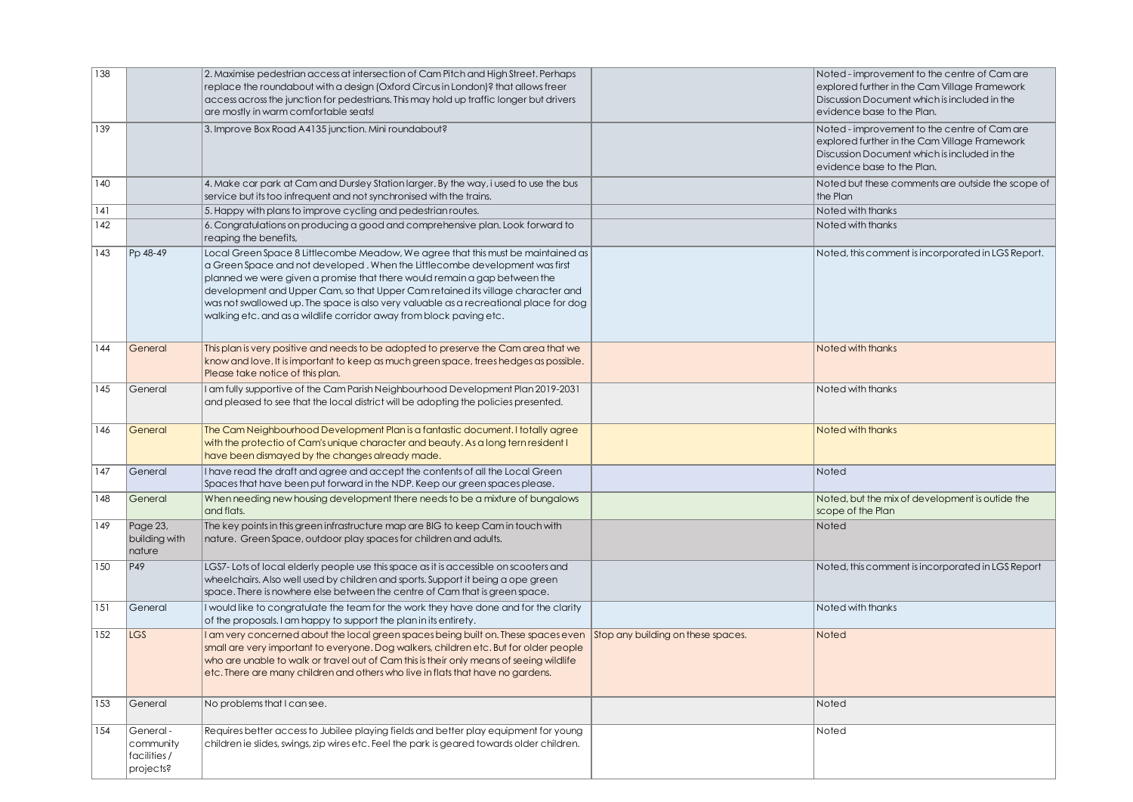| 138 |                                                    | 2. Maximise pedestrian access at intersection of Cam Pitch and High Street. Perhaps<br>replace the roundabout with a design (Oxford Circus in London)? that allows freer<br>access across the junction for pedestrians. This may hold up traffic longer but drivers<br>are mostly in warm comfortable seats!                                                                                                                                                                                    |                                    | Noted - improvement to the centre of Cam are<br>explored further in the Cam Village Framework<br>Discussion Document which is included in the<br>evidence base to the Plan. |
|-----|----------------------------------------------------|-------------------------------------------------------------------------------------------------------------------------------------------------------------------------------------------------------------------------------------------------------------------------------------------------------------------------------------------------------------------------------------------------------------------------------------------------------------------------------------------------|------------------------------------|-----------------------------------------------------------------------------------------------------------------------------------------------------------------------------|
| 139 |                                                    | 3. Improve Box Road A4135 junction. Mini roundabout?                                                                                                                                                                                                                                                                                                                                                                                                                                            |                                    | Noted - improvement to the centre of Cam are<br>explored further in the Cam Village Framework<br>Discussion Document which is included in the<br>evidence base to the Plan. |
| 140 |                                                    | 4. Make car park at Cam and Dursley Station larger. By the way, i used to use the bus<br>service but its too infrequent and not synchronised with the trains.                                                                                                                                                                                                                                                                                                                                   |                                    | Noted but these comments are outside the scope of<br>the Plan                                                                                                               |
| 4   |                                                    | 5. Happy with plans to improve cycling and pedestrian routes.                                                                                                                                                                                                                                                                                                                                                                                                                                   |                                    | Noted with thanks                                                                                                                                                           |
| 142 |                                                    | 6. Congratulations on producing a good and comprehensive plan. Look forward to<br>reaping the benefits,                                                                                                                                                                                                                                                                                                                                                                                         |                                    | Noted with thanks                                                                                                                                                           |
| 143 | Pp 48-49                                           | Local Green Space 8 Littlecombe Meadow, We agree that this must be maintained as<br>a Green Space and not developed. When the Littlecombe development was first<br>planned we were given a promise that there would remain a gap between the<br>development and Upper Cam, so that Upper Cam retained its village character and<br>was not swallowed up. The space is also very valuable as a recreational place for dog<br>walking etc. and as a wildlife corridor away from block paving etc. |                                    | Noted, this comment is incorporated in LGS Report.                                                                                                                          |
| 144 | General                                            | This plan is very positive and needs to be adopted to preserve the Cam area that we<br>know and love. It is important to keep as much green space, trees hedges as possible.<br>Please take notice of this plan.                                                                                                                                                                                                                                                                                |                                    | Noted with thanks                                                                                                                                                           |
| 145 | General                                            | I am fully supportive of the Cam Parish Neighbourhood Development Plan 2019-2031<br>and pleased to see that the local district will be adopting the policies presented.                                                                                                                                                                                                                                                                                                                         |                                    | Noted with thanks                                                                                                                                                           |
| 146 | General                                            | The Cam Neighbourhood Development Plan is a fantastic document. I totally agree<br>with the protectio of Cam's unique character and beauty. As a long tern resident I<br>have been dismayed by the changes already made.                                                                                                                                                                                                                                                                        |                                    | Noted with thanks                                                                                                                                                           |
| 147 | General                                            | I have read the draft and agree and accept the contents of all the Local Green<br>Spaces that have been put forward in the NDP. Keep our green spaces please.                                                                                                                                                                                                                                                                                                                                   |                                    | Noted                                                                                                                                                                       |
| 148 | General                                            | When needing new housing development there needs to be a mixture of bungalows<br>and flats.                                                                                                                                                                                                                                                                                                                                                                                                     |                                    | Noted, but the mix of development is outide the<br>scope of the Plan                                                                                                        |
| 149 | Page 23,<br>building with<br>nature                | The key points in this green infrastructure map are BIG to keep Cam in touch with<br>nature. Green Space, outdoor play spaces for children and adults.                                                                                                                                                                                                                                                                                                                                          |                                    | Noted                                                                                                                                                                       |
| 150 | P49                                                | LGS7-Lots of local elderly people use this space as it is accessible on scooters and<br>wheelchairs. Also well used by children and sports. Support it being a ope green<br>space. There is nowhere else between the centre of Cam that is green space.                                                                                                                                                                                                                                         |                                    | Noted, this comment is incorporated in LGS Report                                                                                                                           |
| 151 | General                                            | I would like to congratulate the team for the work they have done and for the clarity<br>of the proposals. I am happy to support the plan in its entirety.                                                                                                                                                                                                                                                                                                                                      |                                    | Noted with thanks                                                                                                                                                           |
| 152 | LGS                                                | I am very concerned about the local green spaces being built on. These spaces even<br>small are very important to everyone. Dog walkers, children etc. But for older people<br>who are unable to walk or travel out of Cam this is their only means of seeing wildlife<br>etc. There are many children and others who live in flats that have no gardens.                                                                                                                                       | Stop any building on these spaces. | Noted                                                                                                                                                                       |
| 153 | <b>General</b>                                     | No problems that I can see.                                                                                                                                                                                                                                                                                                                                                                                                                                                                     |                                    | Noted                                                                                                                                                                       |
| 154 | General-<br>community<br>facilities /<br>projects? | Requires better access to Jubilee playing fields and better play equipment for young<br>children ie slides, swings, zip wires etc. Feel the park is geared towards older children.                                                                                                                                                                                                                                                                                                              |                                    | Noted                                                                                                                                                                       |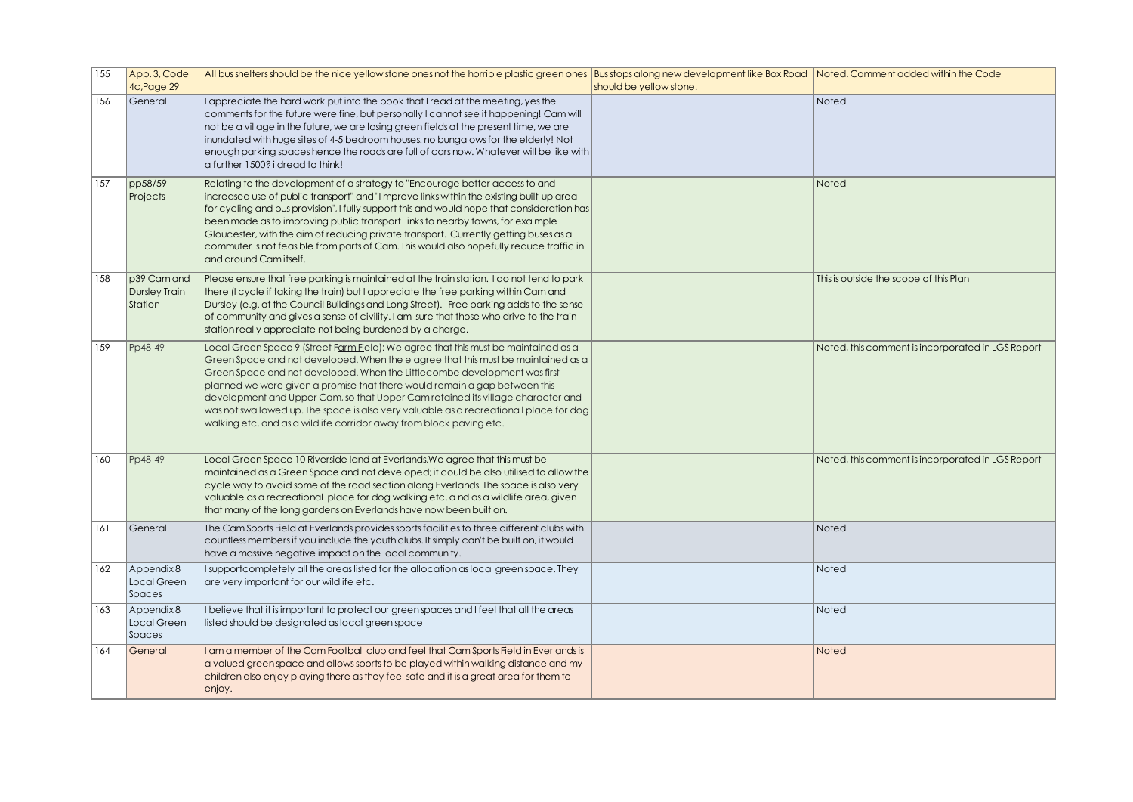| 155 | App. 3, Code<br>$4c$ , Page 29                 | All bus shelters should be the nice yellow stone ones not the horrible plastic green ones  Bus stops along new development like Box Road  Noted. Comment added within the Code                                                                                                                                                                                                                                                                                                                                                                                                         | should be yellow stone. |                                                   |
|-----|------------------------------------------------|----------------------------------------------------------------------------------------------------------------------------------------------------------------------------------------------------------------------------------------------------------------------------------------------------------------------------------------------------------------------------------------------------------------------------------------------------------------------------------------------------------------------------------------------------------------------------------------|-------------------------|---------------------------------------------------|
| 156 | General                                        | I appreciate the hard work put into the book that I read at the meeting, yes the<br>comments for the future were fine, but personally I cannot see it happening! Cam will<br>not be a village in the future, we are losing green fields at the present time, we are<br>inundated with huge sites of 4-5 bedroom houses, no bungalows for the elderly! Not<br>enough parking spaces hence the roads are full of cars now. Whatever will be like with<br>a further 1500? i dread to think!                                                                                               |                         | Noted                                             |
| 157 | pp58/59<br>Projects                            | Relating to the development of a strategy to "Encourage better access to and<br>increased use of public transport" and "I mprove links within the existing built-up area<br>for cycling and bus provision", I fully support this and would hope that consideration has<br>been made as to improving public transport links to nearby towns, for example<br>Gloucester, with the aim of reducing private transport. Currently getting buses as a<br>commuter is not feasible from parts of Cam. This would also hopefully reduce traffic in<br>and around Cam itself.                   |                         | Noted                                             |
| 158 | p39 Cam and<br><b>Dursley Train</b><br>Station | Please ensure that free parking is maintained at the train station. I do not tend to park<br>there (I cycle if taking the train) but I appreciate the free parking within Cam and<br>Dursley (e.g. at the Council Buildings and Long Street). Free parking adds to the sense<br>of community and gives a sense of civility. I am sure that those who drive to the train<br>station really appreciate not being burdened by a charge.                                                                                                                                                   |                         | This is outside the scope of this Plan            |
| 159 | Pp48-49                                        | Local Green Space 9 (Street Farm Field): We agree that this must be maintained as a<br>Green Space and not developed. When the e agree that this must be maintained as a<br>Green Space and not developed. When the Littlecombe development was first<br>planned we were given a promise that there would remain a gap between this<br>development and Upper Cam, so that Upper Cam retained its village character and<br>was not swallowed up. The space is also very valuable as a recreational place for dog<br>walking etc. and as a wildlife corridor away from block paving etc. |                         | Noted, this comment is incorporated in LGS Report |
| 160 | Pp48-49                                        | Local Green Space 10 Riverside land at Everlands. We agree that this must be<br>maintained as a Green Space and not developed; it could be also utilised to allow the<br>cycle way to avoid some of the road section along Everlands. The space is also very<br>valuable as a recreational place for dog walking etc. a nd as a wildlife area, given<br>that many of the long gardens on Everlands have now been built on.                                                                                                                                                             |                         | Noted, this comment is incorporated in LGS Report |
| 161 | General                                        | The Cam Sports Field at Everlands provides sports facilities to three different clubs with<br>countless members if you include the youth clubs. It simply can't be built on, it would<br>have a massive negative impact on the local community.                                                                                                                                                                                                                                                                                                                                        |                         | Noted                                             |
| 162 | Appendix 8<br>Local Green<br>Spaces            | I supportcompletely all the areas listed for the allocation as local green space. They<br>are very important for our wildlife etc.                                                                                                                                                                                                                                                                                                                                                                                                                                                     |                         | Noted                                             |
| 163 | Appendix 8<br>Local Green<br>Spaces            | I believe that it is important to protect our green spaces and I feel that all the areas<br>listed should be designated as local green space                                                                                                                                                                                                                                                                                                                                                                                                                                           |                         | Noted                                             |
| 164 | General                                        | I am a member of the Cam Football club and feel that Cam Sports Field in Everlands is<br>a valued green space and allows sports to be played within walking distance and my<br>children also enjoy playing there as they feel safe and it is a great area for them to<br>enjoy.                                                                                                                                                                                                                                                                                                        |                         | Noted                                             |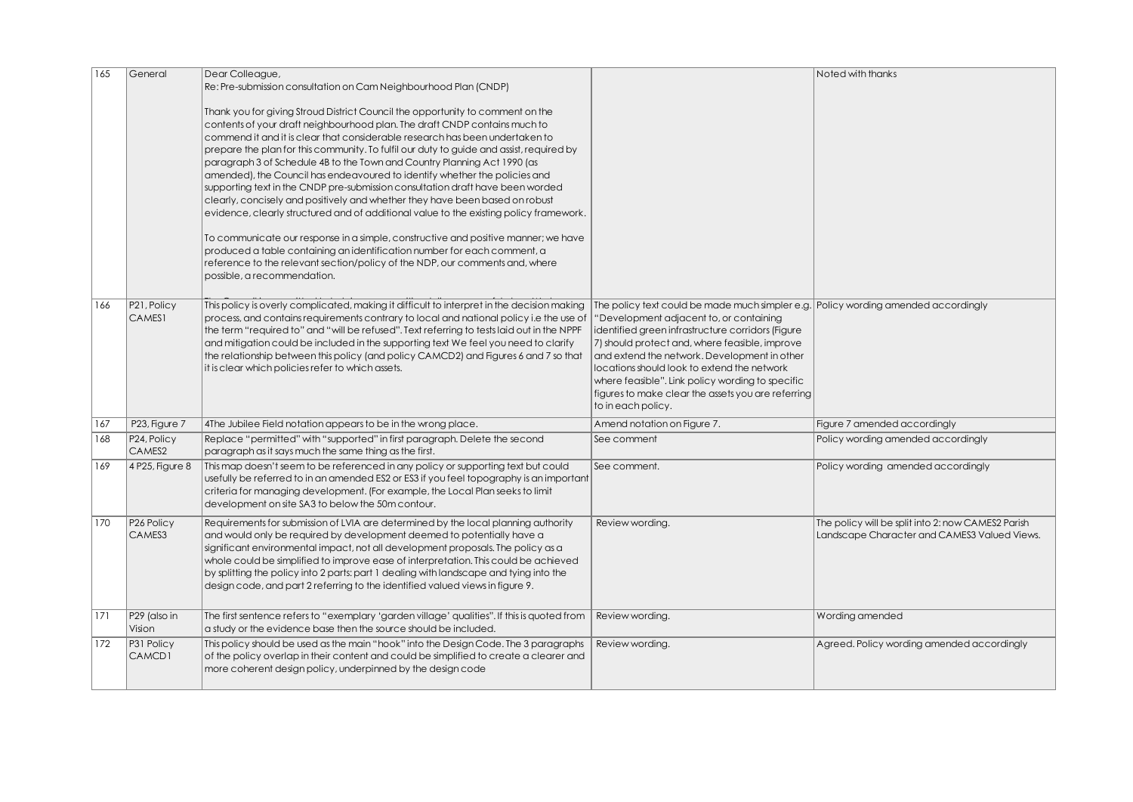| 165 | General                            | Dear Colleague,                                                                                                                                                                                                                                                                                                                                                                                                                   |                                                                                                                               | Noted with thanks                                                                                  |
|-----|------------------------------------|-----------------------------------------------------------------------------------------------------------------------------------------------------------------------------------------------------------------------------------------------------------------------------------------------------------------------------------------------------------------------------------------------------------------------------------|-------------------------------------------------------------------------------------------------------------------------------|----------------------------------------------------------------------------------------------------|
|     |                                    | Re: Pre-submission consultation on Cam Neighbourhood Plan (CNDP)<br>Thank you for giving Stroud District Council the opportunity to comment on the                                                                                                                                                                                                                                                                                |                                                                                                                               |                                                                                                    |
|     |                                    | contents of your draft neighbourhood plan. The draft CNDP contains much to<br>commend it and it is clear that considerable research has been undertaken to                                                                                                                                                                                                                                                                        |                                                                                                                               |                                                                                                    |
|     |                                    | prepare the plan for this community. To fulfil our duty to guide and assist, required by<br>paragraph 3 of Schedule 4B to the Town and Country Planning Act 1990 (as<br>amended), the Council has endeavoured to identify whether the policies and                                                                                                                                                                                |                                                                                                                               |                                                                                                    |
|     |                                    | supporting text in the CNDP pre-submission consultation draft have been worded<br>clearly, concisely and positively and whether they have been based on robust                                                                                                                                                                                                                                                                    |                                                                                                                               |                                                                                                    |
|     |                                    | evidence, clearly structured and of additional value to the existing policy framework.                                                                                                                                                                                                                                                                                                                                            |                                                                                                                               |                                                                                                    |
|     |                                    | To communicate our response in a simple, constructive and positive manner; we have<br>produced a table containing an identification number for each comment, a                                                                                                                                                                                                                                                                    |                                                                                                                               |                                                                                                    |
|     |                                    | reference to the relevant section/policy of the NDP, our comments and, where<br>possible, a recommendation.                                                                                                                                                                                                                                                                                                                       |                                                                                                                               |                                                                                                    |
| 166 | P21, Policy<br>CAMES1              | This policy is overly complicated, making it difficult to interpret in the decision making<br>process, and contains requirements contrary to local and national policy i.e the use of                                                                                                                                                                                                                                             | The policy text could be made much simpler e.g. Policy wording amended accordingly<br>"Development adjacent to, or containing |                                                                                                    |
|     |                                    | the term "required to" and "will be refused". Text referring to tests laid out in the NPPF                                                                                                                                                                                                                                                                                                                                        | identified green infrastructure corridors (Figure                                                                             |                                                                                                    |
|     |                                    | and mitigation could be included in the supporting text We feel you need to clarify                                                                                                                                                                                                                                                                                                                                               | 7) should protect and, where feasible, improve                                                                                |                                                                                                    |
|     |                                    | the relationship between this policy (and policy CAMCD2) and Figures 6 and 7 so that                                                                                                                                                                                                                                                                                                                                              | and extend the network. Development in other                                                                                  |                                                                                                    |
|     |                                    | it is clear which policies refer to which assets.                                                                                                                                                                                                                                                                                                                                                                                 | locations should look to extend the network                                                                                   |                                                                                                    |
|     |                                    |                                                                                                                                                                                                                                                                                                                                                                                                                                   | where feasible". Link policy wording to specific<br>figures to make clear the assets you are referring                        |                                                                                                    |
|     |                                    |                                                                                                                                                                                                                                                                                                                                                                                                                                   | to in each policy.                                                                                                            |                                                                                                    |
| 167 | P23, Figure 7                      | 4The Jubilee Field notation appears to be in the wrong place.                                                                                                                                                                                                                                                                                                                                                                     | Amend notation on Figure 7.                                                                                                   | Figure 7 amended accordingly                                                                       |
| 168 | P <sub>24</sub> , Policy<br>CAMES2 | Replace "permitted" with "supported" in first paragraph. Delete the second<br>paragraph as it says much the same thing as the first.                                                                                                                                                                                                                                                                                              | See comment                                                                                                                   | Policy wording amended accordingly                                                                 |
| 169 | 4 P25, Figure 8                    | This map doesn't seem to be referenced in any policy or supporting text but could<br>usefully be referred to in an amended ES2 or ES3 if you feel topography is an important<br>criteria for managing development. (For example, the Local Plan seeks to limit<br>development on site SA3 to below the 50m contour.                                                                                                               | See comment.                                                                                                                  | Policy wording amended accordingly                                                                 |
| 170 | P <sub>26</sub> Policy<br>CAMES3   | Requirements for submission of LVIA are determined by the local planning authority<br>and would only be required by development deemed to potentially have a<br>significant environmental impact, not all development proposals. The policy as a<br>whole could be simplified to improve ease of interpretation. This could be achieved<br>by splitting the policy into 2 parts: part 1 dealing with landscape and tying into the | Review wording.                                                                                                               | The policy will be split into 2: now CAMES2 Parish<br>Landscape Character and CAMES3 Valued Views. |
|     |                                    | design code, and part 2 referring to the identified valued views in figure 9.                                                                                                                                                                                                                                                                                                                                                     |                                                                                                                               |                                                                                                    |
| 171 | P29 (also in<br>Vision             | The first sentence refers to "exemplary 'garden village' qualities". If this is quoted from<br>a study or the evidence base then the source should be included.                                                                                                                                                                                                                                                                   | Review wording.                                                                                                               | Wording amended                                                                                    |
| 172 | P31 Policy<br>CAMCD1               | This policy should be used as the main "hook" into the Design Code. The 3 paragraphs<br>of the policy overlap in their content and could be simplified to create a clearer and<br>more coherent design policy, underpinned by the design code                                                                                                                                                                                     | Review wording.                                                                                                               | Agreed. Policy wording amended accordingly                                                         |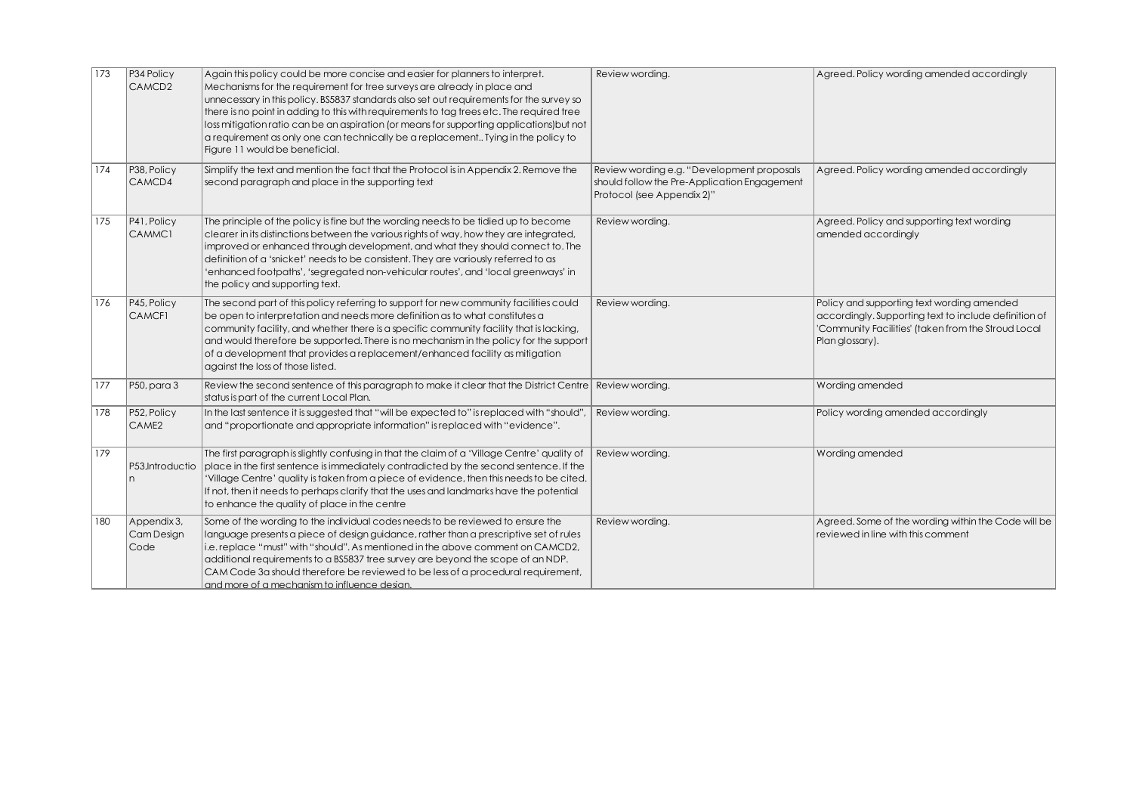| 173 | P34 Policy<br>CAMCD <sub>2</sub>  | Again this policy could be more concise and easier for planners to interpret.<br>Mechanisms for the requirement for tree surveys are already in place and<br>unnecessary in this policy. BS5837 standards also set out requirements for the survey so<br>there is no point in adding to this with requirements to tag trees etc. The required tree<br>loss mitigation ratio can be an aspiration (or means for supporting applications) but not<br>a requirement as only one can technically be a replacement Tying in the policy to<br>Figure 11 would be beneficial. | Review wording.                                                                                                          | Agreed. Policy wording amended accordingly                                                                                                                                    |
|-----|-----------------------------------|------------------------------------------------------------------------------------------------------------------------------------------------------------------------------------------------------------------------------------------------------------------------------------------------------------------------------------------------------------------------------------------------------------------------------------------------------------------------------------------------------------------------------------------------------------------------|--------------------------------------------------------------------------------------------------------------------------|-------------------------------------------------------------------------------------------------------------------------------------------------------------------------------|
| 174 | P38, Policy<br>CAMCD4             | Simplify the text and mention the fact that the Protocol is in Appendix 2. Remove the<br>second paragraph and place in the supporting text                                                                                                                                                                                                                                                                                                                                                                                                                             | Review wording e.g. "Development proposals<br>should follow the Pre-Application Engagement<br>Protocol (see Appendix 2)" | Agreed. Policy wording amended accordingly                                                                                                                                    |
| 175 | P41, Policy<br>CAMMC1             | The principle of the policy is fine but the wording needs to be tidied up to become<br>clearer in its distinctions between the various rights of way, how they are integrated,<br>improved or enhanced through development, and what they should connect to. The<br>definition of a 'snicket' needs to be consistent. They are variously referred to as<br>'enhanced footpaths', 'segregated non-vehicular routes', and 'local greenways' in<br>the policy and supporting text.                                                                                        | Review wording.                                                                                                          | Agreed. Policy and supporting text wording<br>amended accordingly                                                                                                             |
| 176 | P45, Policy<br><b>CAMCF1</b>      | The second part of this policy referring to support for new community facilities could<br>be open to interpretation and needs more definition as to what constitutes a<br>community facility, and whether there is a specific community facility that is lacking,<br>and would therefore be supported. There is no mechanism in the policy for the support<br>of a development that provides a replacement/enhanced facility as mitigation<br>against the loss of those listed.                                                                                        | Review wording.                                                                                                          | Policy and supporting text wording amended<br>accordingly. Supporting text to include definition of<br>'Community Facilities' (taken from the Stroud Local<br>Plan glossary). |
| 177 | P50, para 3                       | Review the second sentence of this paragraph to make it clear that the District Centre Review wording.<br>status is part of the current Local Plan.                                                                                                                                                                                                                                                                                                                                                                                                                    |                                                                                                                          | Wording amended                                                                                                                                                               |
| 178 | P52, Policy<br>CAME <sub>2</sub>  | In the last sentence it is suggested that "will be expected to" is replaced with "should"<br>and "proportionate and appropriate information" is replaced with "evidence".                                                                                                                                                                                                                                                                                                                                                                                              | Review wording.                                                                                                          | Policy wording amended accordingly                                                                                                                                            |
| 179 | P53, Introductio<br>n             | The first paragraph is slightly confusing in that the claim of a 'Village Centre' quality of<br>place in the first sentence is immediately contradicted by the second sentence. If the<br>'Village Centre' quality is taken from a piece of evidence, then this needs to be cited.<br>If not, then it needs to perhaps clarify that the uses and landmarks have the potential<br>to enhance the quality of place in the centre                                                                                                                                         | Review wording.                                                                                                          | Wording amended                                                                                                                                                               |
| 180 | Appendix 3,<br>Cam Design<br>Code | Some of the wording to the individual codes needs to be reviewed to ensure the<br>language presents a piece of design guidance, rather than a prescriptive set of rules<br>i.e. replace "must" with "should". As mentioned in the above comment on CAMCD2,<br>additional requirements to a BS5837 tree survey are beyond the scope of an NDP.<br>CAM Code 3a should therefore be reviewed to be less of a procedural requirement,<br>and more of a mechanism to influence desian.                                                                                      | Review wording.                                                                                                          | Agreed. Some of the wording within the Code will be<br>reviewed in line with this comment                                                                                     |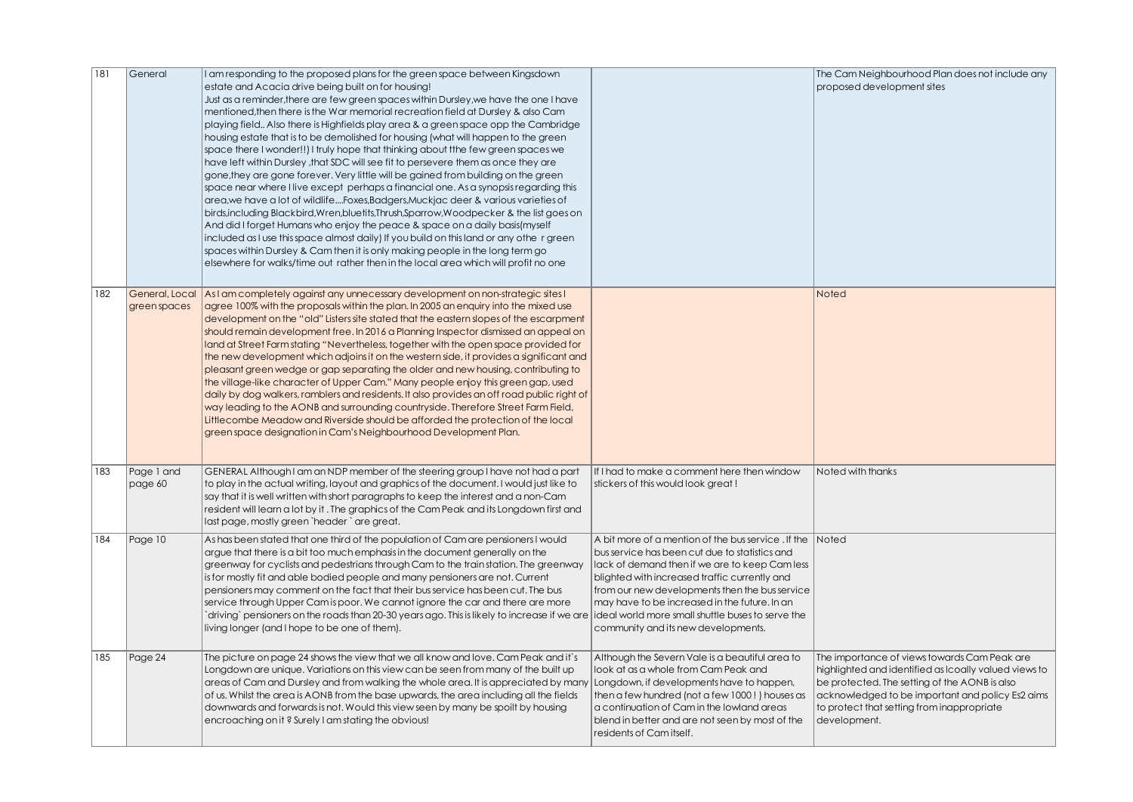| 181 | General                        | I am responding to the proposed plans for the green space between Kingsdown<br>estate and Acacia drive being built on for housing!<br>Just as a reminder, there are few green spaces within Dursley, we have the one I have<br>mentioned, then there is the War memorial recreation field at Dursley & also Cam<br>playing field Also there is Highfields play area & a green space opp the Cambridge<br>housing estate that is to be demolished for housing (what will happen to the green<br>space there I wonder!!) I truly hope that thinking about tthe few green spaces we<br>have left within Dursley, that SDC will see fit to persevere them as once they are<br>gone, they are gone forever. Very little will be gained from building on the green<br>space near where I live except perhaps a financial one. As a synopsis regarding this<br>area, we have a lot of wildlifeFoxes, Badgers, Muckjac deer & various varieties of<br>birds, including Blackbird, Wren, bluetits, Thrush, Sparrow, Woodpecker & the list goes on<br>And did I forget Humans who enjoy the peace & space on a daily basis (myself<br>included as I use this space almost daily) If you build on this land or any othe r green<br>spaces within Dursley & Cam then it is only making people in the long term go<br>elsewhere for walks/time out rather then in the local area which will profit no one |                                                                                                                                                                                                                                                                                                                                                         | The Cam Neighbourhood Plan does not include any<br>proposed development sites                                                                                                                                                                                            |
|-----|--------------------------------|----------------------------------------------------------------------------------------------------------------------------------------------------------------------------------------------------------------------------------------------------------------------------------------------------------------------------------------------------------------------------------------------------------------------------------------------------------------------------------------------------------------------------------------------------------------------------------------------------------------------------------------------------------------------------------------------------------------------------------------------------------------------------------------------------------------------------------------------------------------------------------------------------------------------------------------------------------------------------------------------------------------------------------------------------------------------------------------------------------------------------------------------------------------------------------------------------------------------------------------------------------------------------------------------------------------------------------------------------------------------------------------------|---------------------------------------------------------------------------------------------------------------------------------------------------------------------------------------------------------------------------------------------------------------------------------------------------------------------------------------------------------|--------------------------------------------------------------------------------------------------------------------------------------------------------------------------------------------------------------------------------------------------------------------------|
| 182 | General, Local<br>green spaces | As I am completely against any unnecessary development on non-strategic sites I<br>agree 100% with the proposals within the plan. In 2005 an enquiry into the mixed use<br>development on the "old" Listers site stated that the eastern slopes of the escarpment<br>should remain development free. In 2016 a Planning Inspector dismissed an appeal on<br>land at Street Farm stating "Nevertheless, together with the open space provided for<br>the new development which adjoins it on the western side, it provides a significant and<br>pleasant green wedge or gap separating the older and new housing, contributing to<br>the village-like character of Upper Cam." Many people enjoy this green gap, used<br>daily by dog walkers, ramblers and residents. It also provides an off road public right of<br>way leading to the AONB and surrounding countryside. Therefore Street Farm Field,<br>Littlecombe Meadow and Riverside should be afforded the protection of the local<br>green space designation in Cam's Neighbourhood Development Plan.                                                                                                                                                                                                                                                                                                                               |                                                                                                                                                                                                                                                                                                                                                         | Noted                                                                                                                                                                                                                                                                    |
| 183 | Page 1 and<br>page 60          | GENERAL Although I am an NDP member of the steering group I have not had a part<br>to play in the actual writing, layout and graphics of the document. I would just like to<br>say that it is well written with short paragraphs to keep the interest and a non-Cam<br>resident will learn a lot by it. The graphics of the Cam Peak and its Longdown first and<br>last page, mostly green `header ` are great.                                                                                                                                                                                                                                                                                                                                                                                                                                                                                                                                                                                                                                                                                                                                                                                                                                                                                                                                                                              | If I had to make a comment here then window<br>stickers of this would look great!                                                                                                                                                                                                                                                                       | Noted with thanks                                                                                                                                                                                                                                                        |
| 184 | Page 10                        | As has been stated that one third of the population of Cam are pensioners I would<br>argue that there is a bit too much emphasis in the document generally on the<br>greenway for cyclists and pedestrians through Cam to the train station. The greenway<br>is for mostly fit and able bodied people and many pensioners are not. Current<br>pensioners may comment on the fact that their bus service has been cut. The bus<br>service through Upper Cam is poor. We cannot ignore the car and there are more<br>`driving` pensioners on the roads than 20-30 years ago. This is likely to increase if we are  ideal world more small shuttle buses to serve the<br>living longer (and I hope to be one of them).                                                                                                                                                                                                                                                                                                                                                                                                                                                                                                                                                                                                                                                                          | A bit more of a mention of the bus service. If the Noted<br>bus service has been cut due to statistics and<br>lack of demand then if we are to keep Cam less<br>blighted with increased traffic currently and<br>from our new developments then the bus service<br>may have to be increased in the future. In an<br>community and its new developments. |                                                                                                                                                                                                                                                                          |
| 185 | Page 24                        | The picture on page 24 shows the view that we all know and love. Cam Peak and it's<br>Longdown are unique. Variations on this view can be seen from many of the built up<br>areas of Cam and Dursley and from walking the whole area. It is appreciated by many<br>of us. Whilst the area is AONB from the base upwards, the area including all the fields<br>downwards and forwards is not. Would this view seen by many be spoilt by housing<br>encroaching on it? Surely I am stating the obvious!                                                                                                                                                                                                                                                                                                                                                                                                                                                                                                                                                                                                                                                                                                                                                                                                                                                                                        | Although the Severn Vale is a beautiful area to<br>look at as a whole from Cam Peak and<br>Longdown, if developments have to happen,<br>then a few hundred (not a few 1000!) houses as<br>a continuation of Cam in the lowland areas<br>blend in better and are not seen by most of the<br>residents of Camitself.                                      | The importance of views towards Cam Peak are<br>highlighted and identified as Icoally valued views to<br>be protected. The setting of the AONB is also<br>acknowledged to be important and policy Es2 aims<br>to protect that setting from inappropriate<br>development. |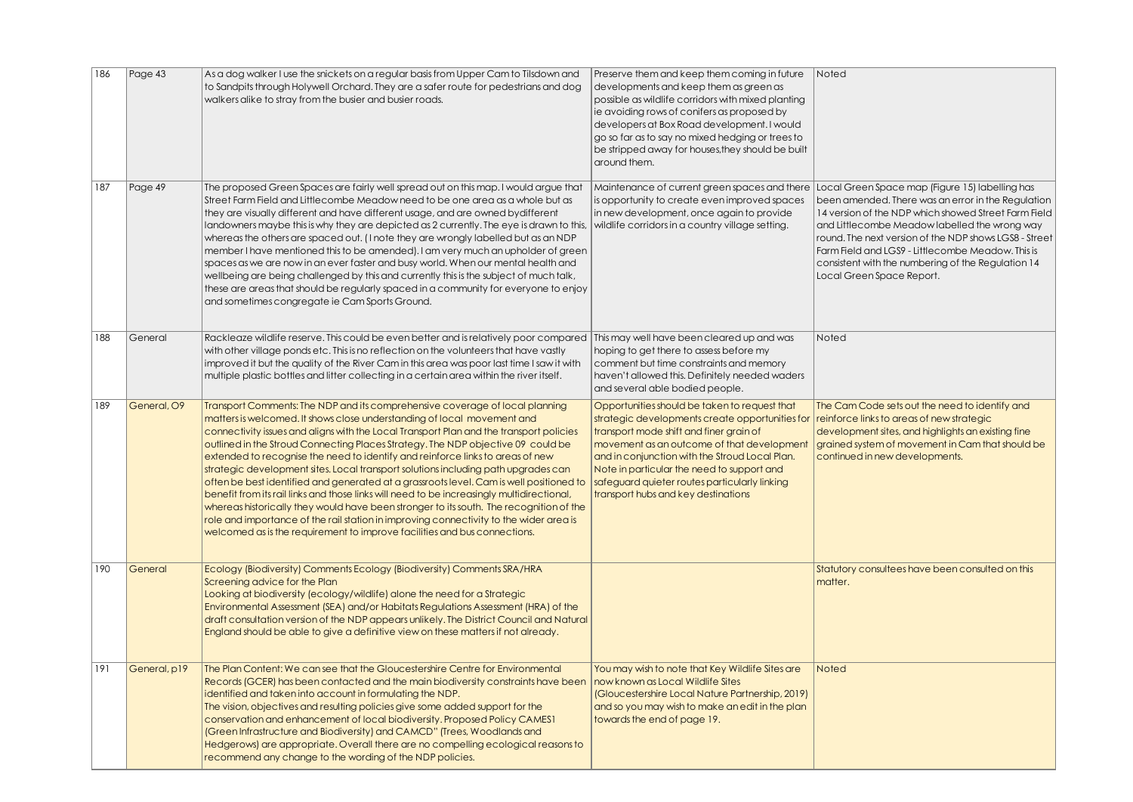| 186 | Page 43      | As a dog walker I use the snickets on a regular basis from Upper Cam to Tilsdown and<br>to Sandpits through Holywell Orchard. They are a safer route for pedestrians and dog<br>walkers alike to stray from the busier and busier roads.                                                                                                                                                                                                                                                                                                                                                                                                                                                                                                                                                                                                                                                                                                                                  | Preserve them and keep them coming in future<br>developments and keep them as green as<br>possible as wildlife corridors with mixed planting<br>ie avoiding rows of conifers as proposed by<br>developers at Box Road development. I would<br>go so far as to say no mixed hedging or trees to<br>be stripped away for houses, they should be built<br>around them.              | Noted                                                                                                                                                                                                                                                                                                                                                                                                                                                          |
|-----|--------------|---------------------------------------------------------------------------------------------------------------------------------------------------------------------------------------------------------------------------------------------------------------------------------------------------------------------------------------------------------------------------------------------------------------------------------------------------------------------------------------------------------------------------------------------------------------------------------------------------------------------------------------------------------------------------------------------------------------------------------------------------------------------------------------------------------------------------------------------------------------------------------------------------------------------------------------------------------------------------|----------------------------------------------------------------------------------------------------------------------------------------------------------------------------------------------------------------------------------------------------------------------------------------------------------------------------------------------------------------------------------|----------------------------------------------------------------------------------------------------------------------------------------------------------------------------------------------------------------------------------------------------------------------------------------------------------------------------------------------------------------------------------------------------------------------------------------------------------------|
| 187 | Page 49      | The proposed Green Spaces are fairly well spread out on this map. I would argue that<br>Street Farm Field and Littlecombe Meadow need to be one area as a whole but as<br>they are visually different and have different usage, and are owned by different<br>landowners maybe this is why they are depicted as 2 currently. The eye is drawn to this,<br>whereas the others are spaced out. (I note they are wrongly labelled but as an NDP<br>member I have mentioned this to be amended). I am very much an upholder of green<br>spaces as we are now in an ever faster and busy world. When our mental health and<br>wellbeing are being challenged by this and currently this is the subject of much talk,<br>these are areas that should be regularly spaced in a community for everyone to enjoy<br>and sometimes congregate ie Cam Sports Ground.                                                                                                                 | is opportunity to create even improved spaces<br>in new development, once again to provide<br>wildlife corridors in a country village setting.                                                                                                                                                                                                                                   | Maintenance of current green spaces and there Local Green Space map (Figure 15) labelling has<br>been amended. There was an error in the Regulation<br>14 version of the NDP which showed Street Farm Field<br>and Littlecombe Meadow labelled the wrong way<br>round. The next version of the NDP shows LGS8 - Street<br>Farm Field and LGS9 - Littlecombe Meadow. This is<br>consistent with the numbering of the Regulation 14<br>Local Green Space Report. |
| 188 | General      | Rackleaze wildlife reserve. This could be even better and is relatively poor compared   This may well have been cleared up and was<br>with other village ponds etc. This is no reflection on the volunteers that have vastly<br>improved it but the quality of the River Cam in this area was poor last time I saw it with<br>multiple plastic bottles and litter collecting in a certain area within the river itself.                                                                                                                                                                                                                                                                                                                                                                                                                                                                                                                                                   | hoping to get there to assess before my<br>comment but time constraints and memory<br>haven't allowed this. Definitely needed waders<br>and several able bodied people.                                                                                                                                                                                                          | Noted                                                                                                                                                                                                                                                                                                                                                                                                                                                          |
| 189 | General, O9  | Transport Comments: The NDP and its comprehensive coverage of local planning<br>matters is welcomed. It shows close understanding of local movement and<br>connectivity issues and aligns with the Local Transport Plan and the transport policies<br>outlined in the Stroud Connecting Places Strategy. The NDP objective 09 could be<br>extended to recognise the need to identify and reinforce links to areas of new<br>strategic development sites. Local transport solutions including path upgrades can<br>often be best identified and generated at a grassroots level. Cam is well positioned to<br>benefit from its rail links and those links will need to be increasingly multidirectional,<br>whereas historically they would have been stronger to its south. The recognition of the<br>role and importance of the rail station in improving connectivity to the wider area is<br>welcomed as is the requirement to improve facilities and bus connections. | Opportunities should be taken to request that<br>strategic developments create opportunities for<br>transport mode shift and finer grain of<br>movement as an outcome of that developmen<br>and in conjunction with the Stroud Local Plan.<br>Note in particular the need to support and<br>safeguard quieter routes particularly linking<br>transport hubs and key destinations | The Cam Code sets out the need to identify and<br>reinforce links to areas of new strategic<br>development sites, and highlights an existing fine<br>grained system of movement in Cam that should be<br>continued in new developments.                                                                                                                                                                                                                        |
| 190 | General      | Ecology (Biodiversity) Comments Ecology (Biodiversity) Comments SRA/HRA<br>Screening advice for the Plan<br>Looking at biodiversity (ecology/wildlife) alone the need for a Strategic<br>Environmental Assessment (SEA) and/or Habitats Regulations Assessment (HRA) of the<br>draft consultation version of the NDP appears unlikely. The District Council and Natural<br>England should be able to give a definitive view on these matters if not already.                                                                                                                                                                                                                                                                                                                                                                                                                                                                                                              |                                                                                                                                                                                                                                                                                                                                                                                  | Statutory consultees have been consulted on this<br>matter.                                                                                                                                                                                                                                                                                                                                                                                                    |
| 191 | General, p19 | The Plan Content: We can see that the Gloucestershire Centre for Environmental<br>Records (GCER) has been contacted and the main biodiversity constraints have been<br>identified and taken into account in formulating the NDP.<br>The vision, objectives and resulting policies give some added support for the<br>conservation and enhancement of local biodiversity. Proposed Policy CAMES1<br>(Green Infrastructure and Biodiversity) and CAMCD" (Trees, Woodlands and<br>Hedgerows) are appropriate. Overall there are no compelling ecological reasons to<br>recommend any change to the wording of the NDP policies.                                                                                                                                                                                                                                                                                                                                              | You may wish to note that Key Wildlife Sites are<br>now known as Local Wildlife Sites<br>(Gloucestershire Local Nature Partnership, 2019)<br>and so you may wish to make an edit in the plan<br>towards the end of page 19.                                                                                                                                                      | Noted                                                                                                                                                                                                                                                                                                                                                                                                                                                          |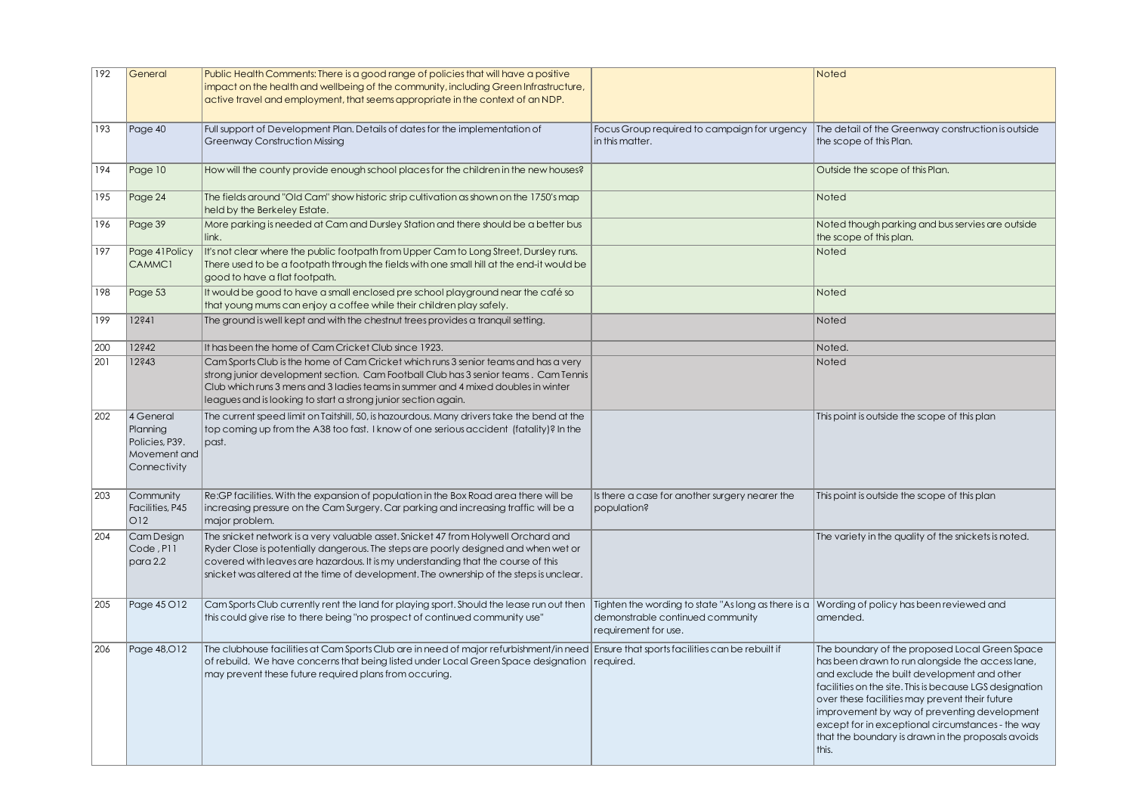| 192 | General                                                                 | Public Health Comments: There is a good range of policies that will have a positive<br>impact on the health and wellbeing of the community, including Green Infrastructure,<br>active travel and employment, that seems appropriate in the context of an NDP.                                                                                            |                                                                                                                                                         | <b>Noted</b>                                                                                                                                                                                                                                                                                                                                                                                                                       |
|-----|-------------------------------------------------------------------------|----------------------------------------------------------------------------------------------------------------------------------------------------------------------------------------------------------------------------------------------------------------------------------------------------------------------------------------------------------|---------------------------------------------------------------------------------------------------------------------------------------------------------|------------------------------------------------------------------------------------------------------------------------------------------------------------------------------------------------------------------------------------------------------------------------------------------------------------------------------------------------------------------------------------------------------------------------------------|
| 193 | Page 40                                                                 | Full support of Development Plan. Details of dates for the implementation of<br><b>Greenway Construction Missing</b>                                                                                                                                                                                                                                     | Focus Group required to campaign for urgency<br>in this matter.                                                                                         | The detail of the Greenway construction is outside<br>the scope of this Plan.                                                                                                                                                                                                                                                                                                                                                      |
| 194 | Page 10                                                                 | How will the county provide enough school places for the children in the new houses?                                                                                                                                                                                                                                                                     |                                                                                                                                                         | Outside the scope of this Plan.                                                                                                                                                                                                                                                                                                                                                                                                    |
| 195 | Page 24                                                                 | The fields around "Old Cam" show historic strip cultivation as shown on the 1750's map<br>held by the Berkeley Estate.                                                                                                                                                                                                                                   |                                                                                                                                                         | Noted                                                                                                                                                                                                                                                                                                                                                                                                                              |
| 196 | Page 39                                                                 | More parking is needed at Cam and Dursley Station and there should be a better bus<br>link.                                                                                                                                                                                                                                                              |                                                                                                                                                         | Noted though parking and bus servies are outside<br>the scope of this plan.                                                                                                                                                                                                                                                                                                                                                        |
| 197 | Page 41 Policy<br><b>CAMMC1</b>                                         | It's not clear where the public footpath from Upper Cam to Long Street, Dursley runs.<br>There used to be a footpath through the fields with one small hill at the end-it would be<br>good to have a flat footpath.                                                                                                                                      |                                                                                                                                                         | Noted                                                                                                                                                                                                                                                                                                                                                                                                                              |
| 198 | Page 53                                                                 | It would be good to have a small enclosed pre school playground near the café so<br>that young mums can enjoy a coffee while their children play safely.                                                                                                                                                                                                 |                                                                                                                                                         | Noted                                                                                                                                                                                                                                                                                                                                                                                                                              |
| 199 | 12?41                                                                   | The ground is well kept and with the chestnut trees provides a tranquil setting.                                                                                                                                                                                                                                                                         |                                                                                                                                                         | Noted                                                                                                                                                                                                                                                                                                                                                                                                                              |
| 200 | 12?42                                                                   | It has been the home of Cam Cricket Club since 1923.                                                                                                                                                                                                                                                                                                     |                                                                                                                                                         | Noted.                                                                                                                                                                                                                                                                                                                                                                                                                             |
| 201 | 12?43                                                                   | Cam Sports Club is the home of Cam Cricket which runs 3 senior teams and has a very<br>strong junior development section. Cam Football Club has 3 senior teams. Cam Tennis<br>Club which runs 3 mens and 3 ladies teams in summer and 4 mixed doubles in winter<br>leagues and is looking to start a strong junior section again.                        |                                                                                                                                                         | Noted                                                                                                                                                                                                                                                                                                                                                                                                                              |
| 202 | 4 General<br>Planning<br>Policies, P39.<br>Movement and<br>Connectivity | The current speed limit on Taitshill, 50, is hazourdous. Many drivers take the bend at the<br>top coming up from the A38 too fast. I know of one serious accident (fatality)? In the<br>lpast.                                                                                                                                                           |                                                                                                                                                         | This point is outside the scope of this plan                                                                                                                                                                                                                                                                                                                                                                                       |
| 203 | Community<br>Facilities, P45<br>O <sub>12</sub>                         | Re:GP facilities. With the expansion of population in the Box Road area there will be<br>increasing pressure on the Cam Surgery. Car parking and increasing traffic will be a<br>major problem.                                                                                                                                                          | Is there a case for another surgery nearer the<br>population?                                                                                           | This point is outside the scope of this plan                                                                                                                                                                                                                                                                                                                                                                                       |
| 204 | Cam Design<br>Code, P11<br>para 2.2                                     | The snicket network is a very valuable asset. Snicket 47 from Holywell Orchard and<br>Ryder Close is potentially dangerous. The steps are poorly designed and when wet or<br>covered with leaves are hazardous. It is my understanding that the course of this<br>snicket was altered at the time of development. The ownership of the steps is unclear. |                                                                                                                                                         | The variety in the quality of the snickets is noted.                                                                                                                                                                                                                                                                                                                                                                               |
| 205 | Page 45 O12                                                             | Cam Sports Club currently rent the land for playing sport. Should the lease run out then<br>this could give rise to there being "no prospect of continued community use"                                                                                                                                                                                 | Tighten the wording to state "As long as there is a Wording of policy has been reviewed and<br>demonstrable continued community<br>requirement for use. | amended.                                                                                                                                                                                                                                                                                                                                                                                                                           |
| 206 | Page 48, O12                                                            | The clubhouse facilities at Cam Sports Club are in need of major refurbishment/in need Ensure that sports facilities can be rebuilt if<br>of rebuild. We have concerns that being listed under Local Green Space designation<br>may prevent these future required plans from occuring.                                                                   | required.                                                                                                                                               | The boundary of the proposed Local Green Space<br>has been drawn to run alongside the access lane,<br>and exclude the built development and other<br>facilities on the site. This is because LGS designation<br>over these facilities may prevent their future<br>improvement by way of preventing development<br>except for in exceptional circumstances - the way<br>that the boundary is drawn in the proposals avoids<br>this. |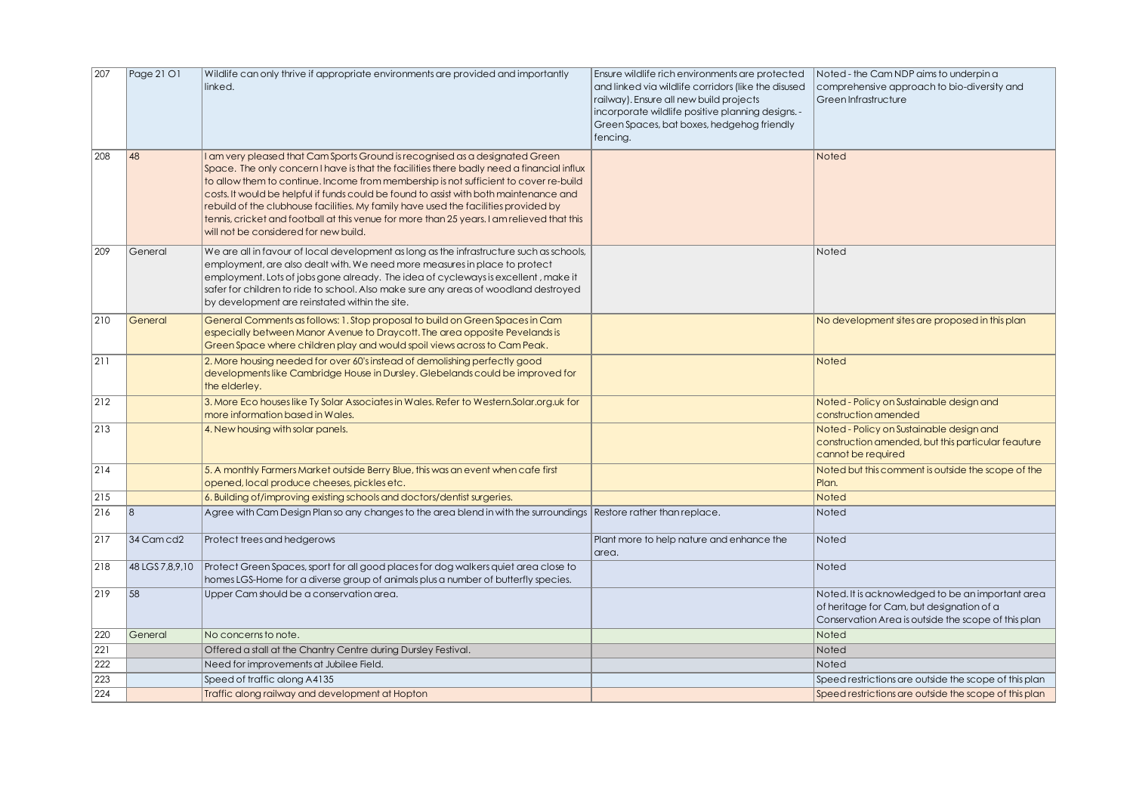| 207 | Page 21 O1      | Wildlife can only thrive if appropriate environments are provided and importantly<br>linked.                                                                                                                                                                                                                                                                                                                                                                                                                                                                                               | Ensure wildlife rich environments are protected<br>and linked via wildlife corridors (like the disused<br>railway). Ensure all new build projects<br>incorporate wildlife positive planning designs. -<br>Green Spaces, bat boxes, hedgehog friendly<br>fencing. | Noted - the Cam NDP aims to underpin a<br>comprehensive approach to bio-diversity and<br>Green Infrastructure                                         |
|-----|-----------------|--------------------------------------------------------------------------------------------------------------------------------------------------------------------------------------------------------------------------------------------------------------------------------------------------------------------------------------------------------------------------------------------------------------------------------------------------------------------------------------------------------------------------------------------------------------------------------------------|------------------------------------------------------------------------------------------------------------------------------------------------------------------------------------------------------------------------------------------------------------------|-------------------------------------------------------------------------------------------------------------------------------------------------------|
| 208 | 48              | I am very pleased that Cam Sports Ground is recognised as a designated Green<br>Space. The only concern I have is that the facilities there badly need a financial influx<br>to allow them to continue. Income from membership is not sufficient to cover re-build<br>costs. It would be helpful if funds could be found to assist with both maintenance and<br>rebuild of the clubhouse facilities. My family have used the facilities provided by<br>tennis, cricket and football at this venue for more than 25 years. I am relieved that this<br>will not be considered for new build. |                                                                                                                                                                                                                                                                  | Noted                                                                                                                                                 |
| 209 | General         | We are all in favour of local development as long as the infrastructure such as schools,<br>employment, are also dealt with. We need more measures in place to protect<br>employment. Lots of jobs gone already. The idea of cycleways is excellent, make it<br>safer for children to ride to school. Also make sure any areas of woodland destroyed<br>by development are reinstated within the site.                                                                                                                                                                                     |                                                                                                                                                                                                                                                                  | Noted                                                                                                                                                 |
| 210 | General         | General Comments as follows: 1. Stop proposal to build on Green Spaces in Cam<br>especially between Manor Avenue to Draycott. The area opposite Pevelands is<br>Green Space where children play and would spoil views across to Cam Peak.                                                                                                                                                                                                                                                                                                                                                  |                                                                                                                                                                                                                                                                  | No development sites are proposed in this plan                                                                                                        |
| 211 |                 | 2. More housing needed for over 60's instead of demolishing perfectly good<br>developments like Cambridge House in Dursley. Glebelands could be improved for<br>the elderley.                                                                                                                                                                                                                                                                                                                                                                                                              |                                                                                                                                                                                                                                                                  | Noted                                                                                                                                                 |
| 212 |                 | 3. More Eco houses like Ty Solar Associates in Wales. Refer to Western.Solar.org.uk for<br>more information based in Wales.                                                                                                                                                                                                                                                                                                                                                                                                                                                                |                                                                                                                                                                                                                                                                  | Noted - Policy on Sustainable design and<br>construction amended                                                                                      |
| 213 |                 | 4. New housing with solar panels.                                                                                                                                                                                                                                                                                                                                                                                                                                                                                                                                                          |                                                                                                                                                                                                                                                                  | Noted - Policy on Sustainable design and<br>construction amended, but this particular feauture<br>cannot be required                                  |
| 214 |                 | 5. A monthly Farmers Market outside Berry Blue, this was an event when cafe first<br>opened, local produce cheeses, pickles etc.                                                                                                                                                                                                                                                                                                                                                                                                                                                           |                                                                                                                                                                                                                                                                  | Noted but this comment is outside the scope of the<br>Plan.                                                                                           |
| 215 |                 | 6. Building of/improving existing schools and doctors/dentist surgeries.                                                                                                                                                                                                                                                                                                                                                                                                                                                                                                                   |                                                                                                                                                                                                                                                                  | <b>Noted</b>                                                                                                                                          |
| 216 | 8               | Agree with Cam Design Plan so any changes to the area blend in with the surroundings Restore rather than replace.                                                                                                                                                                                                                                                                                                                                                                                                                                                                          |                                                                                                                                                                                                                                                                  | Noted                                                                                                                                                 |
| 217 | 34 Cam cd2      | Protect trees and hedgerows                                                                                                                                                                                                                                                                                                                                                                                                                                                                                                                                                                | Plant more to help nature and enhance the<br>area.                                                                                                                                                                                                               | Noted                                                                                                                                                 |
| 218 | 48 LGS 7,8,9,10 | Protect Green Spaces, sport for all good places for dog walkers quiet area close to<br>homes LGS-Home for a diverse group of animals plus a number of butterfly species.                                                                                                                                                                                                                                                                                                                                                                                                                   |                                                                                                                                                                                                                                                                  | Noted                                                                                                                                                 |
| 219 | 58              | Upper Cam should be a conservation area.                                                                                                                                                                                                                                                                                                                                                                                                                                                                                                                                                   |                                                                                                                                                                                                                                                                  | Noted. It is acknowledged to be an important area<br>of heritage for Cam, but designation of a<br>Conservation Area is outside the scope of this plan |
| 220 | General         | No concerns to note.                                                                                                                                                                                                                                                                                                                                                                                                                                                                                                                                                                       |                                                                                                                                                                                                                                                                  | Noted                                                                                                                                                 |
| 221 |                 | Offered a stall at the Chantry Centre during Dursley Festival.                                                                                                                                                                                                                                                                                                                                                                                                                                                                                                                             |                                                                                                                                                                                                                                                                  | Noted                                                                                                                                                 |
| 222 |                 | Need for improvements at Jubilee Field.                                                                                                                                                                                                                                                                                                                                                                                                                                                                                                                                                    |                                                                                                                                                                                                                                                                  | Noted                                                                                                                                                 |
| 223 |                 | Speed of traffic along A4135                                                                                                                                                                                                                                                                                                                                                                                                                                                                                                                                                               |                                                                                                                                                                                                                                                                  | Speed restrictions are outside the scope of this plan                                                                                                 |
| 224 |                 | Traffic along railway and development at Hopton                                                                                                                                                                                                                                                                                                                                                                                                                                                                                                                                            |                                                                                                                                                                                                                                                                  | Speed restrictions are outside the scope of this plan                                                                                                 |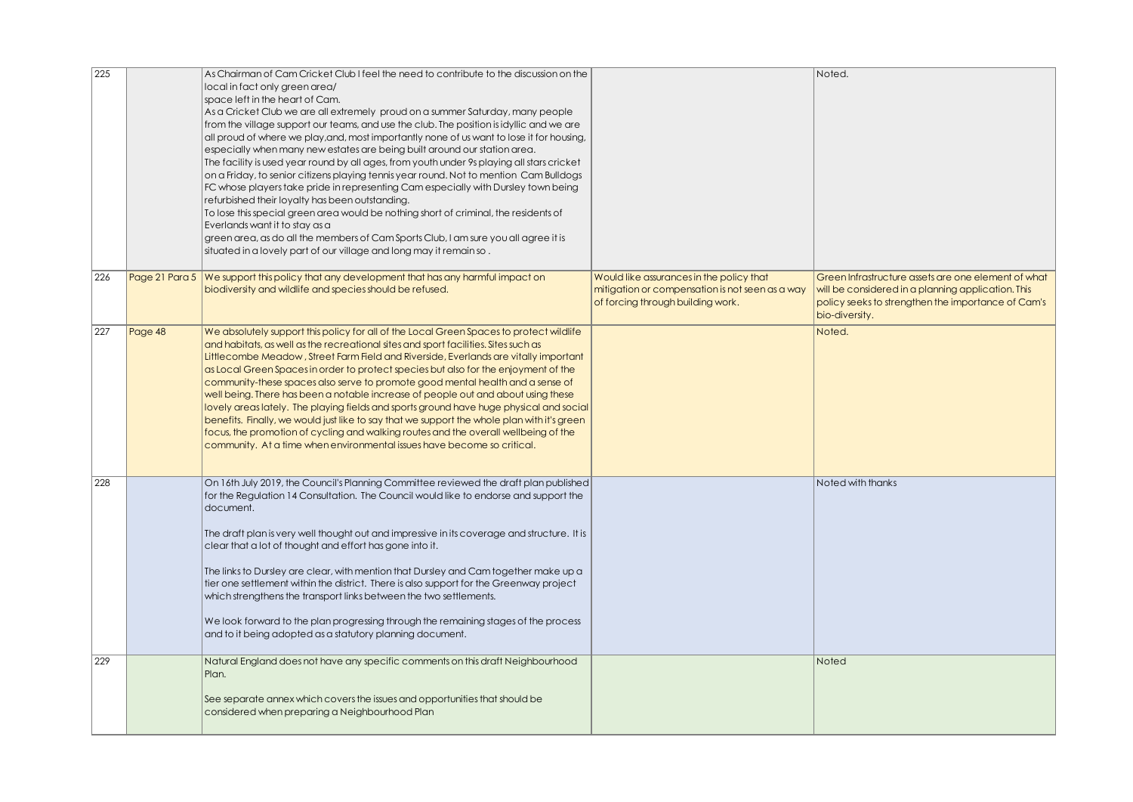| 225 |                | As Chairman of Cam Cricket Club I feel the need to contribute to the discussion on the<br>local in fact only green area/<br>space left in the heart of Cam.<br>As a Cricket Club we are all extremely proud on a summer Saturday, many people<br>from the village support our teams, and use the club. The position is idyllic and we are<br>all proud of where we play, and, most importantly none of us want to lose it for housing,<br>especially when many new estates are being built around our station area.<br>The facility is used year round by all ages, from youth under 9s playing all stars cricket<br>on a Friday, to senior citizens playing tennis year round. Not to mention Cam Bulldogs<br>FC whose players take pride in representing Cam especially with Dursley town being<br>refurbished their loyalty has been outstanding.<br>To lose this special green area would be nothing short of criminal, the residents of<br>Everlands want it to stay as a<br>green area, as do all the members of Cam Sports Club, I am sure you all agree it is<br>situated in a lovely part of our village and long may it remain so. |                                                                                                                                  | Noted.                                                                                                                                                                            |
|-----|----------------|----------------------------------------------------------------------------------------------------------------------------------------------------------------------------------------------------------------------------------------------------------------------------------------------------------------------------------------------------------------------------------------------------------------------------------------------------------------------------------------------------------------------------------------------------------------------------------------------------------------------------------------------------------------------------------------------------------------------------------------------------------------------------------------------------------------------------------------------------------------------------------------------------------------------------------------------------------------------------------------------------------------------------------------------------------------------------------------------------------------------------------------------|----------------------------------------------------------------------------------------------------------------------------------|-----------------------------------------------------------------------------------------------------------------------------------------------------------------------------------|
| 226 | Page 21 Para 5 | We support this policy that any development that has any harmful impact on<br>biodiversity and wildlife and species should be refused.                                                                                                                                                                                                                                                                                                                                                                                                                                                                                                                                                                                                                                                                                                                                                                                                                                                                                                                                                                                                       | Would like assurances in the policy that<br>mitigation or compensation is not seen as a way<br>of forcing through building work. | Green Infrastructure assets are one element of what<br>will be considered in a planning application. This<br>policy seeks to strengthen the importance of Cam's<br>bio-diversity. |
| 227 | Page 48        | We absolutely support this policy for all of the Local Green Spaces to protect wildlife<br>and habitats, as well as the recreational sites and sport facilities. Sites such as<br>Littlecombe Meadow, Street Farm Field and Riverside, Everlands are vitally important<br>as Local Green Spaces in order to protect species but also for the enjoyment of the<br>community-these spaces also serve to promote good mental health and a sense of<br>well being. There has been a notable increase of people out and about using these<br>lovely areas lately. The playing fields and sports ground have huge physical and social<br>benefits. Finally, we would just like to say that we support the whole plan with it's green<br>focus, the promotion of cycling and walking routes and the overall wellbeing of the<br>community. At a time when environmental issues have become so critical.                                                                                                                                                                                                                                             |                                                                                                                                  | Noted.                                                                                                                                                                            |
| 228 |                | On 16th July 2019, the Council's Planning Committee reviewed the draft plan published<br>for the Regulation 14 Consultation. The Council would like to endorse and support the<br>document.<br>The draft plan is very well thought out and impressive in its coverage and structure. It is<br>clear that a lot of thought and effort has gone into it.<br>The links to Dursley are clear, with mention that Dursley and Cam together make up a<br>tier one settlement within the district. There is also support for the Greenway project<br>which strengthens the transport links between the two settlements.<br>We look forward to the plan progressing through the remaining stages of the process<br>and to it being adopted as a statutory planning document.                                                                                                                                                                                                                                                                                                                                                                          |                                                                                                                                  | Noted with thanks                                                                                                                                                                 |
| 229 |                | Natural England does not have any specific comments on this draft Neighbourhood<br>Plan.<br>See separate annex which covers the issues and opportunities that should be<br>considered when preparing a Neighbourhood Plan                                                                                                                                                                                                                                                                                                                                                                                                                                                                                                                                                                                                                                                                                                                                                                                                                                                                                                                    |                                                                                                                                  | Noted                                                                                                                                                                             |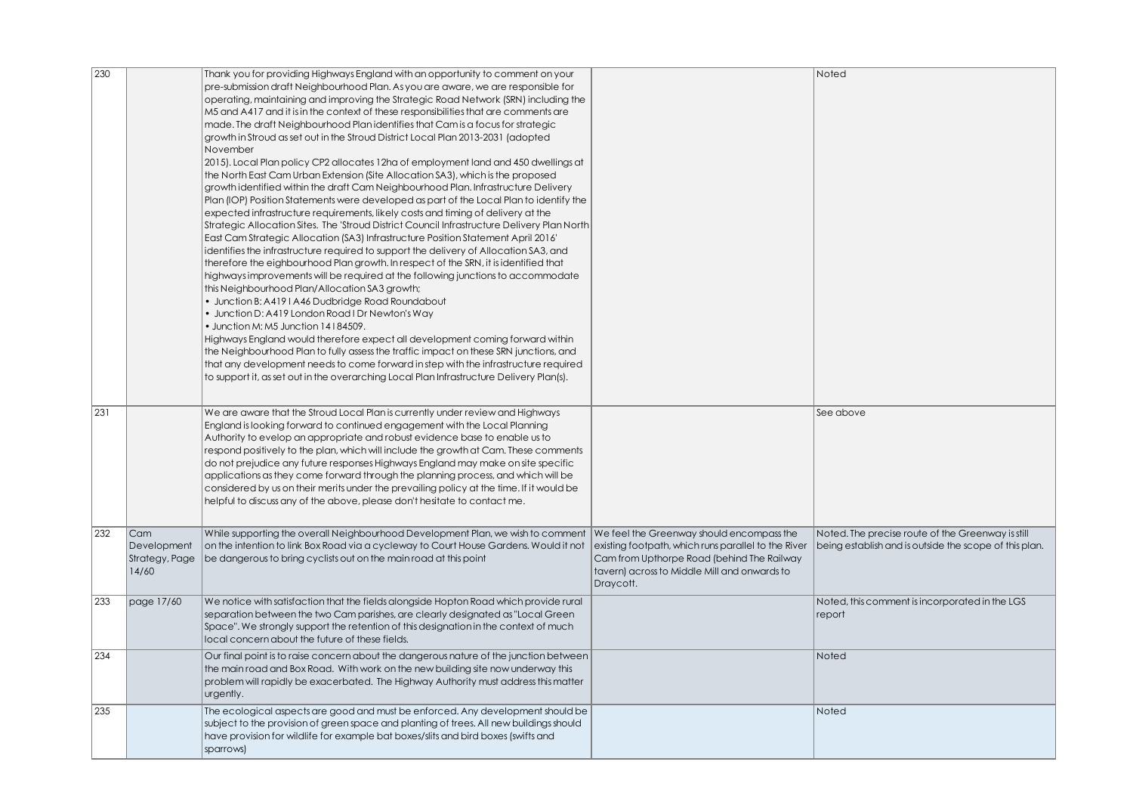| 230 |                                               | Thank you for providing Highways England with an opportunity to comment on your<br>pre-submission draft Neighbourhood Plan. As you are aware, we are responsible for<br>operating, maintaining and improving the Strategic Road Network (SRN) including the<br>M5 and A417 and it is in the context of these responsibilities that are comments are<br>made. The draft Neighbourhood Plan identifies that Cam is a focus for strategic<br>growth in Stroud as set out in the Stroud District Local Plan 2013-2031 (adopted<br>November<br>2015). Local Plan policy CP2 allocates 12ha of employment land and 450 dwellings at<br>the North East Cam Urban Extension (Site Allocation SA3), which is the proposed<br>growth identified within the draft Cam Neighbourhood Plan. Infrastructure Delivery<br>Plan (IOP) Position Statements were developed as part of the Local Plan to identify the<br>expected infrastructure requirements, likely costs and timing of delivery at the<br>Strategic Allocation Sites. The 'Stroud District Council Infrastructure Delivery Plan North<br>East Cam Strategic Allocation (SA3) Infrastructure Position Statement April 2016'<br>identifies the infrastructure required to support the delivery of Allocation SA3, and<br>therefore the eighbourhood Plan growth. In respect of the SRN, it is identified that<br>highways improvements will be required at the following junctions to accommodate<br>this Neighbourhood Plan/Allocation SA3 growth;<br>· Junction B: A4191A46 Dudbridge Road Roundabout<br>· Junction D: A419 London Road I Dr Newton's Way<br>• Junction M: M5 Junction 14184509.<br>Highways England would therefore expect all development coming forward within<br>the Neighbourhood Plan to fully assess the traffic impact on these SRN junctions, and |                                                                                                                                                                                                             | Noted                                                                                                       |
|-----|-----------------------------------------------|---------------------------------------------------------------------------------------------------------------------------------------------------------------------------------------------------------------------------------------------------------------------------------------------------------------------------------------------------------------------------------------------------------------------------------------------------------------------------------------------------------------------------------------------------------------------------------------------------------------------------------------------------------------------------------------------------------------------------------------------------------------------------------------------------------------------------------------------------------------------------------------------------------------------------------------------------------------------------------------------------------------------------------------------------------------------------------------------------------------------------------------------------------------------------------------------------------------------------------------------------------------------------------------------------------------------------------------------------------------------------------------------------------------------------------------------------------------------------------------------------------------------------------------------------------------------------------------------------------------------------------------------------------------------------------------------------------------------------------------------------------------------------------------------------------------------------|-------------------------------------------------------------------------------------------------------------------------------------------------------------------------------------------------------------|-------------------------------------------------------------------------------------------------------------|
|     |                                               | that any development needs to come forward in step with the infrastructure required<br>to support it, as set out in the overarching Local Plan Infrastructure Delivery Plan(s).                                                                                                                                                                                                                                                                                                                                                                                                                                                                                                                                                                                                                                                                                                                                                                                                                                                                                                                                                                                                                                                                                                                                                                                                                                                                                                                                                                                                                                                                                                                                                                                                                                           |                                                                                                                                                                                                             |                                                                                                             |
| 231 |                                               | We are aware that the Stroud Local Plan is currently under review and Highways<br>England is looking forward to continued engagement with the Local Planning<br>Authority to evelop an appropriate and robust evidence base to enable us to<br>respond positively to the plan, which will include the growth at Cam. These comments<br>do not prejudice any future responses Highways England may make on site specific<br>applications as they come forward through the planning process, and which will be<br>considered by us on their merits under the prevailing policy at the time. If it would be<br>helpful to discuss any of the above, please don't hesitate to contact me.                                                                                                                                                                                                                                                                                                                                                                                                                                                                                                                                                                                                                                                                                                                                                                                                                                                                                                                                                                                                                                                                                                                                     |                                                                                                                                                                                                             | See above                                                                                                   |
| 232 | Cam<br>Development<br>Strategy, Page<br>14/60 | While supporting the overall Neighbourhood Development Plan, we wish to comment<br>on the intention to link Box Road via a cycleway to Court House Gardens. Would it not<br>be dangerous to bring cyclists out on the main road at this point                                                                                                                                                                                                                                                                                                                                                                                                                                                                                                                                                                                                                                                                                                                                                                                                                                                                                                                                                                                                                                                                                                                                                                                                                                                                                                                                                                                                                                                                                                                                                                             | We feel the Greenway should encompass the<br>existing footpath, which runs parallel to the River<br>Cam from Upthorpe Road (behind The Railway<br>tavern) across to Middle Mill and onwards to<br>Draycott. | Noted. The precise route of the Greenway is still<br>being establish and is outside the scope of this plan. |
| 233 | page 17/60                                    | We notice with satisfaction that the fields alongside Hopton Road which provide rural<br>separation between the two Cam parishes, are clearly designated as "Local Green<br>Space". We strongly support the retention of this designation in the context of much<br>local concern about the future of these fields.                                                                                                                                                                                                                                                                                                                                                                                                                                                                                                                                                                                                                                                                                                                                                                                                                                                                                                                                                                                                                                                                                                                                                                                                                                                                                                                                                                                                                                                                                                       |                                                                                                                                                                                                             | Noted, this comment is incorporated in the LGS<br>report                                                    |
| 234 |                                               | Our final point is to raise concern about the dangerous nature of the junction between<br>the main road and Box Road. With work on the new building site now underway this<br>problem will rapidly be exacerbated. The Highway Authority must address this matter<br>urgently.                                                                                                                                                                                                                                                                                                                                                                                                                                                                                                                                                                                                                                                                                                                                                                                                                                                                                                                                                                                                                                                                                                                                                                                                                                                                                                                                                                                                                                                                                                                                            |                                                                                                                                                                                                             | Noted                                                                                                       |
| 235 |                                               | The ecological aspects are good and must be enforced. Any development should be<br>subject to the provision of green space and planting of trees. All new buildings should<br>have provision for wildlife for example bat boxes/slits and bird boxes (swifts and<br>sparrows)                                                                                                                                                                                                                                                                                                                                                                                                                                                                                                                                                                                                                                                                                                                                                                                                                                                                                                                                                                                                                                                                                                                                                                                                                                                                                                                                                                                                                                                                                                                                             |                                                                                                                                                                                                             | Noted                                                                                                       |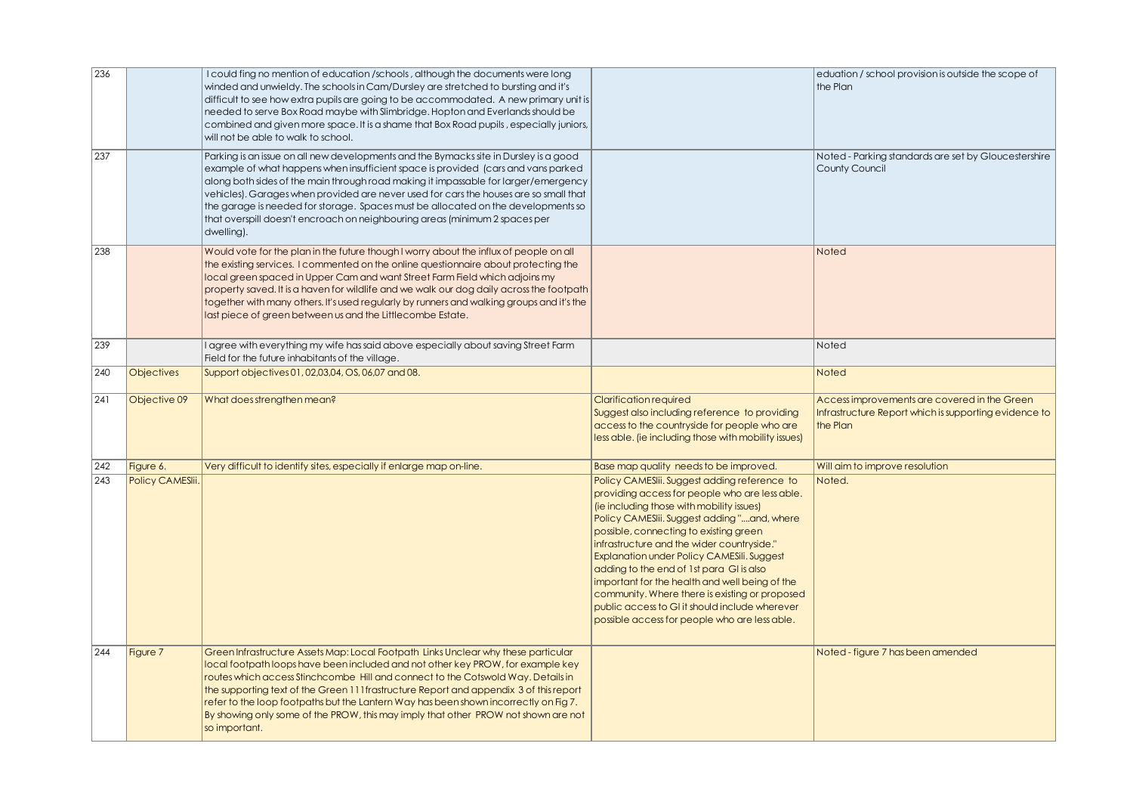| 236 |                   | I could fing no mention of education /schools, although the documents were long<br>winded and unwieldy. The schools in Cam/Dursley are stretched to bursting and it's<br>$difficult$ to see how extra pupils are going to be accommodated. A new primary unit is<br>needed to serve Box Road maybe with Slimbridge. Hopton and Everlands should be<br>combined and given more space. It is a shame that Box Road pupils, especially juniors,<br>will not be able to walk to school.                                                                |                                                                                                                                                                                                                                                                                                                                                                                                                                                                                                                                                                                            | eduation / school provision is outside the scope of<br>the Plan                                                   |
|-----|-------------------|----------------------------------------------------------------------------------------------------------------------------------------------------------------------------------------------------------------------------------------------------------------------------------------------------------------------------------------------------------------------------------------------------------------------------------------------------------------------------------------------------------------------------------------------------|--------------------------------------------------------------------------------------------------------------------------------------------------------------------------------------------------------------------------------------------------------------------------------------------------------------------------------------------------------------------------------------------------------------------------------------------------------------------------------------------------------------------------------------------------------------------------------------------|-------------------------------------------------------------------------------------------------------------------|
| 237 |                   | Parking is an issue on all new developments and the Bymacks site in Dursley is a good<br>example of what happens when insufficient space is provided (cars and vans parked<br>along both sides of the main through road making it impassable for larger/emergency<br>vehicles). Garages when provided are never used for cars the houses are so small that<br>the garage is needed for storage. Spaces must be allocated on the developments so<br>that overspill doesn't encroach on neighbouring areas (minimum 2 spaces per<br>dwelling).       |                                                                                                                                                                                                                                                                                                                                                                                                                                                                                                                                                                                            | Noted - Parking standards are set by Gloucestershire<br>County Council                                            |
| 238 |                   | Would vote for the plan in the future though I worry about the influx of people on all<br>the existing services. I commented on the online questionnaire about protecting the<br>local green spaced in Upper Cam and want Street Farm Field which adjoins my<br>property saved. It is a haven for wildlife and we walk our dog daily across the footpath<br>together with many others. It's used regularly by runners and walking groups and it's the<br>last piece of green between us and the Littlecombe Estate.                                |                                                                                                                                                                                                                                                                                                                                                                                                                                                                                                                                                                                            | Noted                                                                                                             |
| 239 |                   | I agree with everything my wife has said above especially about saving Street Farm<br>Field for the future inhabitants of the village.                                                                                                                                                                                                                                                                                                                                                                                                             |                                                                                                                                                                                                                                                                                                                                                                                                                                                                                                                                                                                            | Noted                                                                                                             |
| 240 | <b>Objectives</b> | Support objectives 01, 02,03,04, OS, 06,07 and 08.                                                                                                                                                                                                                                                                                                                                                                                                                                                                                                 |                                                                                                                                                                                                                                                                                                                                                                                                                                                                                                                                                                                            | <b>Noted</b>                                                                                                      |
| 241 | Objective 09      | What does strengthen mean?                                                                                                                                                                                                                                                                                                                                                                                                                                                                                                                         | <b>Clarification required</b><br>Suggest also including reference to providing<br>access to the countryside for people who are<br>less able. (ie including those with mobility issues)                                                                                                                                                                                                                                                                                                                                                                                                     | Access improvements are covered in the Green<br>Infrastructure Report which is supporting evidence to<br>the Plan |
| 242 | Figure 6.         | Very difficult to identify sites, especially if enlarge map on-line.                                                                                                                                                                                                                                                                                                                                                                                                                                                                               | Base map quality needs to be improved.                                                                                                                                                                                                                                                                                                                                                                                                                                                                                                                                                     | Will aim to improve resolution                                                                                    |
| 243 | Policy CAMESIii.  |                                                                                                                                                                                                                                                                                                                                                                                                                                                                                                                                                    | Policy CAMESIii. Suggest adding reference to<br>providing access for people who are less able.<br>(ie including those with mobility issues)<br>Policy CAMESlii. Suggest adding "and, where<br>possible, connecting to existing green<br>infrastructure and the wider countryside."<br><b>Explanation under Policy CAMESili, Suggest</b><br>adding to the end of 1st para GI is also<br>important for the health and well being of the<br>community. Where there is existing or proposed<br>public access to GI it should include wherever<br>possible access for people who are less able. | Noted.                                                                                                            |
| 244 | Figure 7          | Green Infrastructure Assets Map: Local Footpath Links Unclear why these particular<br>local footpath loops have been included and not other key PROW, for example key<br>routes which access Stinchcombe Hill and connect to the Cotswold Way. Details in<br>the supporting text of the Green 111 frastructure Report and appendix 3 of this report<br>refer to the loop footpaths but the Lantern Way has been shown incorrectly on Fig 7.<br>By showing only some of the PROW, this may imply that other PROW not shown are not<br>so important. |                                                                                                                                                                                                                                                                                                                                                                                                                                                                                                                                                                                            | Noted - figure 7 has been amended                                                                                 |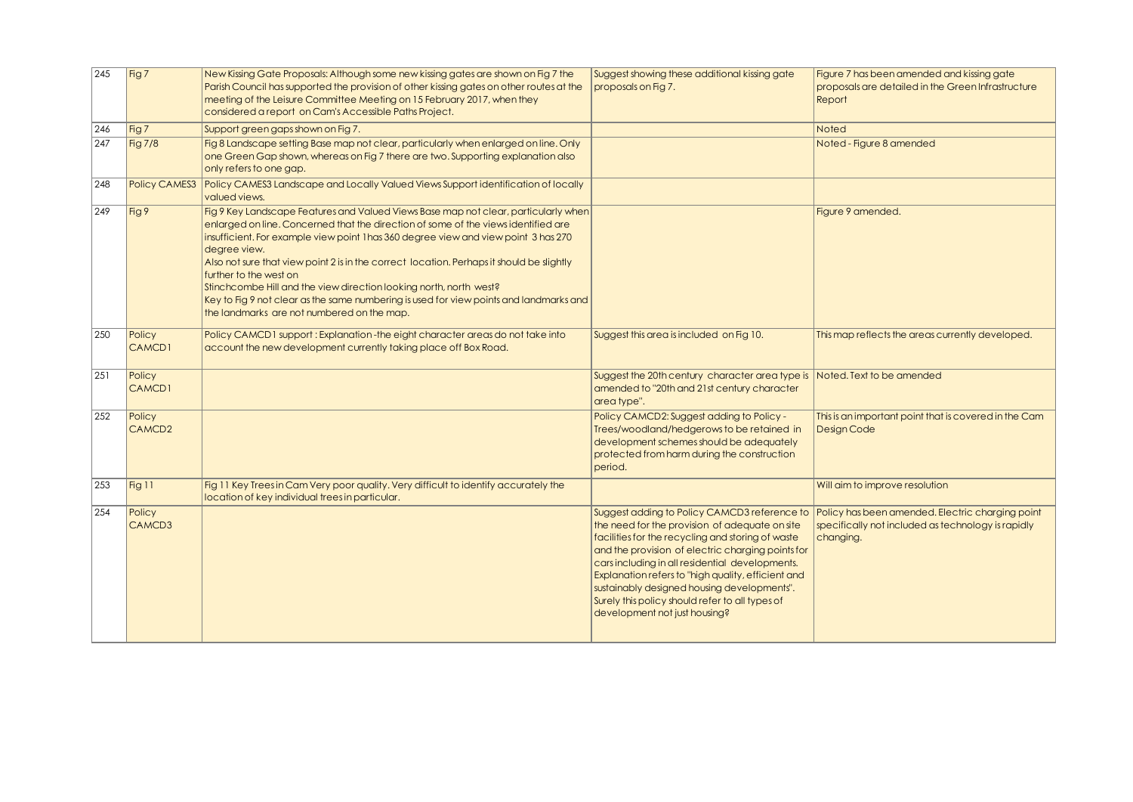| 245 | Fig 7                        | New Kissing Gate Proposals: Although some new kissing gates are shown on Fig 7 the<br>Parish Council has supported the provision of other kissing gates on other routes at the<br>meeting of the Leisure Committee Meeting on 15 February 2017, when they<br>considered a report on Cam's Accessible Paths Project.                                                                                                                                                                                                                                                                                                   | Suggest showing these additional kissing gate<br>proposals on Fig 7.                                                                                                                                                                                                                                                                                                                                                                                 | Figure 7 has been amended and kissing gate<br>proposals are detailed in the Green Infrastructure<br>Report          |
|-----|------------------------------|-----------------------------------------------------------------------------------------------------------------------------------------------------------------------------------------------------------------------------------------------------------------------------------------------------------------------------------------------------------------------------------------------------------------------------------------------------------------------------------------------------------------------------------------------------------------------------------------------------------------------|------------------------------------------------------------------------------------------------------------------------------------------------------------------------------------------------------------------------------------------------------------------------------------------------------------------------------------------------------------------------------------------------------------------------------------------------------|---------------------------------------------------------------------------------------------------------------------|
| 246 | Fig 7                        | Support green gaps shown on Fig 7.                                                                                                                                                                                                                                                                                                                                                                                                                                                                                                                                                                                    |                                                                                                                                                                                                                                                                                                                                                                                                                                                      | <b>Noted</b>                                                                                                        |
| 247 | <b>Fig 7/8</b>               | Fig 8 Landscape setting Base map not clear, particularly when enlarged on line. Only<br>one Green Gap shown, whereas on Fig 7 there are two. Supporting explanation also<br>only refers to one gap.                                                                                                                                                                                                                                                                                                                                                                                                                   |                                                                                                                                                                                                                                                                                                                                                                                                                                                      | Noted - Figure 8 amended                                                                                            |
| 248 | <b>Policy CAMES3</b>         | Policy CAMES3 Landscape and Locally Valued Views Support identification of locally<br>valued views.                                                                                                                                                                                                                                                                                                                                                                                                                                                                                                                   |                                                                                                                                                                                                                                                                                                                                                                                                                                                      |                                                                                                                     |
| 249 | Fig 9                        | Fig 9 Key Landscape Features and Valued Views Base map not clear, particularly when<br>enlarged on line. Concerned that the direction of some of the views identified are<br>insufficient. For example view point 1 has 360 degree view and view point 3 has 270<br>degree view.<br>Also not sure that view point 2 is in the correct location. Perhaps it should be slightly<br>further to the west on<br>Stinchcombe Hill and the view direction looking north, north west?<br>Key to Fig 9 not clear as the same numbering is used for view points and landmarks and<br>the landmarks are not numbered on the map. |                                                                                                                                                                                                                                                                                                                                                                                                                                                      | Figure 9 amended.                                                                                                   |
| 250 | Policy<br>CAMCD1             | Policy CAMCD1 support: Explanation-the eight character areas do not take into<br>account the new development currently taking place off Box Road.                                                                                                                                                                                                                                                                                                                                                                                                                                                                     | Suggest this area is included on Fig 10.                                                                                                                                                                                                                                                                                                                                                                                                             | This map reflects the areas currently developed.                                                                    |
| 251 | Policy<br>CAMCD1             |                                                                                                                                                                                                                                                                                                                                                                                                                                                                                                                                                                                                                       | Suggest the 20th century character area type is Noted. Text to be amended<br>amended to "20th and 21st century character<br>area type".                                                                                                                                                                                                                                                                                                              |                                                                                                                     |
| 252 | Policy<br>CAMCD <sub>2</sub> |                                                                                                                                                                                                                                                                                                                                                                                                                                                                                                                                                                                                                       | Policy CAMCD2: Suggest adding to Policy -<br>Trees/woodland/hedgerows to be retained in<br>development schemes should be adequately<br>protected from harm during the construction<br>period.                                                                                                                                                                                                                                                        | This is an important point that is covered in the Cam<br>Design Code                                                |
| 253 | Fig 11                       | Fig 11 Key Trees in Cam Very poor quality. Very difficult to identify accurately the<br>location of key individual trees in particular.                                                                                                                                                                                                                                                                                                                                                                                                                                                                               |                                                                                                                                                                                                                                                                                                                                                                                                                                                      | Will aim to improve resolution                                                                                      |
| 254 | Policy<br>CAMCD3             |                                                                                                                                                                                                                                                                                                                                                                                                                                                                                                                                                                                                                       | Suggest adding to Policy CAMCD3 reference to<br>the need for the provision of adequate on site<br>facilities for the recycling and storing of waste<br>and the provision of electric charging points for<br>cars including in all residential developments.<br>Explanation refers to "high quality, efficient and<br>sustainably designed housing developments".<br>Surely this policy should refer to all types of<br>development not just housing? | Policy has been amended. Electric charging point<br>specifically not included as technology is rapidly<br>changing. |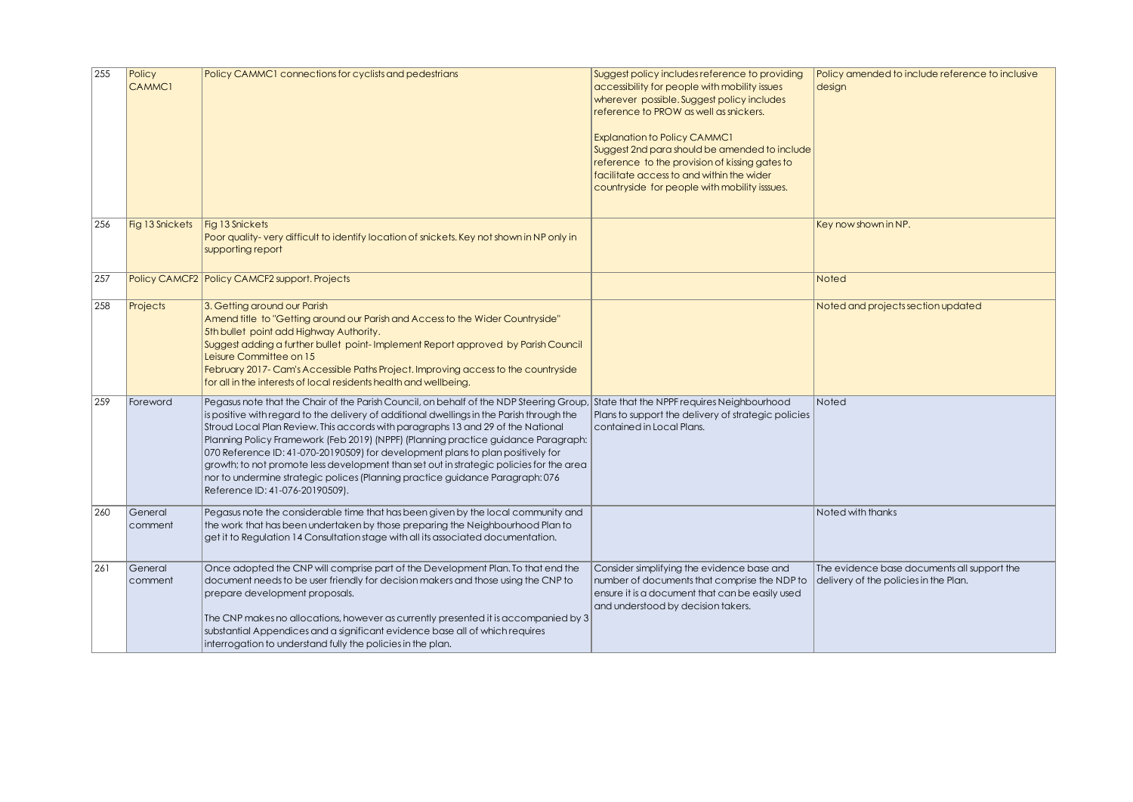| 255 | Policy<br><b>CAMMC1</b> | Policy CAMMC1 connections for cyclists and pedestrians                                                                                                                                                                                                                                                                                                                                                                                                                                                                                                                                                                                                                                                      | Suggest policy includes reference to providing<br>accessibility for people with mobility issues<br>wherever possible. Suggest policy includes<br>reference to PROW as well as snickers.<br><b>Explanation to Policy CAMMC1</b><br>Suggest 2nd para should be amended to include<br>reference to the provision of kissing gates to<br>facilitate access to and within the wider<br>countryside for people with mobility isssues. | Policy amended to include reference to inclusive<br>design                           |
|-----|-------------------------|-------------------------------------------------------------------------------------------------------------------------------------------------------------------------------------------------------------------------------------------------------------------------------------------------------------------------------------------------------------------------------------------------------------------------------------------------------------------------------------------------------------------------------------------------------------------------------------------------------------------------------------------------------------------------------------------------------------|---------------------------------------------------------------------------------------------------------------------------------------------------------------------------------------------------------------------------------------------------------------------------------------------------------------------------------------------------------------------------------------------------------------------------------|--------------------------------------------------------------------------------------|
| 256 | Fig 13 Snickets         | Fig 13 Snickets<br>Poor quality-very difficult to identify location of snickets. Key not shown in NP only in<br>supporting report                                                                                                                                                                                                                                                                                                                                                                                                                                                                                                                                                                           |                                                                                                                                                                                                                                                                                                                                                                                                                                 | Key now shown in NP.                                                                 |
| 257 |                         | Policy CAMCF2 Policy CAMCF2 support. Projects                                                                                                                                                                                                                                                                                                                                                                                                                                                                                                                                                                                                                                                               |                                                                                                                                                                                                                                                                                                                                                                                                                                 | Noted                                                                                |
| 258 | Projects                | 3. Getting around our Parish<br>Amend title to "Getting around our Parish and Access to the Wider Countryside"<br>5th bullet point add Highway Authority.<br>Suggest adding a further bullet point-Implement Report approved by Parish Council<br>Leisure Committee on 15<br>February 2017- Cam's Accessible Paths Project. Improving access to the countryside<br>for all in the interests of local residents health and wellbeing.                                                                                                                                                                                                                                                                        |                                                                                                                                                                                                                                                                                                                                                                                                                                 | Noted and projects section updated                                                   |
| 259 | Foreword                | Pegasus note that the Chair of the Parish Council, on behalf of the NDP Steering Group, State that the NPPF requires Neighbourhood<br>is positive with regard to the delivery of additional dwellings in the Parish through the<br>Stroud Local Plan Review. This accords with paragraphs 13 and 29 of the National<br>Planning Policy Framework (Feb 2019) (NPPF) (Planning practice guidance Paragraph:<br>070 Reference ID: 41-070-20190509) for development plans to plan positively for<br>growth; to not promote less development than set out in strategic policies for the area<br>nor to undermine strategic polices (Planning practice guidance Paragraph: 076<br>Reference ID: 41-076-20190509). | Plans to support the delivery of strategic policies<br>contained in Local Plans.                                                                                                                                                                                                                                                                                                                                                | Noted                                                                                |
| 260 | General<br> comment     | Pegasus note the considerable time that has been given by the local community and<br>the work that has been undertaken by those preparing the Neighbourhood Plan to<br>get it to Regulation 14 Consultation stage with all its associated documentation.                                                                                                                                                                                                                                                                                                                                                                                                                                                    |                                                                                                                                                                                                                                                                                                                                                                                                                                 | Noted with thanks                                                                    |
| 261 | General<br>comment      | Once adopted the CNP will comprise part of the Development Plan. To that end the<br>document needs to be user friendly for decision makers and those using the CNP to<br>prepare development proposals.<br>The CNP makes no allocations, however as currently presented it is accompanied by 3<br>substantial Appendices and a significant evidence base all of which requires<br>interrogation to understand fully the policies in the plan.                                                                                                                                                                                                                                                               | Consider simplifying the evidence base and<br>number of documents that comprise the NDP to<br>ensure it is a document that can be easily used<br>and understood by decision takers.                                                                                                                                                                                                                                             | The evidence base documents all support the<br>delivery of the policies in the Plan. |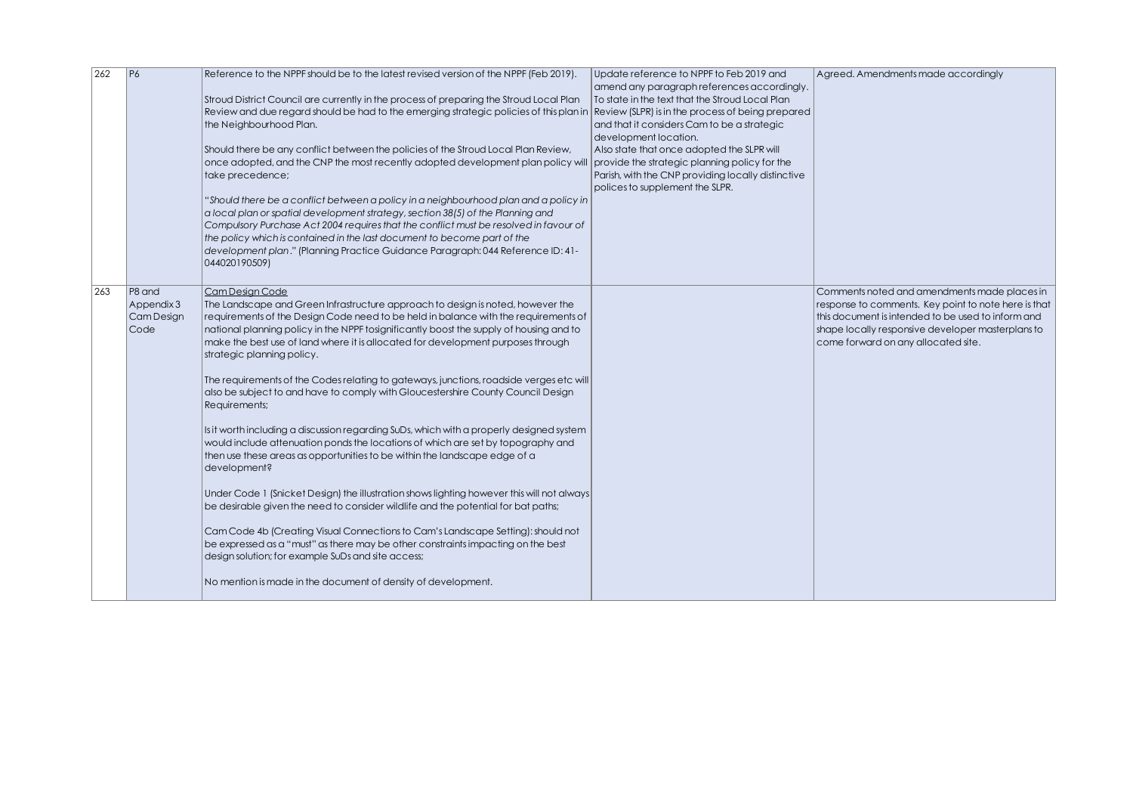| 262 | P6                                         | Reference to the NPPF should be to the latest revised version of the NPPF (Feb 2019).<br>Stroud District Council are currently in the process of preparing the Stroud Local Plan<br>Review and due regard should be had to the emerging strategic policies of this plan in Review (SLPR) is in the process of being prepared<br>the Neighbourhood Plan.<br>Should there be any conflict between the policies of the Stroud Local Plan Review,<br>once adopted, and the CNP the most recently adopted development plan policy will provide the strategic planning policy for the<br>take precedence;<br>"Should there be a conflict between a policy in a neighbourhood plan and a policy in<br>a local plan or spatial development strategy, section 38(5) of the Planning and<br>Compulsory Purchase Act 2004 requires that the conflict must be resolved in favour of<br>the policy which is contained in the last document to become part of the<br>development plan." (Planning Practice Guidance Paragraph: 044 Reference ID: 41-<br>044020190509)                                                                                                                                                                                                                                                                                                                | Update reference to NPPF to Feb 2019 and<br>amend any paragraph references accordingly.<br>To state in the text that the Stroud Local Plan<br>and that it considers Cam to be a strategic<br>development location.<br>Also state that once adopted the SLPR will<br>Parish, with the CNP providing locally distinctive<br>polices to supplement the SLPR. | Agreed. Amendments made accordingly                                                                                                                                                                                                                    |
|-----|--------------------------------------------|------------------------------------------------------------------------------------------------------------------------------------------------------------------------------------------------------------------------------------------------------------------------------------------------------------------------------------------------------------------------------------------------------------------------------------------------------------------------------------------------------------------------------------------------------------------------------------------------------------------------------------------------------------------------------------------------------------------------------------------------------------------------------------------------------------------------------------------------------------------------------------------------------------------------------------------------------------------------------------------------------------------------------------------------------------------------------------------------------------------------------------------------------------------------------------------------------------------------------------------------------------------------------------------------------------------------------------------------------------------------|-----------------------------------------------------------------------------------------------------------------------------------------------------------------------------------------------------------------------------------------------------------------------------------------------------------------------------------------------------------|--------------------------------------------------------------------------------------------------------------------------------------------------------------------------------------------------------------------------------------------------------|
| 263 | P8 and<br>Appendix 3<br>Cam Design<br>Code | Cam Desian Code<br>The Landscape and Green Infrastructure approach to design is noted, however the<br>requirements of the Design Code need to be held in balance with the requirements of<br>national planning policy in the NPPF tosignificantly boost the supply of housing and to<br>make the best use of land where it is allocated for development purposes through<br>strategic planning policy.<br>The requirements of the Codes relating to gateways, junctions, roadside verges etc will<br>also be subject to and have to comply with Gloucestershire County Council Design<br>Requirements;<br>Is it worth including a discussion regarding SuDs, which with a properly designed system<br>would include attenuation ponds the locations of which are set by topography and<br>then use these areas as opportunities to be within the landscape edge of a<br>development?<br>Under Code 1 (Snicket Design) the illustration shows lighting however this will not always<br>be desirable given the need to consider wildlife and the potential for bat paths;<br>Cam Code 4b (Creating Visual Connections to Cam's Landscape Setting): should not<br>be expressed as a "must" as there may be other constraints impacting on the best<br>design solution; for example SuDs and site access;<br>No mention is made in the document of density of development. |                                                                                                                                                                                                                                                                                                                                                           | Comments noted and amendments made places in<br>response to comments. Key point to note here is that<br>this document is intended to be used to inform and<br>shape locally responsive developer masterplans to<br>come forward on any allocated site. |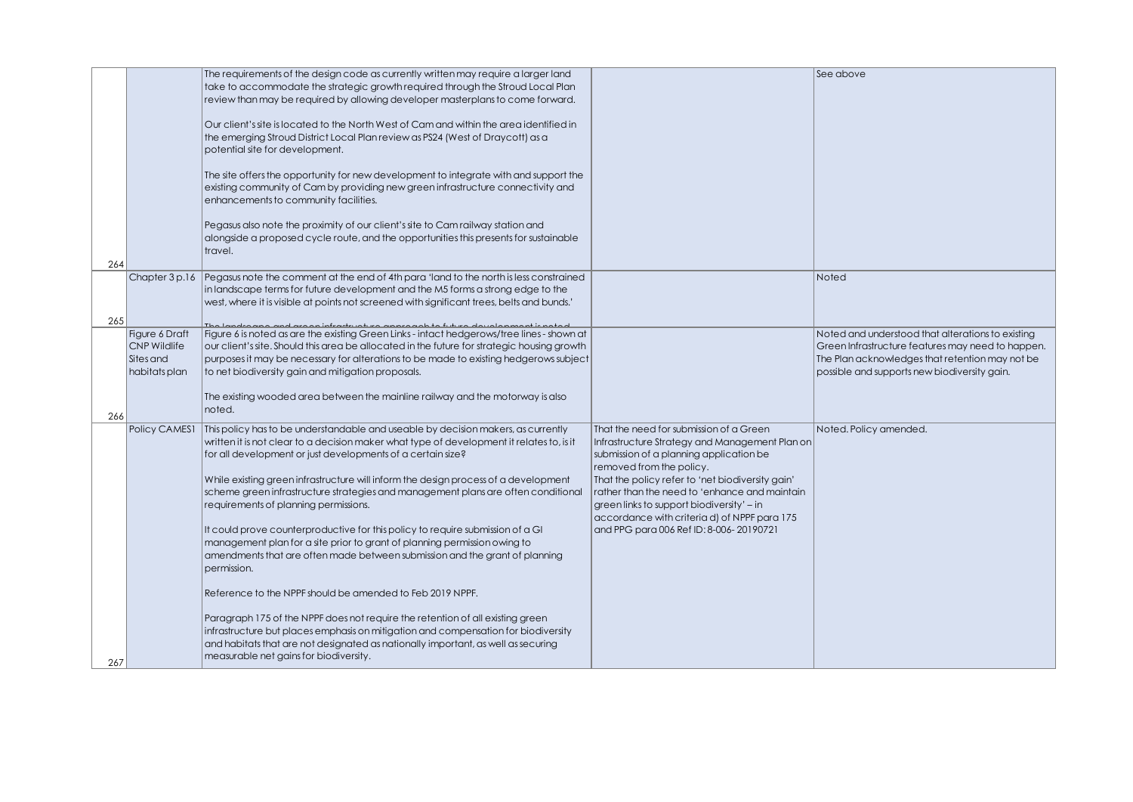|     |                      | The requirements of the design code as currently written may require a larger land          |                                                  | See above                                         |
|-----|----------------------|---------------------------------------------------------------------------------------------|--------------------------------------------------|---------------------------------------------------|
|     |                      |                                                                                             |                                                  |                                                   |
|     |                      | take to accommodate the strategic growth required through the Stroud Local Plan             |                                                  |                                                   |
|     |                      | review than may be required by allowing developer masterplans to come forward.              |                                                  |                                                   |
|     |                      |                                                                                             |                                                  |                                                   |
|     |                      | Our client's site is located to the North West of Cam and within the area identified in     |                                                  |                                                   |
|     |                      |                                                                                             |                                                  |                                                   |
|     |                      | the emerging Stroud District Local Plan review as PS24 (West of Draycott) as a              |                                                  |                                                   |
|     |                      | potential site for development.                                                             |                                                  |                                                   |
|     |                      |                                                                                             |                                                  |                                                   |
|     |                      | The site offers the opportunity for new development to integrate with and support the       |                                                  |                                                   |
|     |                      |                                                                                             |                                                  |                                                   |
|     |                      | existing community of Cam by providing new green infrastructure connectivity and            |                                                  |                                                   |
|     |                      | enhancements to community facilities.                                                       |                                                  |                                                   |
|     |                      |                                                                                             |                                                  |                                                   |
|     |                      | Pegasus also note the proximity of our client's site to Cam railway station and             |                                                  |                                                   |
|     |                      | alongside a proposed cycle route, and the opportunities this presents for sustainable       |                                                  |                                                   |
|     |                      |                                                                                             |                                                  |                                                   |
|     |                      | travel.                                                                                     |                                                  |                                                   |
| 264 |                      |                                                                                             |                                                  |                                                   |
|     | Chapter 3 p.16       | Pegasus note the comment at the end of 4th para 'land to the north is less constrained      |                                                  | Noted                                             |
|     |                      | in landscape terms for future development and the M5 forms a strong edge to the             |                                                  |                                                   |
|     |                      |                                                                                             |                                                  |                                                   |
|     |                      | west, where it is visible at points not screened with significant trees, belts and bunds.'  |                                                  |                                                   |
| 265 |                      |                                                                                             |                                                  |                                                   |
|     |                      |                                                                                             |                                                  |                                                   |
|     | Figure 6 Draft       | Figure 6 is noted as are the existing Green Links - intact hedgerows/tree lines - shown at  |                                                  | Noted and understood that alterations to existing |
|     | <b>CNP Wildlife</b>  | our client's site. Should this area be allocated in the future for strategic housing growth |                                                  | Green Infrastructure features may need to happen. |
|     | Sites and            | purposes it may be necessary for alterations to be made to existing hedgerows subject       |                                                  | The Plan acknowledges that retention may not be   |
|     | habitats plan        | to net biodiversity gain and mitigation proposals.                                          |                                                  | possible and supports new biodiversity gain.      |
|     |                      |                                                                                             |                                                  |                                                   |
|     |                      |                                                                                             |                                                  |                                                   |
|     |                      | The existing wooded area between the mainline railway and the motorway is also              |                                                  |                                                   |
|     |                      | noted.                                                                                      |                                                  |                                                   |
| 266 |                      |                                                                                             |                                                  |                                                   |
|     | <b>Policy CAMES1</b> | This policy has to be understandable and useable by decision makers, as currently           | That the need for submission of a Green          | Noted. Policy amended.                            |
|     |                      | written it is not clear to a decision maker what type of development it relates to, is it   | Infrastructure Strategy and Management Plan on   |                                                   |
|     |                      | for all development or just developments of a certain size?                                 | submission of a planning application be          |                                                   |
|     |                      |                                                                                             | removed from the policy.                         |                                                   |
|     |                      |                                                                                             |                                                  |                                                   |
|     |                      | While existing green infrastructure will inform the design process of a development         | That the policy refer to 'net biodiversity gain' |                                                   |
|     |                      | scheme green infrastructure strategies and management plans are often conditional           | rather than the need to 'enhance and maintain    |                                                   |
|     |                      | requirements of planning permissions.                                                       | green links to support biodiversity' - in        |                                                   |
|     |                      |                                                                                             | accordance with criteria d) of NPPF para 175     |                                                   |
|     |                      | It could prove counterproductive for this policy to require submission of a GI              | and PPG para 006 Ref ID: 8-006-20190721          |                                                   |
|     |                      |                                                                                             |                                                  |                                                   |
|     |                      | management plan for a site prior to grant of planning permission owing to                   |                                                  |                                                   |
|     |                      | amendments that are often made between submission and the grant of planning                 |                                                  |                                                   |
|     |                      | permission.                                                                                 |                                                  |                                                   |
|     |                      |                                                                                             |                                                  |                                                   |
|     |                      | Reference to the NPPF should be amended to Feb 2019 NPPF.                                   |                                                  |                                                   |
|     |                      |                                                                                             |                                                  |                                                   |
|     |                      |                                                                                             |                                                  |                                                   |
|     |                      | Paragraph 175 of the NPPF does not require the retention of all existing green              |                                                  |                                                   |
|     |                      | infrastructure but places emphasis on mitigation and compensation for biodiversity          |                                                  |                                                   |
|     |                      | and habitats that are not designated as nationally important, as well as securing           |                                                  |                                                   |
|     |                      |                                                                                             |                                                  |                                                   |
| 267 |                      | measurable net gains for biodiversity.                                                      |                                                  |                                                   |
|     |                      |                                                                                             |                                                  |                                                   |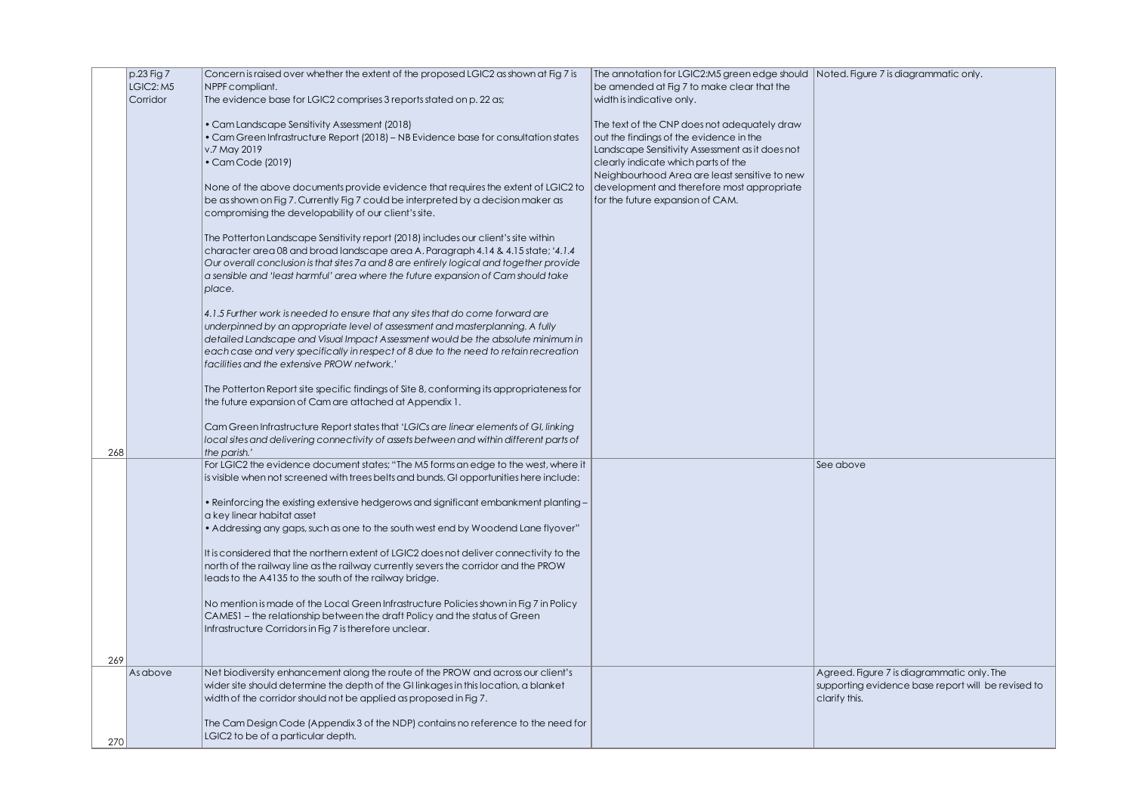|     | p.23 Fig 7            | Concern is raised over whether the extent of the proposed LGIC2 as shown at Fig 7 is                                                                                         | The annotation for LGIC2:M5 green edge should   Noted. Figure 7 is diagrammatic only.       |                                                                     |
|-----|-----------------------|------------------------------------------------------------------------------------------------------------------------------------------------------------------------------|---------------------------------------------------------------------------------------------|---------------------------------------------------------------------|
|     | LGIC2: M5<br>Corridor | NPPF compliant.<br>The evidence base for LGIC2 comprises 3 reports stated on p. 22 as;                                                                                       | be amended at Fig 7 to make clear that the<br>width is indicative only.                     |                                                                     |
|     |                       |                                                                                                                                                                              |                                                                                             |                                                                     |
|     |                       | • Cam Landscape Sensitivity Assessment (2018)<br>• Cam Green Infrastructure Report (2018) - NB Evidence base for consultation states                                         | The text of the CNP does not adequately draw<br>out the findings of the evidence in the     |                                                                     |
|     |                       | v.7 May 2019                                                                                                                                                                 | Landscape Sensitivity Assessment as it does not                                             |                                                                     |
|     |                       | • Cam Code (2019)                                                                                                                                                            | clearly indicate which parts of the                                                         |                                                                     |
|     |                       | None of the above documents provide evidence that requires the extent of LGIC2 to                                                                                            | Neighbourhood Area are least sensitive to new<br>development and therefore most appropriate |                                                                     |
|     |                       | be as shown on Fig 7. Currently Fig 7 could be interpreted by a decision maker as                                                                                            | for the future expansion of CAM.                                                            |                                                                     |
|     |                       | compromising the developability of our client's site.                                                                                                                        |                                                                                             |                                                                     |
|     |                       | The Potterton Landscape Sensitivity report (2018) includes our client's site within                                                                                          |                                                                                             |                                                                     |
|     |                       | character area 08 and broad landscape area A. Paragraph 4.14 & 4.15 state; '4.1.4                                                                                            |                                                                                             |                                                                     |
|     |                       | Our overall conclusion is that sites 7a and 8 are entirely logical and together provide<br>a sensible and 'least harmful' area where the future expansion of Cam should take |                                                                                             |                                                                     |
|     |                       | place.                                                                                                                                                                       |                                                                                             |                                                                     |
|     |                       | 4.1.5 Further work is needed to ensure that any sites that do come forward are                                                                                               |                                                                                             |                                                                     |
|     |                       | underpinned by an appropriate level of assessment and masterplanning. A fully                                                                                                |                                                                                             |                                                                     |
|     |                       | detailed Landscape and Visual Impact Assessment would be the absolute minimum in                                                                                             |                                                                                             |                                                                     |
|     |                       | each case and very specifically in respect of 8 due to the need to retain recreation<br>facilities and the extensive PROW network.'                                          |                                                                                             |                                                                     |
|     |                       |                                                                                                                                                                              |                                                                                             |                                                                     |
|     |                       | The Potterton Report site specific findings of Site 8, conforming its appropriateness for                                                                                    |                                                                                             |                                                                     |
|     |                       | the future expansion of Cam are attached at Appendix 1.                                                                                                                      |                                                                                             |                                                                     |
|     |                       | Cam Green Infrastructure Report states that 'LGICs are linear elements of GI, linking                                                                                        |                                                                                             |                                                                     |
| 268 |                       | local sites and delivering connectivity of assets between and within different parts of<br>the parish.'                                                                      |                                                                                             |                                                                     |
|     |                       | For LGIC2 the evidence document states; "The M5 forms an edge to the west, where it                                                                                          |                                                                                             | See above                                                           |
|     |                       | is visible when not screened with trees belts and bunds. GI opportunities here include:                                                                                      |                                                                                             |                                                                     |
|     |                       | • Reinforcing the existing extensive hedgerows and significant embankment planting -                                                                                         |                                                                                             |                                                                     |
|     |                       | a key linear habitat asset                                                                                                                                                   |                                                                                             |                                                                     |
|     |                       | • Addressing any gaps, such as one to the south west end by Woodend Lane flyover"                                                                                            |                                                                                             |                                                                     |
|     |                       | It is considered that the northern extent of LGIC2 does not deliver connectivity to the                                                                                      |                                                                                             |                                                                     |
|     |                       | north of the railway line as the railway currently severs the corridor and the PROW                                                                                          |                                                                                             |                                                                     |
|     |                       | leads to the A4135 to the south of the railway bridge.                                                                                                                       |                                                                                             |                                                                     |
|     |                       | No mention is made of the Local Green Infrastructure Policies shown in Fig 7 in Policy                                                                                       |                                                                                             |                                                                     |
|     |                       | CAMES1 – the relationship between the draft Policy and the status of Green                                                                                                   |                                                                                             |                                                                     |
|     |                       | Infrastructure Corridors in Fig 7 is therefore unclear.                                                                                                                      |                                                                                             |                                                                     |
| 269 |                       |                                                                                                                                                                              |                                                                                             |                                                                     |
|     | As above              | Net biodiversity enhancement along the route of the PROW and across our client's                                                                                             |                                                                                             | Agreed. Figure 7 is diagrammatic only. The                          |
|     |                       | wider site should determine the depth of the GI linkages in this location, a blanket<br>width of the corridor should not be applied as proposed in Fig 7.                    |                                                                                             | supporting evidence base report will be revised to<br>clarify this. |
|     |                       |                                                                                                                                                                              |                                                                                             |                                                                     |
|     |                       | The Cam Design Code (Appendix 3 of the NDP) contains no reference to the need for                                                                                            |                                                                                             |                                                                     |
| 270 |                       | LGIC2 to be of a particular depth.                                                                                                                                           |                                                                                             |                                                                     |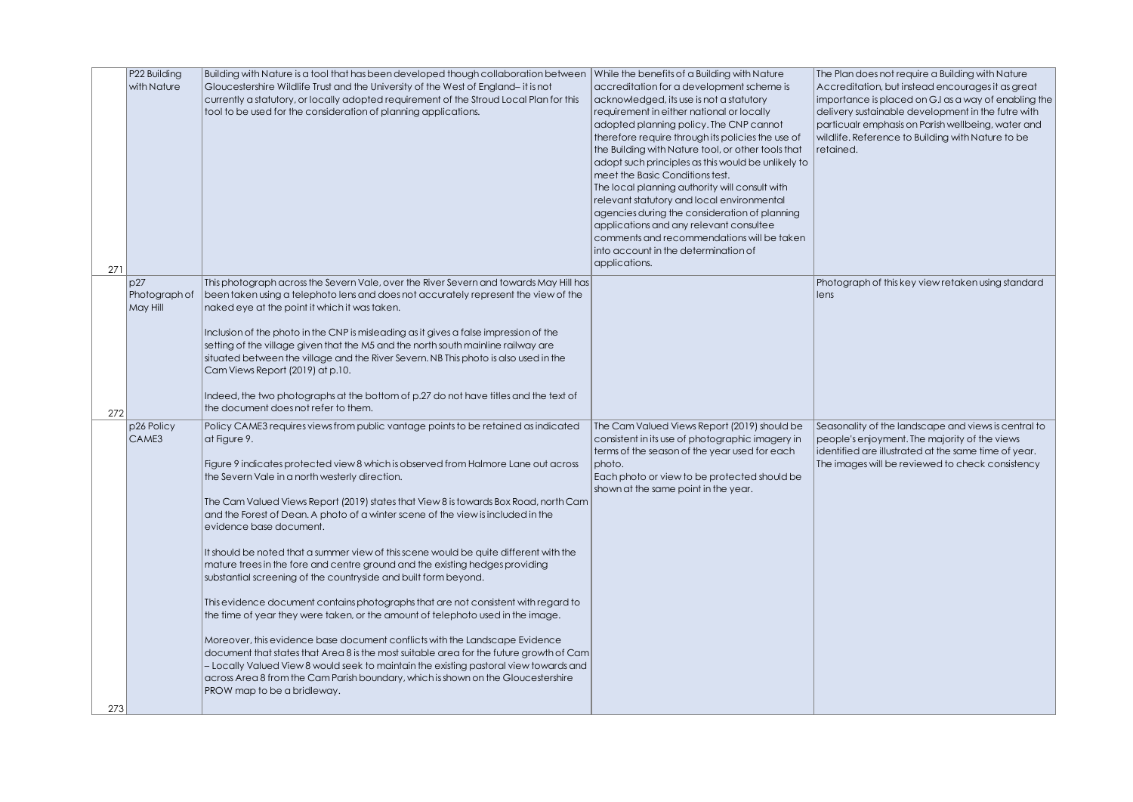|            | P22 Building<br>with Nature      | Building with Nature is a tool that has been developed though collaboration between<br>Gloucestershire Wildlife Trust and the University of the West of England– it is not<br>currently a statutory, or locally adopted requirement of the Stroud Local Plan for this<br>tool to be used for the consideration of planning applications.                                                                                                                                                                                                                                                                                                                                                                                                                                                                                                                                                                                                                                                                                                                                                                                                                                                                                                                                                              | While the benefits of a Building with Nature<br>accreditation for a development scheme is<br>acknowledged, its use is not a statutory<br>requirement in either national or locally<br>adopted planning policy. The CNP cannot<br>therefore require through its policies the use of<br>the Building with Nature tool, or other tools that<br>adopt such principles as this would be unlikely to<br>meet the Basic Conditions test.<br>The local planning authority will consult with<br>relevant statutory and local environmental<br>agencies during the consideration of planning | The Plan does not require a Building with Nature<br>Accreditation, but instead encourages it as great<br>importance is placed on G.I as a way of enabling the<br>delivery sustainable development in the futre with<br>particualr emphasis on Parish wellbeing, water and<br>wildlife. Reference to Building with Nature to be<br>retained. |
|------------|----------------------------------|-------------------------------------------------------------------------------------------------------------------------------------------------------------------------------------------------------------------------------------------------------------------------------------------------------------------------------------------------------------------------------------------------------------------------------------------------------------------------------------------------------------------------------------------------------------------------------------------------------------------------------------------------------------------------------------------------------------------------------------------------------------------------------------------------------------------------------------------------------------------------------------------------------------------------------------------------------------------------------------------------------------------------------------------------------------------------------------------------------------------------------------------------------------------------------------------------------------------------------------------------------------------------------------------------------|------------------------------------------------------------------------------------------------------------------------------------------------------------------------------------------------------------------------------------------------------------------------------------------------------------------------------------------------------------------------------------------------------------------------------------------------------------------------------------------------------------------------------------------------------------------------------------|---------------------------------------------------------------------------------------------------------------------------------------------------------------------------------------------------------------------------------------------------------------------------------------------------------------------------------------------|
| 271        |                                  |                                                                                                                                                                                                                                                                                                                                                                                                                                                                                                                                                                                                                                                                                                                                                                                                                                                                                                                                                                                                                                                                                                                                                                                                                                                                                                       | applications and any relevant consultee<br>comments and recommendations will be taken<br>into account in the determination of<br>applications.                                                                                                                                                                                                                                                                                                                                                                                                                                     |                                                                                                                                                                                                                                                                                                                                             |
|            | p27<br>Photograph of<br>May Hill | This photograph across the Severn Vale, over the River Severn and towards May Hill has<br>been taken using a telephoto lens and does not accurately represent the view of the<br>naked eye at the point it which it was taken.<br>Inclusion of the photo in the CNP is misleading as it gives a false impression of the<br>setting of the village given that the M5 and the north south mainline railway are<br>situated between the village and the River Severn. NB This photo is also used in the<br>Cam Views Report (2019) at p.10.<br>Indeed, the two photographs at the bottom of p.27 do not have titles and the text of                                                                                                                                                                                                                                                                                                                                                                                                                                                                                                                                                                                                                                                                      |                                                                                                                                                                                                                                                                                                                                                                                                                                                                                                                                                                                    | Photograph of this key view retaken using standard<br>llens                                                                                                                                                                                                                                                                                 |
| 272<br>273 | p26 Policy<br>CAME3              | the document does not refer to them.<br>Policy CAME3 requires views from public vantage points to be retained as indicated<br>at Figure 9.<br>Figure 9 indicates protected view 8 which is observed from Halmore Lane out across<br>the Severn Vale in a north westerly direction.<br>The Cam Valued Views Report (2019) states that View 8 is towards Box Road, north Cam<br>and the Forest of Dean. A photo of a winter scene of the view is included in the<br>evidence base document.<br>It should be noted that a summer view of this scene would be quite different with the<br>mature trees in the fore and centre ground and the existing hedges providing<br>substantial screening of the countryside and built form beyond.<br>This evidence document contains photographs that are not consistent with regard to<br>the time of year they were taken, or the amount of telephoto used in the image.<br>Moreover, this evidence base document conflicts with the Landscape Evidence<br>document that states that Area 8 is the most suitable area for the future growth of Cam<br>- Locally Valued View 8 would seek to maintain the existing pastoral view towards and<br>across Area 8 from the Cam Parish boundary, which is shown on the Gloucestershire<br>PROW map to be a bridleway. | The Cam Valued Views Report (2019) should be<br>consistent in its use of photographic imagery in<br>terms of the season of the year used for each<br>photo.<br>Each photo or view to be protected should be<br>shown at the same point in the year.                                                                                                                                                                                                                                                                                                                                | Seasonality of the landscape and views is central to<br>people's enjoyment. The majority of the views<br>identified are illustrated at the same time of year.<br>The images will be reviewed to check consistency                                                                                                                           |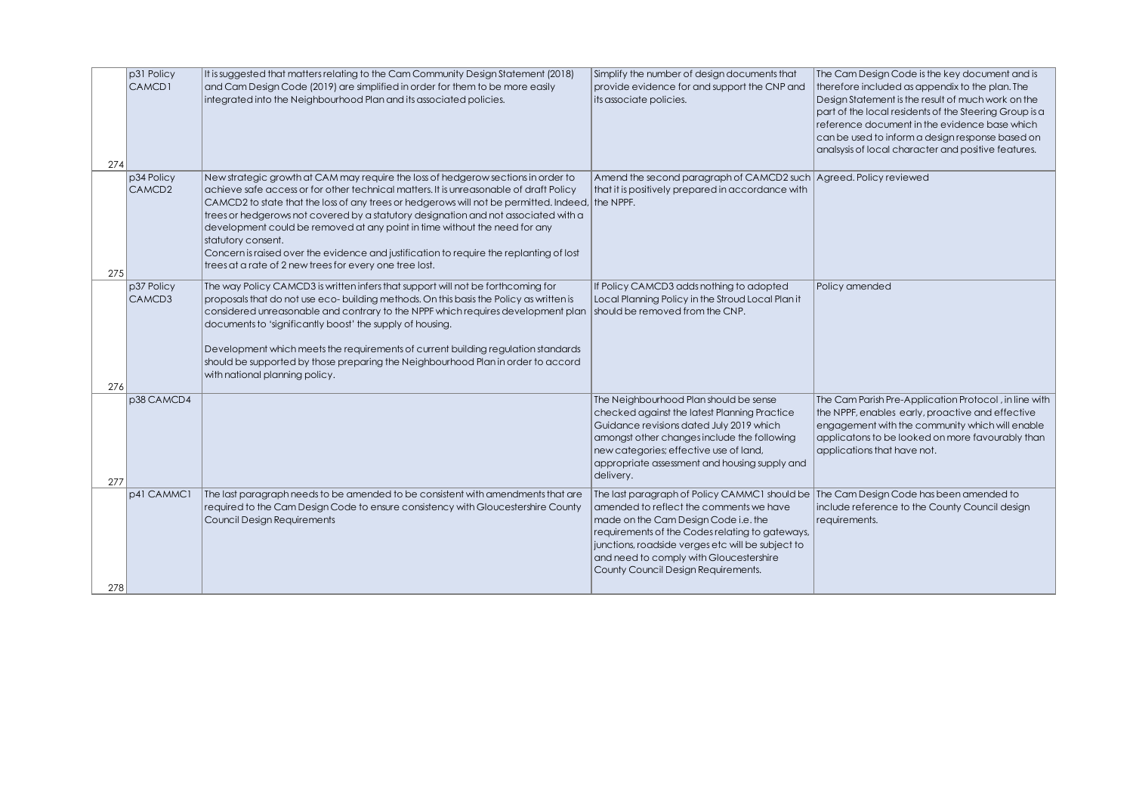|     | p31 Policy<br>CAMCD1               | It is suggested that matters relating to the Cam Community Design Statement (2018)<br>and Cam Design Code (2019) are simplified in order for them to be more easily                     | Simplify the number of design documents that<br>provide evidence for and support the CNP and                           | The Cam Design Code is the key document and is<br>therefore included as appendix to the plan. The                                                             |
|-----|------------------------------------|-----------------------------------------------------------------------------------------------------------------------------------------------------------------------------------------|------------------------------------------------------------------------------------------------------------------------|---------------------------------------------------------------------------------------------------------------------------------------------------------------|
|     |                                    | integrated into the Neighbourhood Plan and its associated policies.                                                                                                                     | its associate policies.                                                                                                | Design Statement is the result of much work on the<br>part of the local residents of the Steering Group is a<br>reference document in the evidence base which |
|     |                                    |                                                                                                                                                                                         |                                                                                                                        | can be used to inform a design response based on<br>analsysis of local character and positive features.                                                       |
| 274 |                                    |                                                                                                                                                                                         |                                                                                                                        |                                                                                                                                                               |
|     | $p34$ Policy<br>CAMCD <sub>2</sub> | New strategic growth at CAM may require the loss of hedgerow sections in order to<br>achieve safe access or for other technical matters. It is unreasonable of draft Policy             | Amend the second paragraph of CAMCD2 such Agreed. Policy reviewed<br>that it is positively prepared in accordance with |                                                                                                                                                               |
|     |                                    | CAMCD2 to state that the loss of any trees or hedgerows will not be permitted. Indeed, the NPPF.<br>trees or hedgerows not covered by a statutory designation and not associated with a |                                                                                                                        |                                                                                                                                                               |
|     |                                    | development could be removed at any point in time without the need for any                                                                                                              |                                                                                                                        |                                                                                                                                                               |
|     |                                    | statutory consent.<br>Concern is raised over the evidence and justification to require the replanting of lost                                                                           |                                                                                                                        |                                                                                                                                                               |
| 275 |                                    | trees at a rate of 2 new trees for every one tree lost.                                                                                                                                 |                                                                                                                        |                                                                                                                                                               |
|     | p37 Policy<br>CAMCD3               | The way Policy CAMCD3 is written infers that support will not be forthcoming for<br>proposals that do not use eco-building methods. On this basis the Policy as written is              | If Policy CAMCD3 adds nothing to adopted<br>Local Planning Policy in the Stroud Local Plan it                          | Policy amended                                                                                                                                                |
|     |                                    | considered unreasonable and contrary to the NPPF which requires development plan  should be removed from the CNP.                                                                       |                                                                                                                        |                                                                                                                                                               |
|     |                                    | documents to 'significantly boost' the supply of housing.                                                                                                                               |                                                                                                                        |                                                                                                                                                               |
|     |                                    | Development which meets the requirements of current building regulation standards<br>should be supported by those preparing the Neighbourhood Plan in order to accord                   |                                                                                                                        |                                                                                                                                                               |
| 276 |                                    | with national planning policy.                                                                                                                                                          |                                                                                                                        |                                                                                                                                                               |
|     | D38 CAMCD4                         |                                                                                                                                                                                         | The Neighbourhood Plan should be sense<br>checked against the latest Planning Practice                                 | The Cam Parish Pre-Application Protocol, in line with<br>the NPPF, enables early, proactive and effective                                                     |
|     |                                    |                                                                                                                                                                                         | Guidance revisions dated July 2019 which                                                                               | engagement with the community which will enable                                                                                                               |
|     |                                    |                                                                                                                                                                                         | amongst other changes include the following<br>new categories; effective use of land,                                  | applicatons to be looked on more favourably than<br>applications that have not.                                                                               |
|     |                                    |                                                                                                                                                                                         | appropriate assessment and housing supply and<br>delivery.                                                             |                                                                                                                                                               |
| 277 | p41 CAMMC1                         | The last paragraph needs to be amended to be consistent with amendments that are                                                                                                        | The last paragraph of Policy CAMMC1 should be The Cam Design Code has been amended to                                  |                                                                                                                                                               |
|     |                                    | required to the Cam Design Code to ensure consistency with Gloucestershire County<br>Council Design Requirements                                                                        | amended to reflect the comments we have<br>made on the Cam Design Code i.e. the                                        | include reference to the County Council design<br>requirements.                                                                                               |
|     |                                    |                                                                                                                                                                                         | requirements of the Codes relating to gateways,                                                                        |                                                                                                                                                               |
|     |                                    |                                                                                                                                                                                         | junctions, roadside verges etc will be subject to<br>and need to comply with Gloucestershire                           |                                                                                                                                                               |
|     |                                    |                                                                                                                                                                                         | County Council Design Requirements.                                                                                    |                                                                                                                                                               |
| 278 |                                    |                                                                                                                                                                                         |                                                                                                                        |                                                                                                                                                               |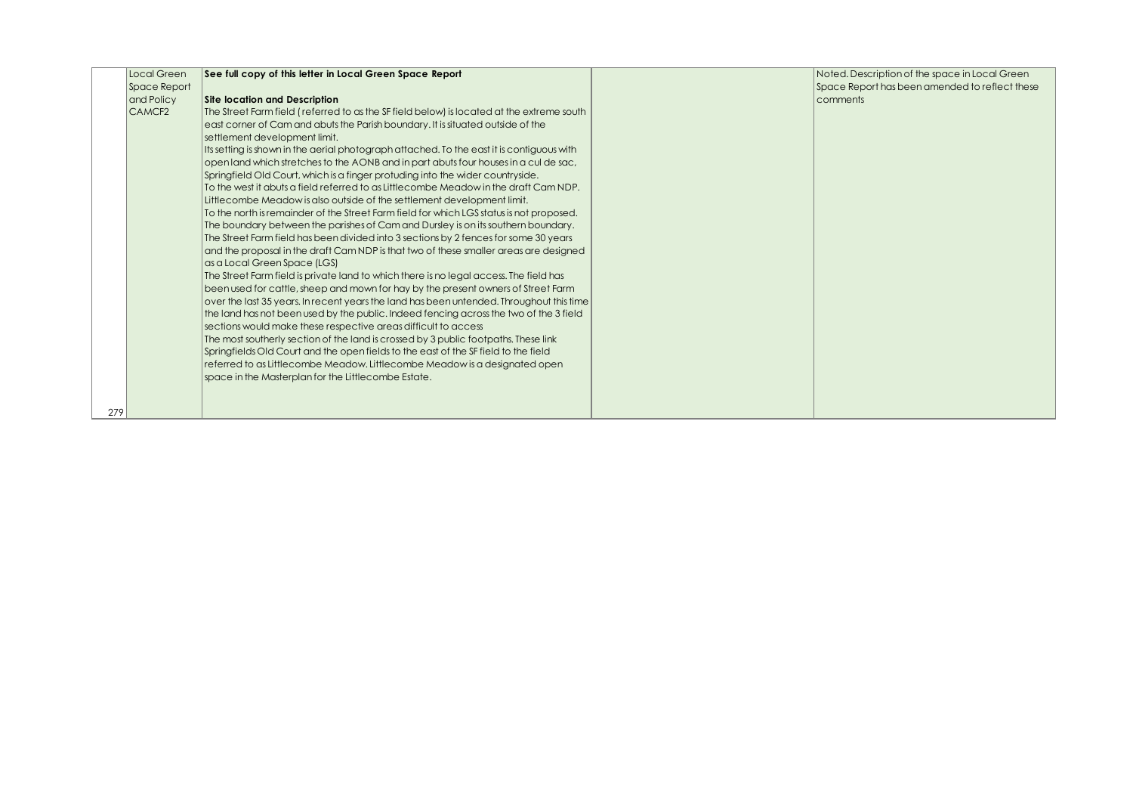|     | Local Green        | See full copy of this letter in Local Green Space Report                                               | Noted. Description of the space in Local Green |
|-----|--------------------|--------------------------------------------------------------------------------------------------------|------------------------------------------------|
|     | Space Report       |                                                                                                        | Space Report has been amended to reflect these |
|     | and Policy         | <b>Site location and Description</b>                                                                   | <b>comments</b>                                |
|     | CAMCF <sub>2</sub> | The Street Farm field (referred to as the SF field below) is located at the extreme south              |                                                |
|     |                    | east corner of Cam and abuts the Parish boundary. It is situated outside of the                        |                                                |
|     |                    | settlement development limit.                                                                          |                                                |
|     |                    | Its setting is shown in the aerial photograph attached. To the east it is contiguous with              |                                                |
|     |                    | open land which stretches to the AONB and in part abuts four houses in a cul de sac,                   |                                                |
|     |                    | Springfield Old Court, which is a finger protuding into the wider countryside.                         |                                                |
|     |                    | To the west it abuts a field referred to as Littlecombe Meadow in the draft Cam NDP.                   |                                                |
|     |                    | Littlecombe Meadow is also outside of the settlement development limit.                                |                                                |
|     |                    | To the north is remainder of the Street Farm field for which LGS status is not proposed.               |                                                |
|     |                    | The boundary between the parishes of Cam and Dursley is on its southern boundary.                      |                                                |
|     |                    | The Street Farm field has been divided into 3 sections by 2 fences for some 30 years                   |                                                |
|     |                    | and the proposal in the draft Cam NDP is that two of these smaller areas are designed                  |                                                |
|     |                    | as a Local Green Space (LGS)                                                                           |                                                |
|     |                    | The Street Farm field is private land to which there is no legal access. The field has                 |                                                |
|     |                    | been used for cattle, sheep and mown for hay by the present owners of Street Farm                      |                                                |
|     |                    | $\mid$ over the last 35 years. In recent years the land has been untended. Throughout this time $\mid$ |                                                |
|     |                    | the land has not been used by the public. Indeed fencing across the two of the 3 field                 |                                                |
|     |                    | sections would make these respective areas difficult to access                                         |                                                |
|     |                    | The most southerly section of the land is crossed by 3 public footpaths. These link                    |                                                |
|     |                    | Springfields Old Court and the open fields to the east of the SF field to the field                    |                                                |
|     |                    | referred to as Littlecombe Meadow. Littlecombe Meadow is a designated open                             |                                                |
|     |                    | space in the Masterplan for the Littlecombe Estate.                                                    |                                                |
|     |                    |                                                                                                        |                                                |
|     |                    |                                                                                                        |                                                |
| 279 |                    |                                                                                                        |                                                |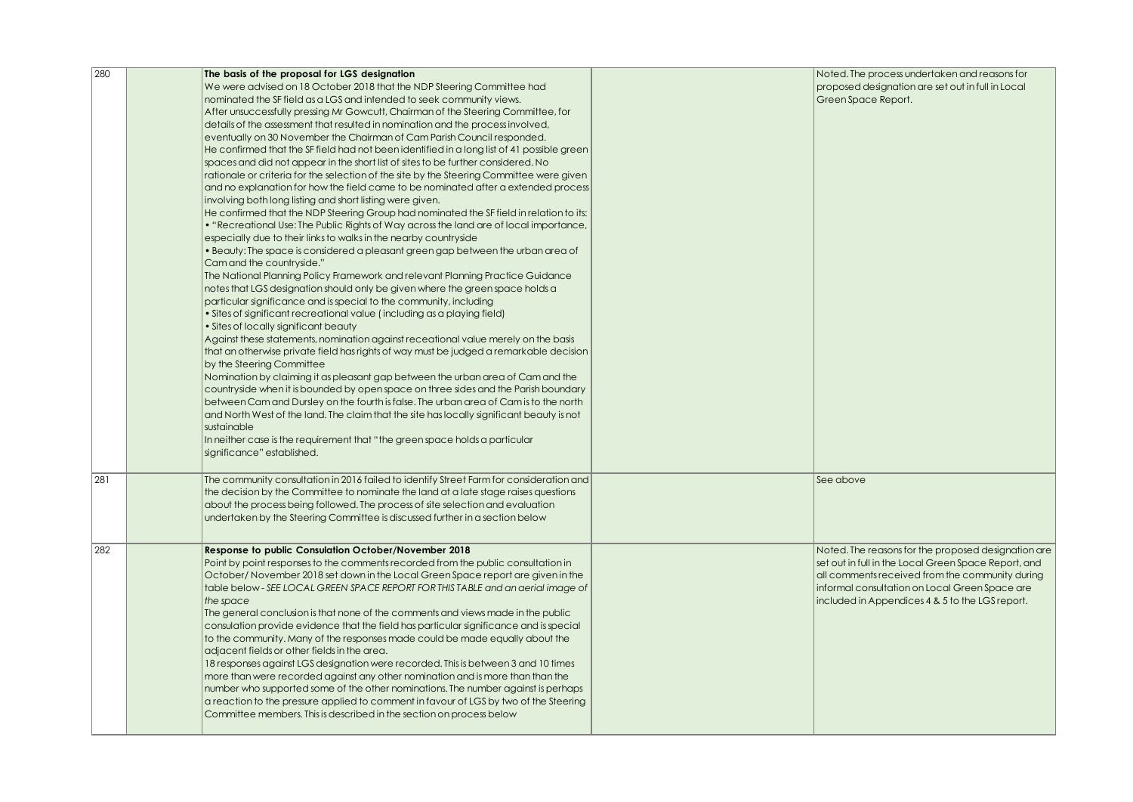| 280 | The basis of the proposal for LGS designation                                              | Noted. The process undertaken and reasons for        |
|-----|--------------------------------------------------------------------------------------------|------------------------------------------------------|
|     | We were advised on 18 October 2018 that the NDP Steering Committee had                     | proposed designation are set out in full in Local    |
|     | nominated the SF field as a LGS and intended to seek community views.                      | Green Space Report.                                  |
|     | After unsuccessfully pressing Mr Gowcutt, Chairman of the Steering Committee, for          |                                                      |
|     | details of the assessment that resulted in nomination and the process involved,            |                                                      |
|     | eventually on 30 November the Chairman of Cam Parish Council responded.                    |                                                      |
|     | He confirmed that the SF field had not been identified in a long list of 41 possible green |                                                      |
|     | spaces and did not appear in the short list of sites to be further considered. No          |                                                      |
|     | rationale or criteria for the selection of the site by the Steering Committee were given   |                                                      |
|     | and no explanation for how the field came to be nominated after a extended process         |                                                      |
|     | involving both long listing and short listing were given.                                  |                                                      |
|     | He confirmed that the NDP Steering Group had nominated the SF field in relation to its:    |                                                      |
|     | • "Recreational Use: The Public Rights of Way across the land are of local importance,     |                                                      |
|     | especially due to their links to walks in the nearby countryside                           |                                                      |
|     | • Beauty: The space is considered a pleasant green gap between the urban area of           |                                                      |
|     | Cam and the countryside."                                                                  |                                                      |
|     | The National Planning Policy Framework and relevant Planning Practice Guidance             |                                                      |
|     | notes that LGS designation should only be given where the green space holds a              |                                                      |
|     | particular significance and is special to the community, including                         |                                                      |
|     | • Sites of significant recreational value (including as a playing field)                   |                                                      |
|     | • Sites of locally significant beauty                                                      |                                                      |
|     | Against these statements, nomination against receational value merely on the basis         |                                                      |
|     | that an otherwise private field has rights of way must be judged a remarkable decision     |                                                      |
|     | by the Steering Committee                                                                  |                                                      |
|     | Nomination by claiming it as pleasant gap between the urban area of Cam and the            |                                                      |
|     | countryside when it is bounded by open space on three sides and the Parish boundary        |                                                      |
|     | between Cam and Dursley on the fourth is false. The urban area of Cam is to the north      |                                                      |
|     | and North West of the land. The claim that the site has locally significant beauty is not  |                                                      |
|     | sustainable                                                                                |                                                      |
|     | In neither case is the requirement that "the green space holds a particular                |                                                      |
|     | significance" established.                                                                 |                                                      |
|     |                                                                                            |                                                      |
| 281 | The community consultation in 2016 failed to identify Street Farm for consideration and    | See above                                            |
|     | the decision by the Committee to nominate the land at a late stage raises questions        |                                                      |
|     | about the process being followed. The process of site selection and evaluation             |                                                      |
|     | undertaken by the Steering Committee is discussed further in a section below               |                                                      |
|     |                                                                                            |                                                      |
| 282 | Response to public Consulation October/November 2018                                       | Noted. The reasons for the proposed designation are  |
|     | Point by point responses to the comments recorded from the public consultation in          | set out in full in the Local Green Space Report, and |
|     | October/ November 2018 set down in the Local Green Space report are given in the           | all comments received from the community during      |
|     | table below - SEE LOCAL GREEN SPACE REPORT FOR THIS TABLE and an aerial image of           | informal consultation on Local Green Space are       |
|     | the space                                                                                  | included in Appendices 4 & 5 to the LGS report.      |
|     | The general conclusion is that none of the comments and views made in the public           |                                                      |
|     | consulation provide evidence that the field has particular significance and is special     |                                                      |
|     | to the community. Many of the responses made could be made equally about the               |                                                      |
|     | adjacent fields or other fields in the area.                                               |                                                      |
|     | 18 responses against LGS designation were recorded. This is between 3 and 10 times         |                                                      |
|     | more than were recorded against any other nomination and is more than than the             |                                                      |
|     | number who supported some of the other nominations. The number against is perhaps          |                                                      |
|     | a reaction to the pressure applied to comment in favour of LGS by two of the Steering      |                                                      |
|     | Committee members. This is described in the section on process below                       |                                                      |
|     |                                                                                            |                                                      |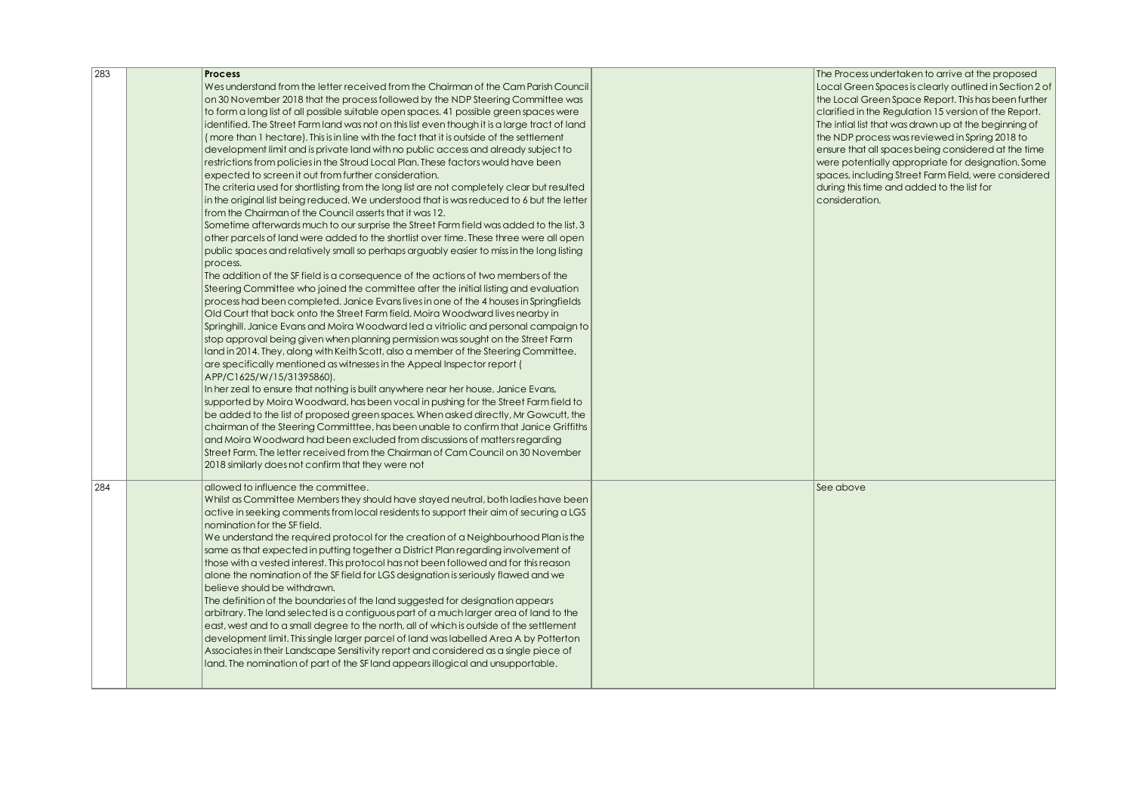| 283 | <b>Process</b>                                                                                | The Process undertaken to arrive at the proposed       |
|-----|-----------------------------------------------------------------------------------------------|--------------------------------------------------------|
|     | Wes understand from the letter received from the Chairman of the Cam Parish Council           | Local Green Spaces is clearly outlined in Section 2 of |
|     | on 30 November 2018 that the process followed by the NDP Steering Committee was               | the Local Green Space Report. This has been further    |
|     | to form a long list of all possible suitable open spaces. 41 possible green spaces were       | clarified in the Regulation 15 version of the Report.  |
|     | identified. The Street Farm land was not on this list even though it is a large tract of land | The intial list that was drawn up at the beginning of  |
|     | (more than 1 hectare). This is in line with the fact that it is outside of the settlement     | the NDP process was reviewed in Spring 2018 to         |
|     | development limit and is private land with no public access and already subject to            | ensure that all spaces being considered at the time    |
|     | restrictions from policies in the Stroud Local Plan. These factors would have been            | were potentially appropriate for designation. Some     |
|     | expected to screen it out from further consideration.                                         | spaces, including Street Farm Field, were considered   |
|     | The criteria used for shortlisting from the long list are not completely clear but resulted   | during this time and added to the list for             |
|     | in the original list being reduced. We understood that is was reduced to 6 but the letter     | consideration.                                         |
|     | from the Chairman of the Council asserts that it was 12.                                      |                                                        |
|     |                                                                                               |                                                        |
|     | Sometime afterwards much to our surprise the Street Farm field was added to the list. 3       |                                                        |
|     | other parcels of land were added to the shortlist over time. These three were all open        |                                                        |
|     | public spaces and relatively small so perhaps arguably easier to miss in the long listing     |                                                        |
|     | process.                                                                                      |                                                        |
|     | The addition of the SF field is a consequence of the actions of two members of the            |                                                        |
|     | Steering Committee who joined the committee after the initial listing and evaluation          |                                                        |
|     | process had been completed. Janice Evans lives in one of the 4 houses in Springfields         |                                                        |
|     | Old Court that back onto the Street Farm field. Moira Woodward lives nearby in                |                                                        |
|     | Springhill, Janice Evans and Moira Woodward led a vitriolic and personal campaign to          |                                                        |
|     | stop approval being given when planning permission was sought on the Street Farm              |                                                        |
|     | land in 2014. They, along with Keith Scott, also a member of the Steering Committee,          |                                                        |
|     | are specifically mentioned as witnesses in the Appeal Inspector report (                      |                                                        |
|     | APP/C1625/W/15/31395860).                                                                     |                                                        |
|     | In her zeal to ensure that nothing is built anywhere near her house, Janice Evans,            |                                                        |
|     | supported by Moira Woodward, has been vocal in pushing for the Street Farm field to           |                                                        |
|     | be added to the list of proposed green spaces. When asked directly, Mr Gowcutt, the           |                                                        |
|     | chairman of the Steering Committtee, has been unable to confirm that Janice Griffiths         |                                                        |
|     | and Moira Woodward had been excluded from discussions of matters regarding                    |                                                        |
|     | Street Farm. The letter received from the Chairman of Cam Council on 30 November              |                                                        |
|     | 2018 similarly does not confirm that they were not                                            |                                                        |
|     |                                                                                               |                                                        |
| 284 | allowed to influence the committee.                                                           | See above                                              |
|     | Whilst as Committee Members they should have stayed neutral, both ladies have been            |                                                        |
|     | active in seeking comments from local residents to support their aim of securing a LGS        |                                                        |
|     | nomination for the SF field.                                                                  |                                                        |
|     | We understand the required protocol for the creation of a Neighbourhood Plan is the           |                                                        |
|     | same as that expected in putting together a District Plan regarding involvement of            |                                                        |
|     | those with a vested interest. This protocol has not been followed and for this reason         |                                                        |
|     | alone the nomination of the SF field for LGS designation is seriously flawed and we           |                                                        |
|     | believe should be withdrawn.                                                                  |                                                        |
|     | The definition of the boundaries of the land suggested for designation appears                |                                                        |
|     | arbitrary. The land selected is a contiguous part of a much larger area of land to the        |                                                        |
|     | east, west and to a small degree to the north, all of which is outside of the settlement      |                                                        |
|     | development limit. This single larger parcel of land was labelled Area A by Potterton         |                                                        |
|     | Associates in their Landscape Sensitivity report and considered as a single piece of          |                                                        |
|     | land. The nomination of part of the SF land appears illogical and unsupportable.              |                                                        |
|     |                                                                                               |                                                        |
|     |                                                                                               |                                                        |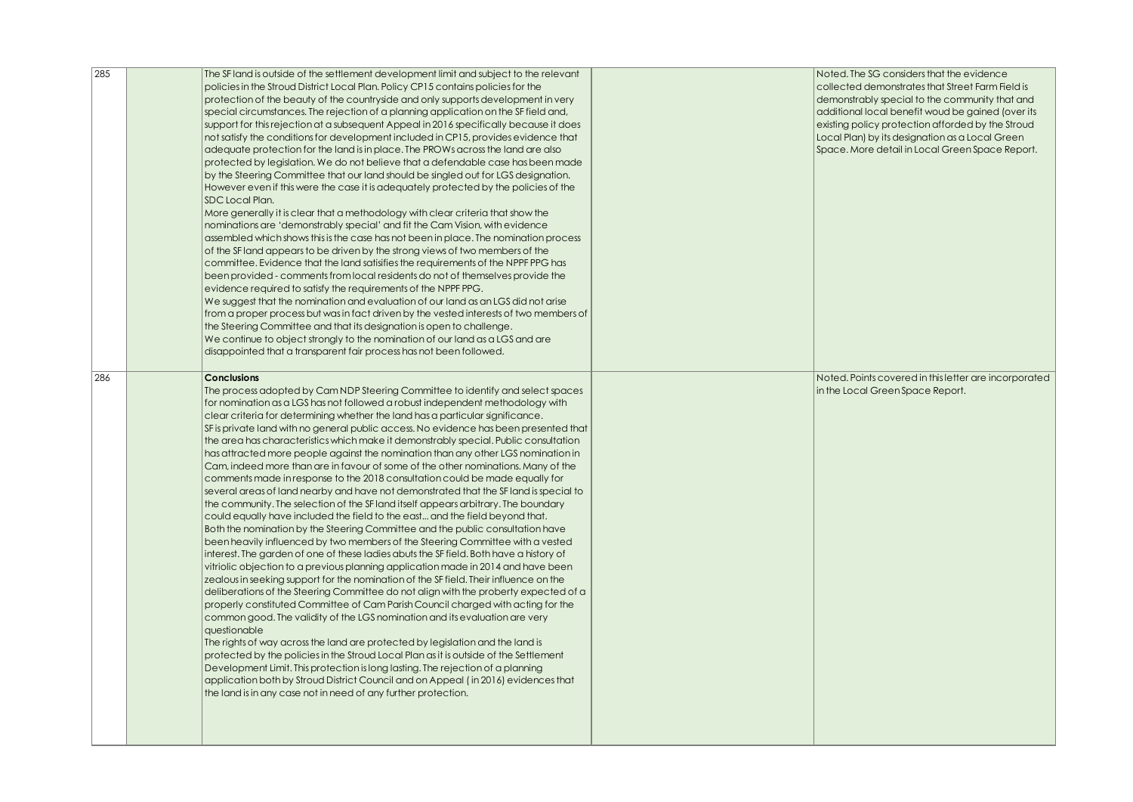| 285 | The SF land is outside of the settlement development limit and subject to the relevant<br>policies in the Stroud District Local Plan. Policy CP15 contains policies for the<br>protection of the beauty of the countryside and only supports development in very<br>special circumstances. The rejection of a planning application on the SF field and,<br>support for this rejection at a subsequent Appeal in 2016 specifically because it does                                                                                                                                                                                                                                                                                                                                                                                                                                                                                                                                                                                                                                                                                                                                                                                                                                                                                                                                                                                                                                                                                                                                                                                                                                                                                                                                                                                                                                                                                                                                                                                                                                                                         | Noted. The SG considers that the evidence<br>collected demonstrates that Street Farm Field is<br>demonstrably special to the community that and<br>additional local benefit woud be gained (over its<br>existing policy protection afforded by the Stroud |  |
|-----|---------------------------------------------------------------------------------------------------------------------------------------------------------------------------------------------------------------------------------------------------------------------------------------------------------------------------------------------------------------------------------------------------------------------------------------------------------------------------------------------------------------------------------------------------------------------------------------------------------------------------------------------------------------------------------------------------------------------------------------------------------------------------------------------------------------------------------------------------------------------------------------------------------------------------------------------------------------------------------------------------------------------------------------------------------------------------------------------------------------------------------------------------------------------------------------------------------------------------------------------------------------------------------------------------------------------------------------------------------------------------------------------------------------------------------------------------------------------------------------------------------------------------------------------------------------------------------------------------------------------------------------------------------------------------------------------------------------------------------------------------------------------------------------------------------------------------------------------------------------------------------------------------------------------------------------------------------------------------------------------------------------------------------------------------------------------------------------------------------------------------|-----------------------------------------------------------------------------------------------------------------------------------------------------------------------------------------------------------------------------------------------------------|--|
|     | not satisfy the conditions for development included in CP15, provides evidence that<br>adequate protection for the land is in place. The PROWs across the land are also<br>protected by legislation. We do not believe that a defendable case has been made<br>by the Steering Committee that our land should be singled out for LGS designation.<br>However even if this were the case it is adequately protected by the policies of the<br>SDC Local Plan.<br>More generally it is clear that a methodology with clear criteria that show the<br>nominations are 'demonstrably special' and fit the Cam Vision, with evidence<br>assembled which shows this is the case has not been in place. The nomination process<br>of the SF land appears to be driven by the strong views of two members of the<br>committee. Evidence that the land satisifies the requirements of the NPPF PPG has<br>been provided - comments from local residents do not of themselves provide the<br>evidence required to satisfy the requirements of the NPPF PPG.<br>We suggest that the nomination and evaluation of our land as an LGS did not arise<br>from a proper process but was in fact driven by the vested interests of two members of<br>the Steering Committee and that its designation is open to challenge.<br>We continue to object strongly to the nomination of our land as a LGS and are<br>disappointed that a transparent fair process has not been followed.                                                                                                                                                                                                                                                                                                                                                                                                                                                                                                                                                                                                                                                         | Local Plan) by its designation as a Local Green<br>Space. More detail in Local Green Space Report.                                                                                                                                                        |  |
| 286 | Conclusions<br>The process adopted by Cam NDP Steering Committee to identify and select spaces<br>for nomination as a LGS has not followed a robust independent methodology with<br>clear criteria for determining whether the land has a particular significance.<br>SF is private land with no general public access. No evidence has been presented that<br>the area has characteristics which make it demonstrably special. Public consultation<br>has attracted more people against the nomination than any other LGS nomination in<br>Cam, indeed more than are in favour of some of the other nominations. Many of the<br>comments made in response to the 2018 consultation could be made equally for<br>several areas of land nearby and have not demonstrated that the SF land is special to<br>the community. The selection of the SF land itself appears arbitrary. The boundary<br>could equally have included the field to the east and the field beyond that.<br>Both the nomination by the Steering Committee and the public consultation have<br>been heavily influenced by two members of the Steering Committee with a vested<br>interest. The garden of one of these ladies abuts the SF field. Both have a history of<br>vitriolic objection to a previous planning application made in 2014 and have been<br>zealous in seeking support for the nomination of the SF field. Their influence on the<br>deliberations of the Steering Committee do not align with the proberty expected of a<br>properly constituted Committee of Cam Parish Council charged with acting for the<br>common good. The validity of the LGS nomination and its evaluation are very<br>questionable<br>The rights of way across the land are protected by legislation and the land is<br>protected by the policies in the Stroud Local Plan as it is outside of the Settlement<br>Development Limit. This protection is long lasting. The rejection of a planning<br>application both by Stroud District Council and on Appeal (in 2016) evidences that<br>the land is in any case not in need of any further protection. | Noted. Points covered in this letter are incorporated<br>in the Local Green Space Report.                                                                                                                                                                 |  |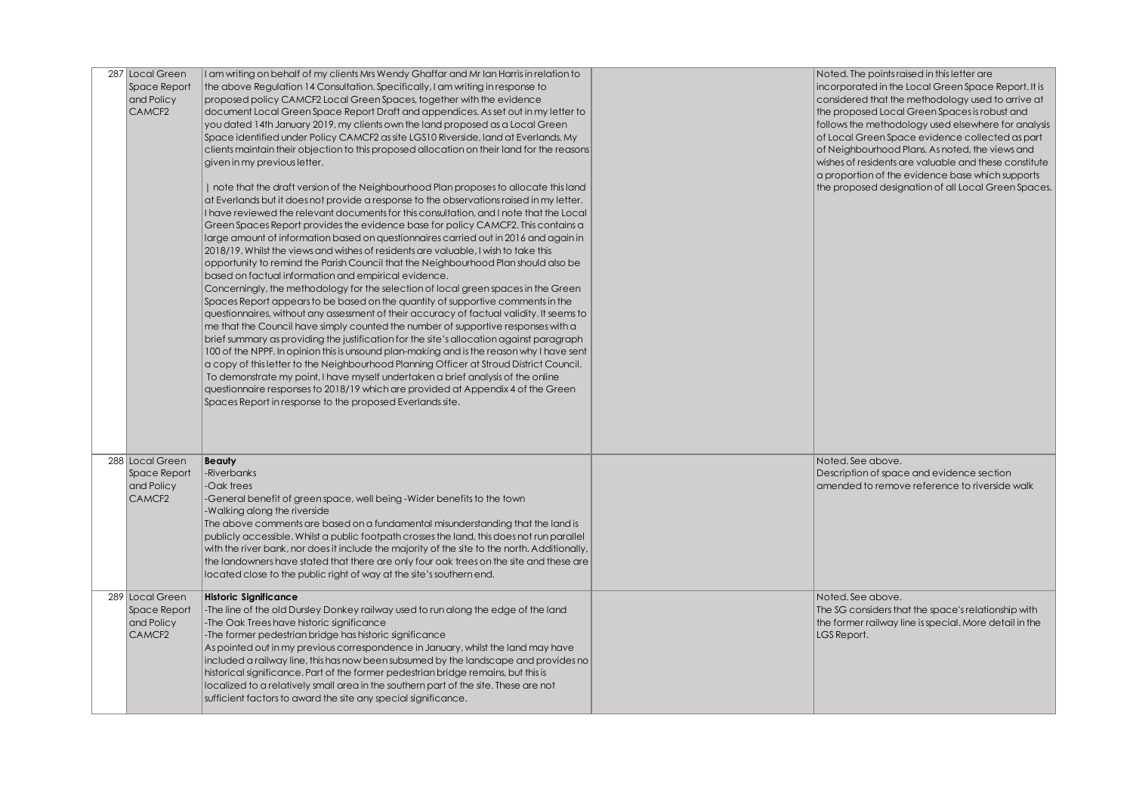| 287 Local Green<br>Space Report<br>and Policy<br>CAMCF <sub>2</sub> | I am writing on behalf of my clients Mrs Wendy Ghaffar and Mr Ian Harris in relation to<br>the above Regulation 14 Consultation. Specifically, I am writing in response to<br>proposed policy CAMCF2 Local Green Spaces, together with the evidence<br>document Local Green Space Report Draft and appendices. As set out in my letter to<br>you dated 14th January 2019, my clients own the land proposed as a Local Green<br>Space identified under Policy CAMCF2 as site LGS10 Riverside, land at Everlands. My<br>clients maintain their objection to this proposed allocation on their land for the reasons<br>given in my previous letter.<br>  note that the draft version of the Neighbourhood Plan proposes to allocate this land<br>at Everlands but it does not provide a response to the observations raised in my letter.<br>I have reviewed the relevant documents for this consultation, and I note that the Local<br>Green Spaces Report provides the evidence base for policy CAMCF2. This contains a<br>large amount of information based on questionnaires carried out in 2016 and again in<br>2018/19. Whilst the views and wishes of residents are valuable, I wish to take this<br>opportunity to remind the Parish Council that the Neighbourhood Plan should also be<br>based on factual information and empirical evidence.<br>Concerningly, the methodology for the selection of local green spaces in the Green<br>Spaces Report appears to be based on the quantity of supportive comments in the<br>questionnaires, without any assessment of their accuracy of factual validity. It seems to<br>me that the Council have simply counted the number of supportive responses with a<br>brief summary as providing the justification for the site's allocation against paragraph<br>100 of the NPPF. In opinion this is unsound plan-making and is the reason why I have sent<br>a copy of this letter to the Neighbourhood Planning Officer at Stroud District Council.<br>To demonstrate my point, I have myself undertaken a brief analysis of the online<br>questionnaire responses to 2018/19 which are provided at Appendix 4 of the Green<br>Spaces Report in response to the proposed Everlands site. | Noted. The points raised in this letter are<br>incorporated in the Local Green Space Report. It is<br>considered that the methodology used to arrive at<br>the proposed Local Green Spaces is robust and<br>follows the methodology used elsewhere for analysis<br>of Local Green Space evidence collected as part<br>of Neighbourhood Plans. As noted, the views and<br>wishes of residents are valuable and these constitute<br>a proportion of the evidence base which supports<br>the proposed designation of all Local Green Spaces. |
|---------------------------------------------------------------------|------------------------------------------------------------------------------------------------------------------------------------------------------------------------------------------------------------------------------------------------------------------------------------------------------------------------------------------------------------------------------------------------------------------------------------------------------------------------------------------------------------------------------------------------------------------------------------------------------------------------------------------------------------------------------------------------------------------------------------------------------------------------------------------------------------------------------------------------------------------------------------------------------------------------------------------------------------------------------------------------------------------------------------------------------------------------------------------------------------------------------------------------------------------------------------------------------------------------------------------------------------------------------------------------------------------------------------------------------------------------------------------------------------------------------------------------------------------------------------------------------------------------------------------------------------------------------------------------------------------------------------------------------------------------------------------------------------------------------------------------------------------------------------------------------------------------------------------------------------------------------------------------------------------------------------------------------------------------------------------------------------------------------------------------------------------------------------------------------------------------------------------------------------------------------------------------------------------------------------------|-------------------------------------------------------------------------------------------------------------------------------------------------------------------------------------------------------------------------------------------------------------------------------------------------------------------------------------------------------------------------------------------------------------------------------------------------------------------------------------------------------------------------------------------|
| 288 Local Green<br>Space Report<br>and Policy<br>CAMCF <sub>2</sub> | <b>Beauty</b><br>-Riverbanks<br>-Oak trees<br>-General benefit of green space, well being -Wider benefits to the town<br>-Walking along the riverside<br>The above comments are based on a fundamental misunderstanding that the land is<br>publicly accessible. Whilst a public footpath crosses the land, this does not run parallel<br>with the river bank, nor does it include the majority of the site to the north. Additionally,<br>the landowners have stated that there are only four oak trees on the site and these are<br>located close to the public right of way at the site's southern end.                                                                                                                                                                                                                                                                                                                                                                                                                                                                                                                                                                                                                                                                                                                                                                                                                                                                                                                                                                                                                                                                                                                                                                                                                                                                                                                                                                                                                                                                                                                                                                                                                               | Noted. See above.<br>Description of space and evidence section<br>amended to remove reference to riverside walk                                                                                                                                                                                                                                                                                                                                                                                                                           |
| 289 Local Green<br>Space Report<br>and Policy<br>CAMCF <sub>2</sub> | <b>Historic Significance</b><br>-The line of the old Dursley Donkey railway used to run along the edge of the land<br>-The Oak Trees have historic significance<br>-The former pedestrian bridge has historic significance<br>As pointed out in my previous correspondence in January, whilst the land may have<br>included a railway line, this has now been subsumed by the landscape and provides no<br>historical significance. Part of the former pedestrian bridge remains, but this is<br>localized to a relatively small area in the southern part of the site. These are not<br>sufficient factors to award the site any special significance.                                                                                                                                                                                                                                                                                                                                                                                                                                                                                                                                                                                                                                                                                                                                                                                                                                                                                                                                                                                                                                                                                                                                                                                                                                                                                                                                                                                                                                                                                                                                                                                  | Noted. See above.<br>The SG considers that the space's relationship with<br>the former railway line is special. More detail in the<br>LGS Report.                                                                                                                                                                                                                                                                                                                                                                                         |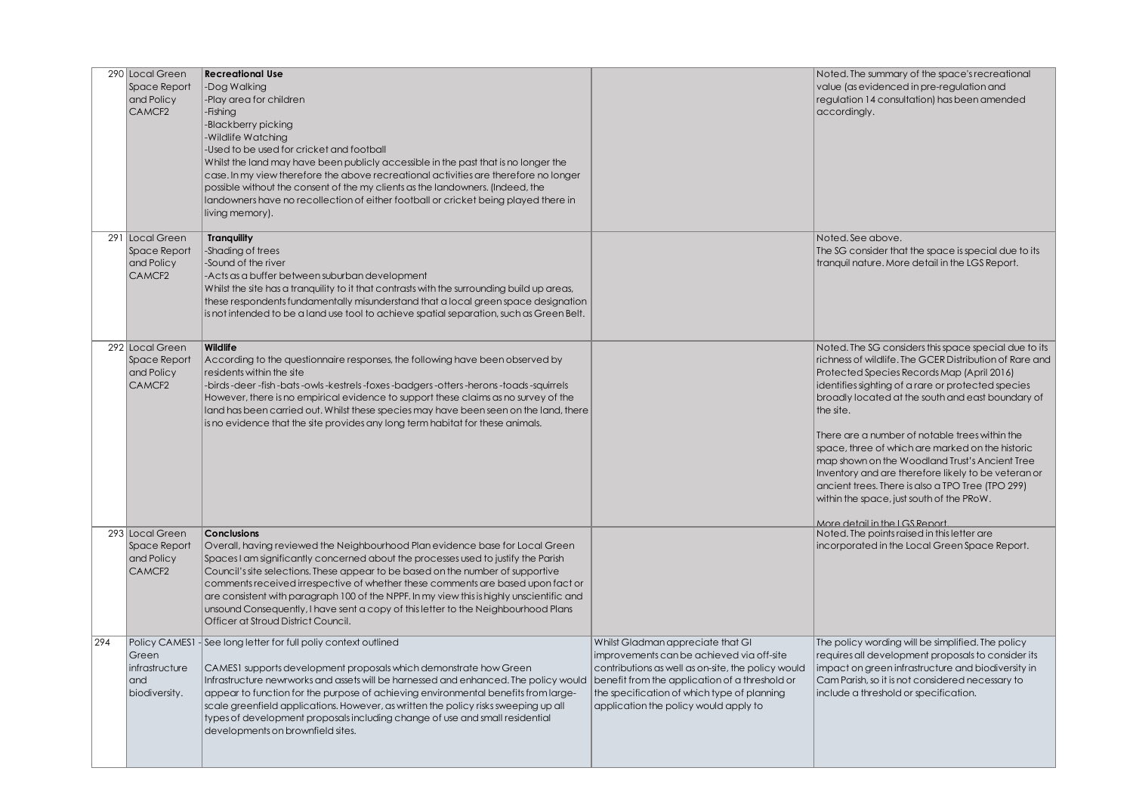|     | 290 Local Green<br>Space Report<br>and Policy<br>CAMCF <sub>2</sub> | <b>Recreational Use</b><br>-Dog Walking<br>-Play area for children<br>-Fishing<br>-Blackberry picking<br><b>Wildlife Watching</b><br>-Used to be used for cricket and football<br>Whilst the land may have been publicly accessible in the past that is no longer the<br>case. In my view therefore the above recreational activities are therefore no longer<br>possible without the consent of the my clients as the landowners. (Indeed, the<br>landowners have no recollection of either football or cricket being played there in<br>living memory).                                 |                                                                                                                                                                                                                                                                                | Noted. The summary of the space's recreational<br>value (as evidenced in pre-regulation and<br>regulation 14 consultation) has been amended<br>accordingly.                                                                                                                                                                                                                                                                                                                                                                                                                                                                              |
|-----|---------------------------------------------------------------------|-------------------------------------------------------------------------------------------------------------------------------------------------------------------------------------------------------------------------------------------------------------------------------------------------------------------------------------------------------------------------------------------------------------------------------------------------------------------------------------------------------------------------------------------------------------------------------------------|--------------------------------------------------------------------------------------------------------------------------------------------------------------------------------------------------------------------------------------------------------------------------------|------------------------------------------------------------------------------------------------------------------------------------------------------------------------------------------------------------------------------------------------------------------------------------------------------------------------------------------------------------------------------------------------------------------------------------------------------------------------------------------------------------------------------------------------------------------------------------------------------------------------------------------|
|     | 291 Local Green<br>Space Report<br>and Policy<br>CAMCF <sub>2</sub> | <b>Tranquility</b><br>-Shading of trees<br>Sound of the river<br>-Acts as a buffer between suburban development<br>Whilst the site has a tranquility to it that contrasts with the surrounding build up areas,<br>these respondents fundamentally misunderstand that a local green space designation<br>is not intended to be a land use tool to achieve spatial separation, such as Green Belt.                                                                                                                                                                                          |                                                                                                                                                                                                                                                                                | Noted. See above.<br>The SG consider that the space is special due to its<br>tranquil nature. More detail in the LGS Report.                                                                                                                                                                                                                                                                                                                                                                                                                                                                                                             |
|     | 292 Local Green<br>Space Report<br>and Policy<br>CAMCF <sub>2</sub> | Wildlife<br>According to the questionnaire responses, the following have been observed by<br>residents within the site<br>-birds-deer-fish-bats-owls-kestrels-foxes-badgers-otters-herons-toads-squirrels<br>However, there is no empirical evidence to support these claims as no survey of the<br>land has been carried out. Whilst these species may have been seen on the land, there<br>is no evidence that the site provides any long term habitat for these animals.                                                                                                               |                                                                                                                                                                                                                                                                                | Noted. The SG considers this space special due to its<br>richness of wildlife. The GCER Distribution of Rare and<br>Protected Species Records Map (April 2016)<br>identifies sighting of a rare or protected species<br>broadly located at the south and east boundary of<br>the site.<br>There are a number of notable trees within the<br>space, three of which are marked on the historic<br>map shown on the Woodland Trust's Ancient Tree<br>Inventory and are therefore likely to be veteran or<br>ancient trees. There is also a TPO Tree (TPO 299)<br>within the space, just south of the PRoW.<br>More detail in the LGS Report |
|     | 293 Local Green<br>Space Report<br>and Policy<br>CAMCF <sub>2</sub> | <b>Conclusions</b><br>Overall, having reviewed the Neighbourhood Plan evidence base for Local Green<br>Spaces I am significantly concerned about the processes used to justify the Parish<br>Council's site selections. These appear to be based on the number of supportive<br>comments received irrespective of whether these comments are based upon fact or<br>are consistent with paragraph 100 of the NPPF. In my view this is highly unscientific and<br>unsound Consequently, I have sent a copy of this letter to the Neighbourhood Plans<br>Officer at Stroud District Council. |                                                                                                                                                                                                                                                                                | Noted. The points raised in this letter are<br>incorporated in the Local Green Space Report.                                                                                                                                                                                                                                                                                                                                                                                                                                                                                                                                             |
| 294 | Green<br>infrastructure<br>and<br>biodiversity.                     | Policy CAMES1 - See long letter for full poliy context outlined<br>CAMES1 supports development proposals which demonstrate how Green<br>Infrastructure newtworks and assets will be harnessed and enhanced. The policy would<br>appear to function for the purpose of achieving environmental benefits from large-<br>scale greenfield applications. However, as written the policy risks sweeping up all<br>types of development proposals including change of use and small residential<br>developments on brownfield sites.                                                            | Whilst Gladman appreciate that GI<br>improvements can be achieved via off-site<br>contributions as well as on-site, the policy would<br>benefit from the application of a threshold or<br>the specification of which type of planning<br>application the policy would apply to | The policy wording will be simplified. The policy<br>requires all development proposals to consider its<br>impact on green infrastructure and biodiversity in<br>Cam Parish, so it is not considered necessary to<br>include a threshold or specification.                                                                                                                                                                                                                                                                                                                                                                               |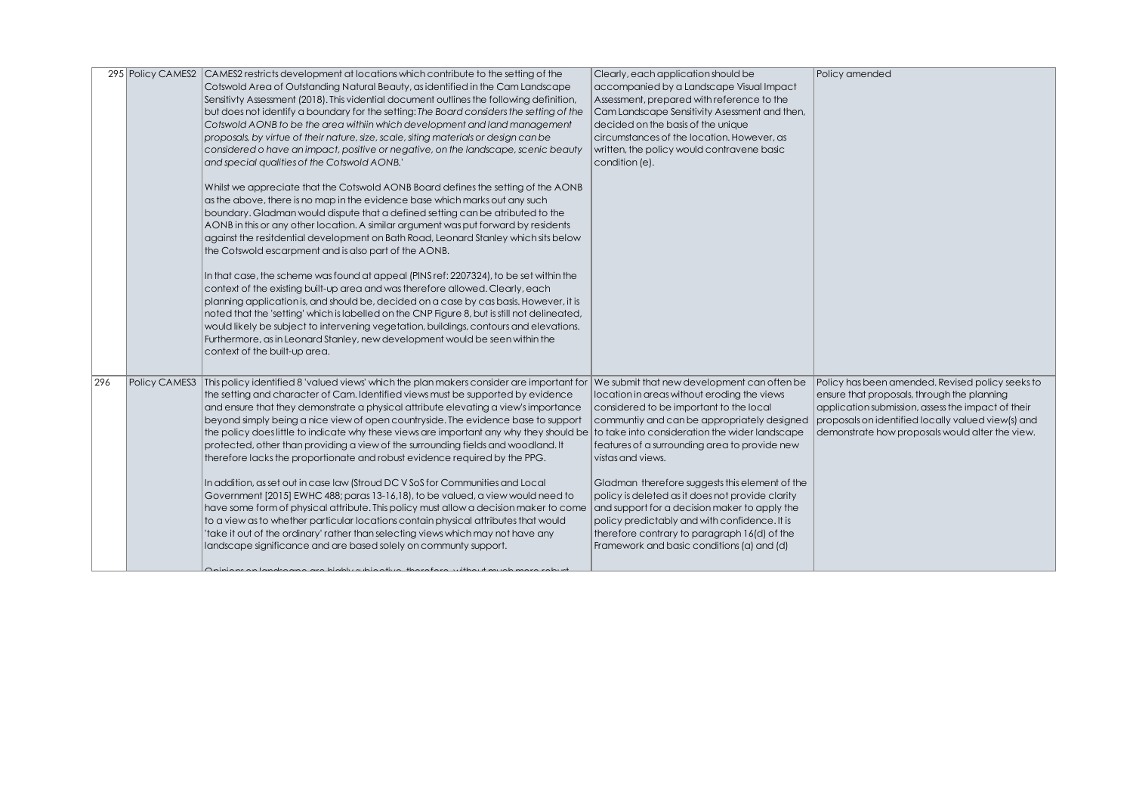|     |               | 295 Policy CAMES2 CAMES2 restricts development at locations which contribute to the setting of the<br>Cotswold Area of Outstanding Natural Beauty, as identified in the Cam Landscape<br>Sensitivty Assessment (2018). This vidential document outlines the following definition,<br>but does not identify a boundary for the setting: The Board considers the setting of the<br>Cotswold AONB to be the area withiin which development and land management<br>proposals, by virtue of their nature, size, scale, siting materials or design can be<br>considered o have an impact, positive or negative, on the landscape, scenic beauty<br>and special qualities of the Cotswold AONB.'<br>Whilst we appreciate that the Cotswold AONB Board defines the setting of the AONB<br>as the above, there is no map in the evidence base which marks out any such<br>boundary. Gladman would dispute that a defined setting can be atributed to the<br>AONB in this or any other location. A similar argument was put forward by residents<br>against the resitdential development on Bath Road, Leonard Stanley which sits below<br>the Cotswold escarpment and is also part of the AONB.<br>In that case, the scheme was found at appeal (PINS ref: 2207324), to be set within the<br>context of the existing built-up area and was therefore allowed. Clearly, each<br>planning application is, and should be, decided on a case by cas basis. However, it is<br>noted that the 'setting' which is labelled on the CNP Figure 8, but is still not delineated,<br>would likely be subject to intervening vegetation, buildings, contours and elevations.<br>Furthermore, as in Leonard Stanley, new development would be seen within the<br>context of the built-up area. | Clearly, each application should be<br>accompanied by a Landscape Visual Impact<br>Assessment, prepared with reference to the<br>Cam Landscape Sensitivity Asessment and then,<br>decided on the basis of the unique<br>circumstances of the location. However, as<br>written, the policy would contravene basic<br>condition (e).                                                                                                                                                                                | Policy amended                                                                                                                                                                                                                                                 |
|-----|---------------|-------------------------------------------------------------------------------------------------------------------------------------------------------------------------------------------------------------------------------------------------------------------------------------------------------------------------------------------------------------------------------------------------------------------------------------------------------------------------------------------------------------------------------------------------------------------------------------------------------------------------------------------------------------------------------------------------------------------------------------------------------------------------------------------------------------------------------------------------------------------------------------------------------------------------------------------------------------------------------------------------------------------------------------------------------------------------------------------------------------------------------------------------------------------------------------------------------------------------------------------------------------------------------------------------------------------------------------------------------------------------------------------------------------------------------------------------------------------------------------------------------------------------------------------------------------------------------------------------------------------------------------------------------------------------------------------------------------------------------------------------------------------------|-------------------------------------------------------------------------------------------------------------------------------------------------------------------------------------------------------------------------------------------------------------------------------------------------------------------------------------------------------------------------------------------------------------------------------------------------------------------------------------------------------------------|----------------------------------------------------------------------------------------------------------------------------------------------------------------------------------------------------------------------------------------------------------------|
| 296 | Policy CAMES3 | This policy identified 8 'valued views' which the plan makers consider are important for $ $ We submit that new development can often be<br>the setting and character of Cam. Identified views must be supported by evidence<br>and ensure that they demonstrate a physical attribute elevating a view's importance<br>beyond simply being a nice view of open countryside. The evidence base to support<br>the policy does little to indicate why these views are important any why they should be to take into consideration the wider landscape<br>protected, other than providing a view of the surrounding fields and woodland. It<br>therefore lacks the proportionate and robust evidence required by the PPG.<br>In addition, as set out in case law (Stroud DC V SoS for Communities and Local<br>Government [2015] EWHC 488; paras 13-16,18), to be valued, a view would need to<br>have some form of physical attribute. This policy must allow a decision maker to come<br>to a view as to whether particular locations contain physical attributes that would<br>'take it out of the ordinary' rather than selecting views which may not have any<br>landscape significance and are based solely on communty support.                                                                                                                                                                                                                                                                                                                                                                                                                                                                                                                                      | location in areas without eroding the views<br>considered to be important to the local<br>communtiy and can be appropriately designed<br>features of a surrounding area to provide new<br>vistas and views.<br>Gladman therefore suggests this element of the<br>policy is deleted as it does not provide clarity<br>and support for a decision maker to apply the<br>policy predictably and with confidence. It is<br>therefore contrary to paragraph 16(d) of the<br>Framework and basic conditions (a) and (d) | Policy has been amended. Revised policy seeks to<br>ensure that proposals, through the planning<br>application submission, assess the impact of their<br>proposals on identified locally valued view(s) and<br>demonstrate how proposals would alter the view. |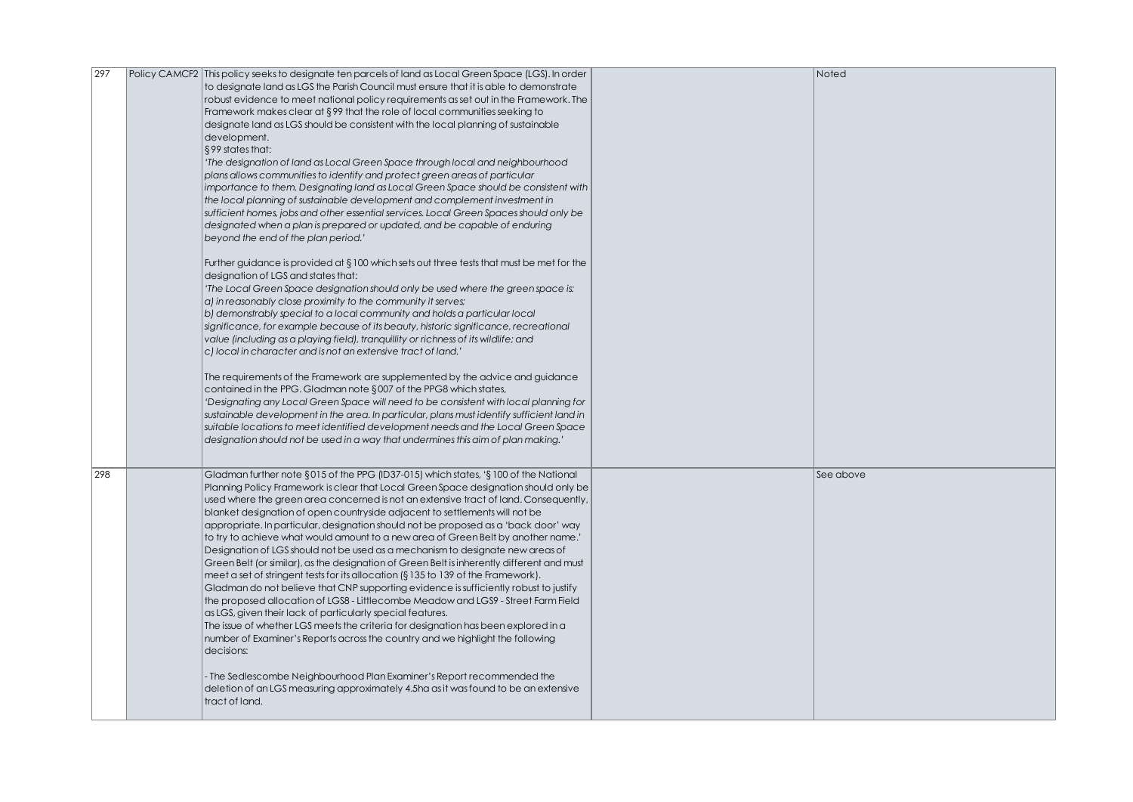| 297 | Policy CAMCF2   This policy seeks to designate ten parcels of land as Local Green Space (LGS). In order | Noted     |
|-----|---------------------------------------------------------------------------------------------------------|-----------|
|     | to designate land as LGS the Parish Council must ensure that it is able to demonstrate                  |           |
|     |                                                                                                         |           |
|     | robust evidence to meet national policy requirements as set out in the Framework. The                   |           |
|     | Framework makes clear at §99 that the role of local communities seeking to                              |           |
|     | designate land as LGS should be consistent with the local planning of sustainable                       |           |
|     | development.                                                                                            |           |
|     | $\frac{1}{2}$ \$99 states that:                                                                         |           |
|     | 'The designation of land as Local Green Space through local and neighbourhood                           |           |
|     | plans allows communities to identify and protect green areas of particular                              |           |
|     | importance to them. Designating land as Local Green Space should be consistent with                     |           |
|     |                                                                                                         |           |
|     | the local planning of sustainable development and complement investment in                              |           |
|     | sufficient homes, jobs and other essential services. Local Green Spaces should only be                  |           |
|     | designated when a plan is prepared or updated, and be capable of enduring                               |           |
|     | beyond the end of the plan period.'                                                                     |           |
|     |                                                                                                         |           |
|     | Further guidance is provided at $\S$ 100 which sets out three tests that must be met for the            |           |
|     | designation of LGS and states that:                                                                     |           |
|     | 'The Local Green Space designation should only be used where the green space is:                        |           |
|     | a) in reasonably close proximity to the community it serves;                                            |           |
|     | b) demonstrably special to a local community and holds a particular local                               |           |
|     | significance, for example because of its beauty, historic significance, recreational                    |           |
|     | value (including as a playing field), tranquillity or richness of its wildlife; and                     |           |
|     |                                                                                                         |           |
|     | c) local in character and is not an extensive tract of land.'                                           |           |
|     |                                                                                                         |           |
|     | The requirements of the Framework are supplemented by the advice and guidance                           |           |
|     | contained in the PPG. Gladman note §007 of the PPG8 which states,                                       |           |
|     | 'Designating any Local Green Space will need to be consistent with local planning for                   |           |
|     | sustainable development in the area. In particular, plans must identify sufficient land in              |           |
|     | suitable locations to meet identified development needs and the Local Green Space                       |           |
|     | designation should not be used in a way that undermines this aim of plan making.'                       |           |
|     |                                                                                                         |           |
|     |                                                                                                         |           |
| 298 | Gladman further note §015 of the PPG (ID37-015) which states, '§100 of the National                     | See above |
|     | Planning Policy Framework is clear that Local Green Space designation should only be                    |           |
|     | used where the green area concerned is not an extensive tract of land. Consequently,                    |           |
|     | blanket designation of open countryside adjacent to settlements will not be                             |           |
|     | appropriate. In particular, designation should not be proposed as a 'back door' way                     |           |
|     | to try to achieve what would amount to a new area of Green Belt by another name.'                       |           |
|     | Designation of LGS should not be used as a mechanism to designate new areas of                          |           |
|     |                                                                                                         |           |
|     | Green Belt (or similar), as the designation of Green Belt is inherently different and must              |           |
|     | meet a set of stringent tests for its allocation ( $\S$ 135 to 139 of the Framework).                   |           |
|     | Gladman do not believe that CNP supporting evidence is sufficiently robust to justify                   |           |
|     | the proposed allocation of LGS8 - Littlecombe Meadow and LGS9 - Street Farm Field                       |           |
|     | as LGS, given their lack of particularly special features.                                              |           |
|     | The issue of whether LGS meets the criteria for designation has been explored in a                      |           |
|     | number of Examiner's Reports across the country and we highlight the following                          |           |
|     | decisions:                                                                                              |           |
|     |                                                                                                         |           |
|     | - The Sedlescombe Neighbourhood Plan Examiner's Report recommended the                                  |           |
|     | deletion of an LGS measuring approximately 4.5ha as it was found to be an extensive                     |           |
|     |                                                                                                         |           |
|     | tract of land.                                                                                          |           |
|     |                                                                                                         |           |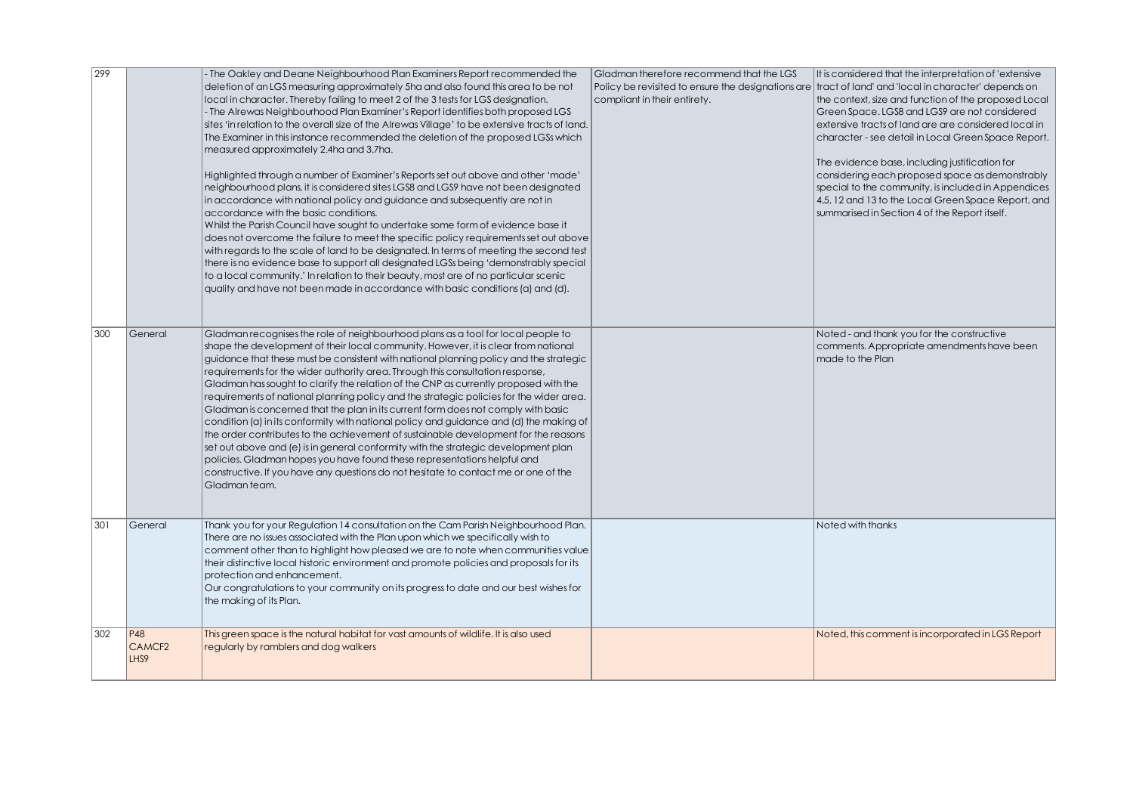| 299 |                                   | - The Oakley and Deane Neighbourhood Plan Examiners Report recommended the<br>deletion of an LGS measuring approximately 5ha and also found this area to be not<br>local in character. Thereby failing to meet 2 of the 3 tests for LGS designation.<br>- The Alrewas Neighbourhood Plan Examiner's Report identifies both proposed LGS<br>sites 'in relation to the overall size of the Alrewas Village' to be extensive tracts of land.<br>The Examiner in this instance recommended the deletion of the proposed LGSs which<br>measured approximately 2.4ha and 3.7ha.<br>Highlighted through a number of Examiner's Reports set out above and other 'made'<br>neighbourhood plans, it is considered sites LGS8 and LGS9 have not been designated<br>in accordance with national policy and guidance and subsequently are not in<br>accordance with the basic conditions.<br>Whilst the Parish Council have sought to undertake some form of evidence base it<br>does not overcome the failure to meet the specific policy requirements set out above<br>with regards to the scale of land to be designated. In terms of meeting the second test<br>there is no evidence base to support all designated LGSs being 'demonstrably special<br>to a local community.' In relation to their beauty, most are of no particular scenic<br>quality and have not been made in accordance with basic conditions (a) and (d). | Gladman therefore recommend that the LGS<br>compliant in their entirety. | It is considered that the interpretation of 'extensive'<br>Policy be revisited to ensure the designations are tract of land' and 'local in character' depends on<br>the context, size and function of the proposed Local<br>Green Space. LGS8 and LGS9 are not considered<br>extensive tracts of land are are considered local in<br>character - see detail in Local Green Space Report.<br>The evidence base, including justification for<br>considering each proposed space as demonstrably<br>special to the community, is included in Appendices<br>4,5, 12 and 13 to the Local Green Space Report, and<br>summarised in Section 4 of the Report itself. |
|-----|-----------------------------------|------------------------------------------------------------------------------------------------------------------------------------------------------------------------------------------------------------------------------------------------------------------------------------------------------------------------------------------------------------------------------------------------------------------------------------------------------------------------------------------------------------------------------------------------------------------------------------------------------------------------------------------------------------------------------------------------------------------------------------------------------------------------------------------------------------------------------------------------------------------------------------------------------------------------------------------------------------------------------------------------------------------------------------------------------------------------------------------------------------------------------------------------------------------------------------------------------------------------------------------------------------------------------------------------------------------------------------------------------------------------------------------------------------------------|--------------------------------------------------------------------------|--------------------------------------------------------------------------------------------------------------------------------------------------------------------------------------------------------------------------------------------------------------------------------------------------------------------------------------------------------------------------------------------------------------------------------------------------------------------------------------------------------------------------------------------------------------------------------------------------------------------------------------------------------------|
| 300 | General                           | Gladman recognises the role of neighbourhood plans as a tool for local people to<br>shape the development of their local community. However, it is clear from national<br>guidance that these must be consistent with national planning policy and the strategic<br>requirements for the wider authority area. Through this consultation response,<br>Gladman has sought to clarify the relation of the CNP as currently proposed with the<br>requirements of national planning policy and the strategic policies for the wider area.<br>Gladman is concerned that the plan in its current form does not comply with basic<br>condition (a) in its conformity with national policy and guidance and (d) the making of<br>the order contributes to the achievement of sustainable development for the reasons<br>set out above and (e) is in general conformity with the strategic development plan<br>policies. Gladman hopes you have found these representations helpful and<br>constructive. If you have any questions do not hesitate to contact me or one of the<br>Gladman team.                                                                                                                                                                                                                                                                                                                                 |                                                                          | Noted - and thank you for the constructive<br>comments. Appropriate amendments have been<br>made to the Plan                                                                                                                                                                                                                                                                                                                                                                                                                                                                                                                                                 |
| 301 | General                           | Thank you for your Regulation 14 consultation on the Cam Parish Neighbourhood Plan.<br>There are no issues associated with the Plan upon which we specifically wish to<br>comment other than to highlight how pleased we are to note when communities value<br>their distinctive local historic environment and promote policies and proposals for its<br>protection and enhancement.<br>Our congratulations to your community on its progress to date and our best wishes for<br>the making of its Plan.                                                                                                                                                                                                                                                                                                                                                                                                                                                                                                                                                                                                                                                                                                                                                                                                                                                                                                              |                                                                          | Noted with thanks                                                                                                                                                                                                                                                                                                                                                                                                                                                                                                                                                                                                                                            |
| 302 | P48<br>CAMCF <sub>2</sub><br>LHS9 | This green space is the natural habitat for vast amounts of wildlife. It is also used<br>regularly by ramblers and dog walkers                                                                                                                                                                                                                                                                                                                                                                                                                                                                                                                                                                                                                                                                                                                                                                                                                                                                                                                                                                                                                                                                                                                                                                                                                                                                                         |                                                                          | Noted, this comment is incorporated in LGS Report                                                                                                                                                                                                                                                                                                                                                                                                                                                                                                                                                                                                            |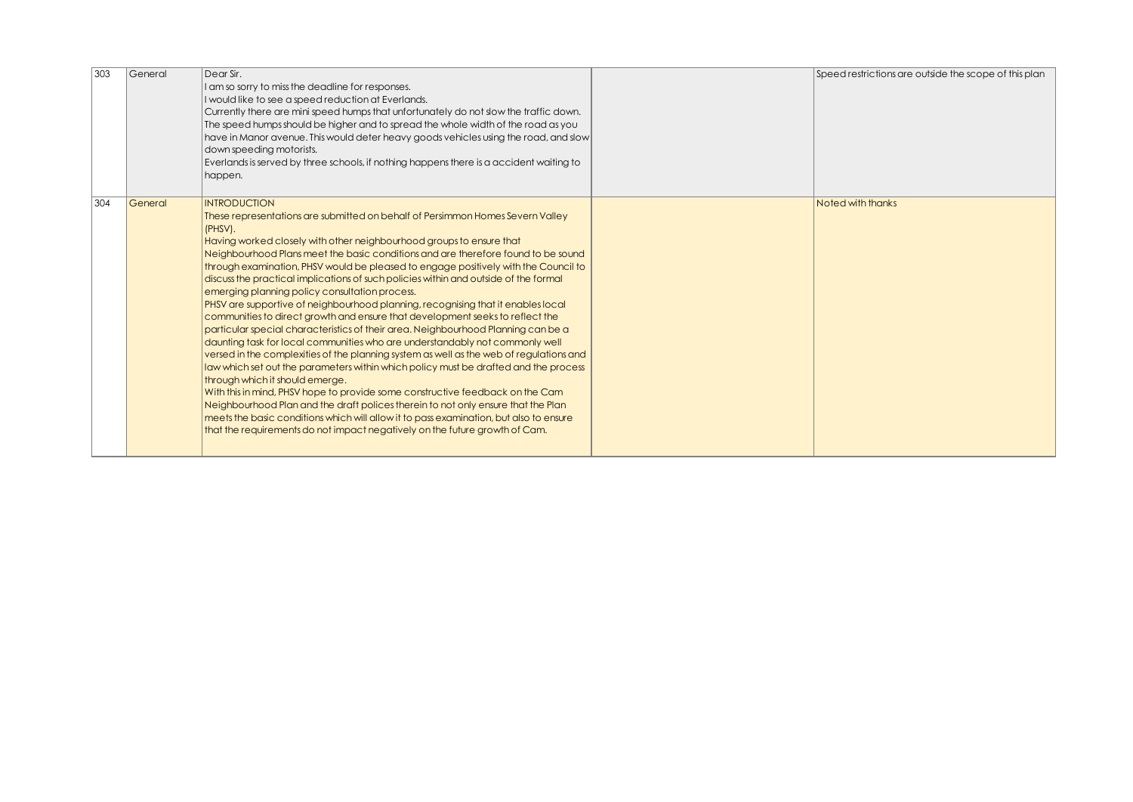| 303 | <b>General</b> | Dear Sir.<br>I am so sorry to miss the deadline for responses.<br>I would like to see a speed reduction at Everlands.<br>Currently there are mini speed humps that unfortunately do not slow the traffic down.<br>The speed humps should be higher and to spread the whole width of the road as you<br>have in Manor avenue. This would deter heavy goods vehicles using the road, and slow<br>down speeding motorists.<br>Everlands is served by three schools, if nothing happens there is a accident waiting to<br>happen.                                                                                                                                                                                                                                                                                                                                                                                                                                                                                                                                                                                                                                                                                                                                                                                                                                                                                                 | Speed restrictions are outside the scope of this plan |
|-----|----------------|-------------------------------------------------------------------------------------------------------------------------------------------------------------------------------------------------------------------------------------------------------------------------------------------------------------------------------------------------------------------------------------------------------------------------------------------------------------------------------------------------------------------------------------------------------------------------------------------------------------------------------------------------------------------------------------------------------------------------------------------------------------------------------------------------------------------------------------------------------------------------------------------------------------------------------------------------------------------------------------------------------------------------------------------------------------------------------------------------------------------------------------------------------------------------------------------------------------------------------------------------------------------------------------------------------------------------------------------------------------------------------------------------------------------------------|-------------------------------------------------------|
| 304 | General        | <b>INTRODUCTION</b><br>These representations are submitted on behalf of Persimmon Homes Severn Valley<br>(PHSV).<br>Having worked closely with other neighbourhood groups to ensure that<br>Neighbourhood Plans meet the basic conditions and are therefore found to be sound<br>through examination, PHSV would be pleased to engage positively with the Council to<br>discuss the practical implications of such policies within and outside of the formal<br>emerging planning policy consultation process.<br>PHSV are supportive of neighbourhood planning, recognising that it enables local<br>communities to direct growth and ensure that development seeks to reflect the<br>particular special characteristics of their area. Neighbourhood Planning can be a<br>daunting task for local communities who are understandably not commonly well<br>versed in the complexities of the planning system as well as the web of regulations and<br>law which set out the parameters within which policy must be drafted and the process<br>through which it should emerge.<br>With this in mind, PHSV hope to provide some constructive feedback on the Cam<br>Neighbourhood Plan and the draft polices therein to not only ensure that the Plan<br>meets the basic conditions which will allow it to pass examination, but also to ensure<br>that the requirements do not impact negatively on the future growth of Cam. | Noted with thanks                                     |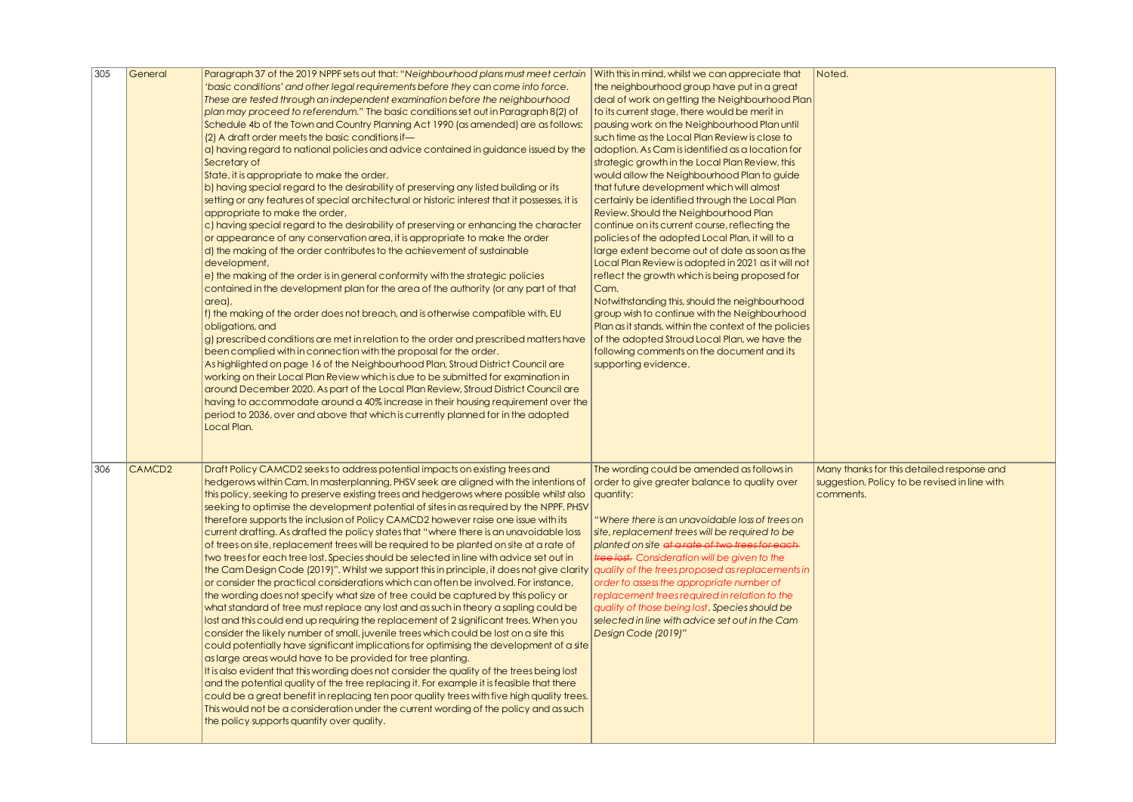| 305 | General            | Paragraph 37 of the 2019 NPPF sets out that: "Neighbourhood plans must meet certain            | With this in mind, whilst we can appreciate that      | Noted.                                        |
|-----|--------------------|------------------------------------------------------------------------------------------------|-------------------------------------------------------|-----------------------------------------------|
|     |                    | 'basic conditions' and other legal requirements before they can come into force.               | the neighbourhood group have put in a great           |                                               |
|     |                    | These are tested through an independent examination before the neighbourhood                   | deal of work on getting the Neighbourhood Plan        |                                               |
|     |                    |                                                                                                |                                                       |                                               |
|     |                    | plan may proceed to referendum." The basic conditions set out in Paragraph 8(2) of             | to its current stage, there would be merit in         |                                               |
|     |                    | Schedule 4b of the Town and Country Planning Act 1990 (as amended) are as follows:             | pausing work on the Neighbourhood Plan until          |                                               |
|     |                    | (2) A draft order meets the basic conditions if-                                               | such time as the Local Plan Review is close to        |                                               |
|     |                    | a) having regard to national policies and advice contained in guidance issued by the           | adoption. As Cam is identified as a location for      |                                               |
|     |                    | Secretary of                                                                                   | strategic growth in the Local Plan Review, this       |                                               |
|     |                    | State, it is appropriate to make the order,                                                    | would allow the Neighbourhood Plan to guide           |                                               |
|     |                    | b) having special regard to the desirability of preserving any listed building or its          | that future development which will almost             |                                               |
|     |                    | setting or any features of special architectural or historic interest that it possesses, it is | certainly be identified through the Local Plan        |                                               |
|     |                    | appropriate to make the order,                                                                 | Review. Should the Neighbourhood Plan                 |                                               |
|     |                    | c) having special regard to the desirability of preserving or enhancing the character          | continue on its current course, reflecting the        |                                               |
|     |                    | or appearance of any conservation area, it is appropriate to make the order                    | policies of the adopted Local Plan, it will to a      |                                               |
|     |                    | d) the making of the order contributes to the achievement of sustainable                       | large extent become out of date as soon as the        |                                               |
|     |                    | development,                                                                                   | Local Plan Review is adopted in 2021 as it will not   |                                               |
|     |                    | e) the making of the order is in general conformity with the strategic policies                | reflect the growth which is being proposed for        |                                               |
|     |                    |                                                                                                |                                                       |                                               |
|     |                    | contained in the development plan for the area of the authority (or any part of that           | Cam.                                                  |                                               |
|     |                    | area),                                                                                         | Notwithstanding this, should the neighbourhood        |                                               |
|     |                    | f) the making of the order does not breach, and is otherwise compatible with, EU               | group wish to continue with the Neighbourhood         |                                               |
|     |                    | obligations, and                                                                               | Plan as it stands, within the context of the policies |                                               |
|     |                    | g) prescribed conditions are met in relation to the order and prescribed matters have          | of the adopted Stroud Local Plan, we have the         |                                               |
|     |                    | been complied with in connection with the proposal for the order.                              | following comments on the document and its            |                                               |
|     |                    | As highlighted on page 16 of the Neighbourhood Plan, Stroud District Council are               | supporting evidence.                                  |                                               |
|     |                    | working on their Local Plan Review which is due to be submitted for examination in             |                                                       |                                               |
|     |                    | around December 2020. As part of the Local Plan Review, Stroud District Council are            |                                                       |                                               |
|     |                    | having to accommodate around a 40% increase in their housing requirement over the              |                                                       |                                               |
|     |                    | period to 2036, over and above that which is currently planned for in the adopted              |                                                       |                                               |
|     |                    | Local Plan.                                                                                    |                                                       |                                               |
|     |                    |                                                                                                |                                                       |                                               |
|     |                    |                                                                                                |                                                       |                                               |
|     |                    |                                                                                                |                                                       |                                               |
| 306 | CAMCD <sub>2</sub> | Draft Policy CAMCD2 seeks to address potential impacts on existing trees and                   | The wording could be amended as follows in            | Many thanks for this detailed response and    |
|     |                    | hedgerows within Cam. In masterplanning, PHSV seek are aligned with the intentions of          | order to give greater balance to quality over         | suggestion. Policy to be revised in line with |
|     |                    | this policy, seeking to preserve existing trees and hedgerows where possible whilst also       | quantity:                                             | comments.                                     |
|     |                    | seeking to optimise the development potential of sites in as required by the NPPF. PHSV        |                                                       |                                               |
|     |                    | therefore supports the inclusion of Policy CAMCD2 however raise one issue with its             | 'Where there is an unavoidable loss of trees on       |                                               |
|     |                    | current drafting. As drafted the policy states that "where there is an unavoidable loss        | site, replacement trees will be required to be        |                                               |
|     |                    | of trees on site, replacement trees will be required to be planted on site at a rate of        | planted on site at a rate of two trees for each-      |                                               |
|     |                    | two trees for each tree lost. Species should be selected in line with advice set out in        | tree lost. Consideration will be given to the         |                                               |
|     |                    | the Cam Design Code (2019)". Whilst we support this in principle, it does not give clarity     | quality of the trees proposed as replacements in      |                                               |
|     |                    | or consider the practical considerations which can often be involved. For instance,            | order to assess the appropriate number of             |                                               |
|     |                    | the wording does not specify what size of tree could be captured by this policy or             | replacement trees required in relation to the         |                                               |
|     |                    |                                                                                                |                                                       |                                               |
|     |                    | what standard of tree must replace any lost and as such in theory a sapling could be           | quality of those being lost. Species should be        |                                               |
|     |                    | lost and this could end up requiring the replacement of 2 significant trees. When you          | selected in line with advice set out in the Cam       |                                               |
|     |                    | consider the likely number of small, juvenile trees which could be lost on a site this         | Design Code (2019)"                                   |                                               |
|     |                    | could potentially have significant implications for optimising the development of a site       |                                                       |                                               |
|     |                    | as large areas would have to be provided for tree planting.                                    |                                                       |                                               |
|     |                    | It is also evident that this wording does not consider the quality of the trees being lost     |                                                       |                                               |
|     |                    | and the potential quality of the tree replacing it. For example it is feasible that there      |                                                       |                                               |
|     |                    | could be a great benefit in replacing ten poor quality trees with five high quality trees.     |                                                       |                                               |
|     |                    | This would not be a consideration under the current wording of the policy and as such          |                                                       |                                               |
|     |                    | the policy supports quantity over quality.                                                     |                                                       |                                               |
|     |                    |                                                                                                |                                                       |                                               |
|     |                    |                                                                                                |                                                       |                                               |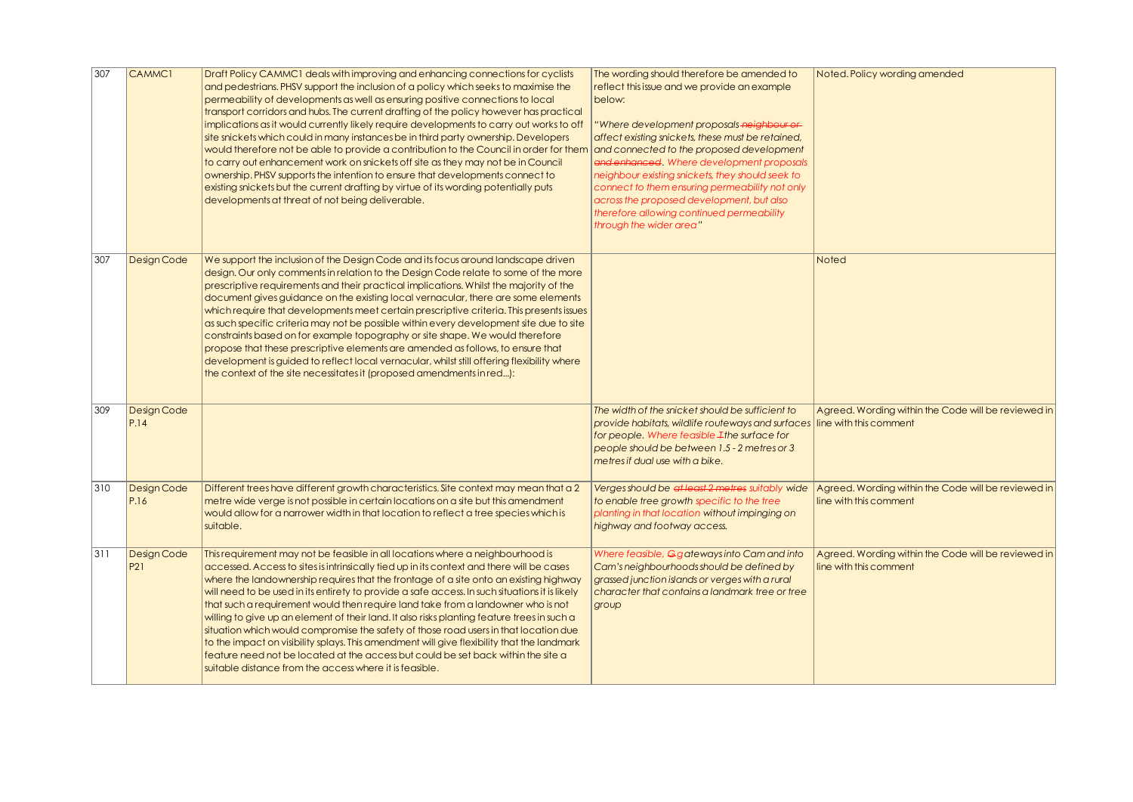| 307 | <b>CAMMC1</b>       | Draft Policy CAMMC1 deals with improving and enhancing connections for cyclists<br>and pedestrians. PHSV support the inclusion of a policy which seeks to maximise the<br>permeability of developments as well as ensuring positive connections to local<br>transport corridors and hubs. The current drafting of the policy however has practical<br>implications as it would currently likely require developments to carry out works to off<br>site snickets which could in many instances be in third party ownership. Developers<br>would therefore not be able to provide a contribution to the Council in order for them<br>to carry out enhancement work on snickets off site as they may not be in Council<br>ownership. PHSV supports the intention to ensure that developments connect to<br>existing snickets but the current drafting by virtue of its wording potentially puts<br>developments at threat of not being deliverable. | The wording should therefore be amended to<br>reflect this issue and we provide an example<br>below:<br>"Where development proposals neighbour or<br>affect existing snickets, these must be retained,<br>and connected to the proposed development<br>and enhanced. Where development proposals<br>neighbour existing snickets, they should seek to<br>connect to them ensuring permeability not only<br>across the proposed development, but also<br>therefore allowing continued permeability<br>through the wider area" | Noted. Policy wording amended                                                 |
|-----|---------------------|--------------------------------------------------------------------------------------------------------------------------------------------------------------------------------------------------------------------------------------------------------------------------------------------------------------------------------------------------------------------------------------------------------------------------------------------------------------------------------------------------------------------------------------------------------------------------------------------------------------------------------------------------------------------------------------------------------------------------------------------------------------------------------------------------------------------------------------------------------------------------------------------------------------------------------------------------|-----------------------------------------------------------------------------------------------------------------------------------------------------------------------------------------------------------------------------------------------------------------------------------------------------------------------------------------------------------------------------------------------------------------------------------------------------------------------------------------------------------------------------|-------------------------------------------------------------------------------|
| 307 | Design Code         | We support the inclusion of the Design Code and its focus around landscape driven<br>design. Our only comments in relation to the Design Code relate to some of the more<br>prescriptive requirements and their practical implications. Whilst the majority of the<br>document gives guidance on the existing local vernacular, there are some elements<br>which require that developments meet certain prescriptive criteria. This presents issues<br>as such specific criteria may not be possible within every development site due to site<br>constraints based on for example topography or site shape. We would therefore<br>propose that these prescriptive elements are amended as follows, to ensure that<br>development is guided to reflect local vernacular, whilst still offering flexibility where<br>the context of the site necessitates it (proposed amendments in red):                                                        |                                                                                                                                                                                                                                                                                                                                                                                                                                                                                                                             | <b>Noted</b>                                                                  |
| 309 | Design Code<br>P.14 |                                                                                                                                                                                                                                                                                                                                                                                                                                                                                                                                                                                                                                                                                                                                                                                                                                                                                                                                                  | The width of the snicket should be sufficient to<br>provide habitats, wildlife routeways and surfaces<br>for people. Where feasible <i>The surface for</i><br>people should be between 1.5 - 2 metres or 3<br>metres if dual use with a bike.                                                                                                                                                                                                                                                                               | Agreed. Wording within the Code will be reviewed in<br>line with this comment |
| 310 | Design Code<br>P.16 | Different trees have different growth characteristics. Site context may mean that a 2<br>metre wide verge is not possible in certain locations on a site but this amendment<br>would allow for a narrower width in that location to reflect a tree species which is<br>suitable.                                                                                                                                                                                                                                                                                                                                                                                                                                                                                                                                                                                                                                                                 | Verges should be at least 2 metres suitably wide<br>to enable tree growth specific to the tree<br>planting in that location without impinging on<br>highway and footway access.                                                                                                                                                                                                                                                                                                                                             | Agreed. Wording within the Code will be reviewed in<br>line with this comment |
| 311 | Design Code<br>P21  | This requirement may not be feasible in all locations where a neighbourhood is<br>accessed. Access to sites is intrinsically tied up in its context and there will be cases<br>where the landownership requires that the frontage of a site onto an existing highway<br>will need to be used in its entirety to provide a safe access. In such situations it is likely<br>that such a requirement would then require land take from a landowner who is not<br>willing to give up an element of their land. It also risks planting feature trees in such a<br>situation which would compromise the safety of those road users in that location due<br>to the impact on visibility splays. This amendment will give flexibility that the landmark<br>feature need not be located at the access but could be set back within the site a<br>suitable distance from the access where it is feasible.                                                  | Where feasible, Ggateways into Cam and into<br>Cam's neighbourhoods should be defined by<br>grassed junction islands or verges with a rural<br>character that contains a landmark tree or tree<br>group                                                                                                                                                                                                                                                                                                                     | Agreed. Wording within the Code will be reviewed in<br>line with this comment |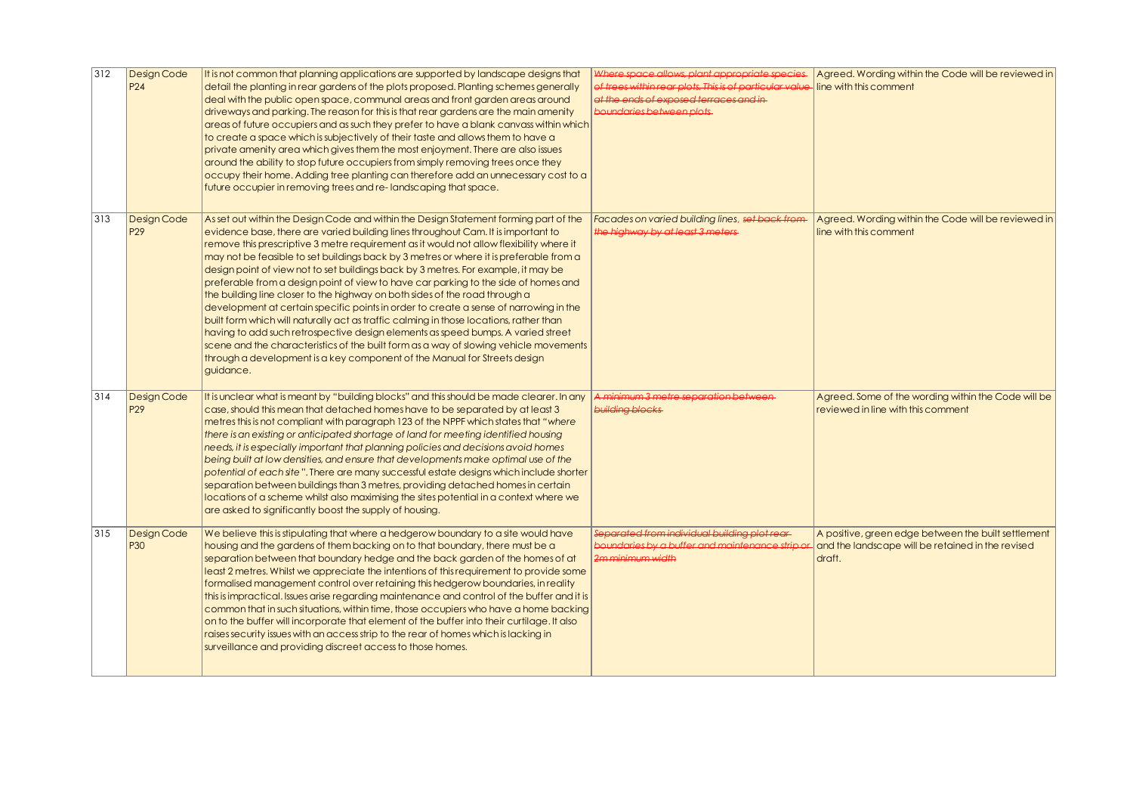| 312 | Design Code<br>P <sub>24</sub> | It is not common that planning applications are supported by landscape designs that<br>detail the planting in rear gardens of the plots proposed. Planting schemes generally<br>deal with the public open space, communal areas and front garden areas around<br>driveways and parking. The reason for this is that rear gardens are the main amenity<br>areas of future occupiers and as such they prefer to have a blank canvass within which<br>to create a space which is subjectively of their taste and allows them to have a<br>private amenity area which gives them the most enjoyment. There are also issues<br>around the ability to stop future occupiers from simply removing trees once they<br>occupy their home. Adding tree planting can therefore add an unnecessary cost to a<br>future occupier in removing trees and re-landscaping that space.           | Where space allows, plant appropriate species<br>of trees within rear plots. This is of particular value line with this comment<br>at the ends of exposed terraces and in-<br>boundaries between plots- | Agreed. Wording within the Code will be reviewed in                                                                |
|-----|--------------------------------|--------------------------------------------------------------------------------------------------------------------------------------------------------------------------------------------------------------------------------------------------------------------------------------------------------------------------------------------------------------------------------------------------------------------------------------------------------------------------------------------------------------------------------------------------------------------------------------------------------------------------------------------------------------------------------------------------------------------------------------------------------------------------------------------------------------------------------------------------------------------------------|---------------------------------------------------------------------------------------------------------------------------------------------------------------------------------------------------------|--------------------------------------------------------------------------------------------------------------------|
| 313 | Design Code<br>P <sub>29</sub> | As set out within the Design Code and within the Design Statement forming part of the<br>evidence base, there are varied building lines throughout Cam. It is important to<br>remove this prescriptive 3 metre requirement as it would not allow flexibility where it<br>may not be feasible to set buildings back by 3 metres or where it is preferable from a                                                                                                                                                                                                                                                                                                                                                                                                                                                                                                                | <b>Facades on varied building lines, set back from</b><br>the highway by at least 3 meters-                                                                                                             | Agreed. Wording within the Code will be reviewed in<br>line with this comment                                      |
|     |                                | design point of view not to set buildings back by 3 metres. For example, it may be<br>preferable from a design point of view to have car parking to the side of homes and<br>the building line closer to the highway on both sides of the road through a<br>development at certain specific points in order to create a sense of narrowing in the<br>built form which will naturally act as traffic calming in those locations, rather than<br>having to add such retrospective design elements as speed bumps. A varied street<br>scene and the characteristics of the built form as a way of slowing vehicle movements<br>through a development is a key component of the Manual for Streets design<br>guidance.                                                                                                                                                             |                                                                                                                                                                                                         |                                                                                                                    |
| 314 | Design Code<br>P <sub>29</sub> | It is unclear what is meant by "building blocks" and this should be made clearer. In any<br>case, should this mean that detached homes have to be separated by at least 3<br>metres this is not compliant with paragraph 123 of the NPPF which states that "where"<br>there is an existing or anticipated shortage of land for meeting identified housing<br>needs, it is especially important that planning policies and decisions avoid homes<br>being built at low densities, and ensure that developments make optimal use of the<br>potential of each site". There are many successful estate designs which include shorter<br>separation between buildings than 3 metres, providing detached homes in certain<br>locations of a scheme whilst also maximising the sites potential in a context where we<br>are asked to significantly boost the supply of housing.       | A minimum 3 metre separation between-<br>building blocks                                                                                                                                                | Agreed. Some of the wording within the Code will be<br>reviewed in line with this comment                          |
| 315 | Design Code<br>P30             | We believe this is stipulating that where a hedgerow boundary to a site would have<br>housing and the gardens of them backing on to that boundary, there must be a<br>separation between that boundary hedge and the back garden of the homes of at<br>least 2 metres. Whilst we appreciate the intentions of this requirement to provide some<br>formalised management control over retaining this hedgerow boundaries, in reality<br>this is impractical. Issues arise regarding maintenance and control of the buffer and it is<br>common that in such situations, within time, those occupiers who have a home backing<br>on to the buffer will incorporate that element of the buffer into their curtilage. It also<br>raises security issues with an access strip to the rear of homes which is lacking in<br>surveillance and providing discreet access to those homes. | Separated from individual building plot rear-<br>boundaries by a buffer and maintenance strip of<br>2 <del>m minimum width</del>                                                                        | A positive, green edge between the built settlement<br>and the landscape will be retained in the revised<br>draft. |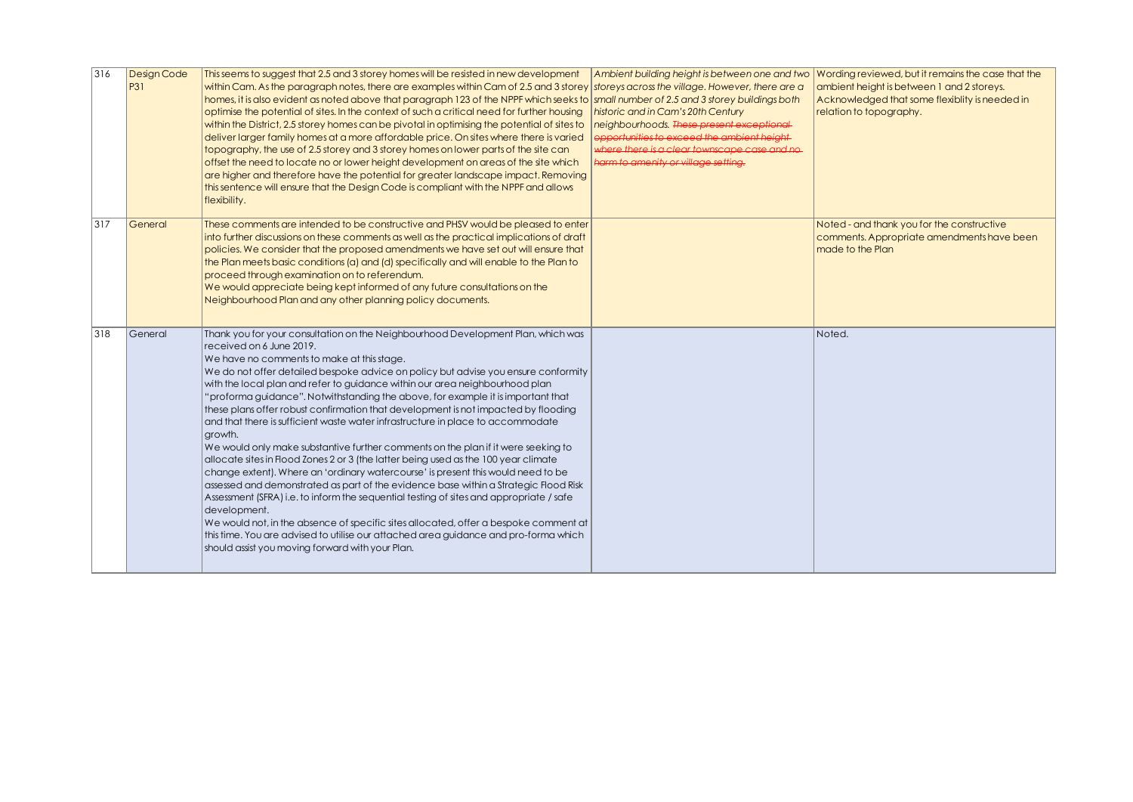| 316 | Design Code<br>P31 | This seems to suggest that 2.5 and 3 storey homes will be resisted in new development<br>within Cam. As the paragraph notes, there are examples within Cam of 2.5 and 3 storey storeys across the village. However, there are a<br>homes, it is also evident as noted above that paragraph 123 of the NPPF which seeks to small number of 2.5 and 3 storey buildings both<br>optimise the potential of sites. In the context of such a critical need for further housing<br>within the District, 2.5 storey homes can be pivotal in optimising the potential of sites to<br>deliver larger family homes at a more affordable price. On sites where there is varied<br>topography, the use of 2.5 storey and 3 storey homes on lower parts of the site can<br>offset the need to locate no or lower height development on areas of the site which<br>are higher and therefore have the potential for greater landscape impact. Removing<br>this sentence will ensure that the Design Code is compliant with the NPPF and allows<br>flexibility.                                                                                                                                                                                                                                                                  | Ambient building height is between one and two<br>historic and in Cam's 20th Century<br>neighbourhoods. These present exceptional<br>opportunities to exceed the ambient height-<br>where there is a clear townscape case and no-<br>harm to amenity or village setting. | Wording reviewed, but it remains the case that the<br>ambient height is between 1 and 2 storeys.<br>Acknowledged that some flexiblity is needed in<br>relation to topography. |
|-----|--------------------|-----------------------------------------------------------------------------------------------------------------------------------------------------------------------------------------------------------------------------------------------------------------------------------------------------------------------------------------------------------------------------------------------------------------------------------------------------------------------------------------------------------------------------------------------------------------------------------------------------------------------------------------------------------------------------------------------------------------------------------------------------------------------------------------------------------------------------------------------------------------------------------------------------------------------------------------------------------------------------------------------------------------------------------------------------------------------------------------------------------------------------------------------------------------------------------------------------------------------------------------------------------------------------------------------------------------|--------------------------------------------------------------------------------------------------------------------------------------------------------------------------------------------------------------------------------------------------------------------------|-------------------------------------------------------------------------------------------------------------------------------------------------------------------------------|
| 317 | General            | These comments are intended to be constructive and PHSV would be pleased to enter<br>into further discussions on these comments as well as the practical implications of draft<br>policies. We consider that the proposed amendments we have set out will ensure that<br>the Plan meets basic conditions (a) and (d) specifically and will enable to the Plan to<br>proceed through examination on to referendum.<br>We would appreciate being kept informed of any future consultations on the<br>Neighbourhood Plan and any other planning policy documents.                                                                                                                                                                                                                                                                                                                                                                                                                                                                                                                                                                                                                                                                                                                                                  |                                                                                                                                                                                                                                                                          | Noted - and thank you for the constructive<br>comments. Appropriate amendments have been<br>made to the Plan                                                                  |
| 318 | General            | Thank you for your consultation on the Neighbourhood Development Plan, which was<br>received on 6 June 2019.<br>We have no comments to make at this stage.<br>We do not offer detailed bespoke advice on policy but advise you ensure conformity<br>with the local plan and refer to guidance within our area neighbourhood plan<br>"proforma guidance". Notwithstanding the above, for example it is important that<br>these plans offer robust confirmation that development is not impacted by flooding<br>and that there is sufficient waste water infrastructure in place to accommodate<br>growth.<br>We would only make substantive further comments on the plan if it were seeking to<br>allocate sites in Flood Zones 2 or 3 (the latter being used as the 100 year climate<br>change extent). Where an 'ordinary watercourse' is present this would need to be<br>assessed and demonstrated as part of the evidence base within a Strategic Flood Risk<br>Assessment (SFRA) i.e. to inform the sequential testing of sites and appropriate / safe<br>development.<br>We would not, in the absence of specific sites allocated, offer a bespoke comment at<br>this time. You are advised to utilise our attached area guidance and pro-forma which<br>should assist you moving forward with your Plan. |                                                                                                                                                                                                                                                                          | Noted.                                                                                                                                                                        |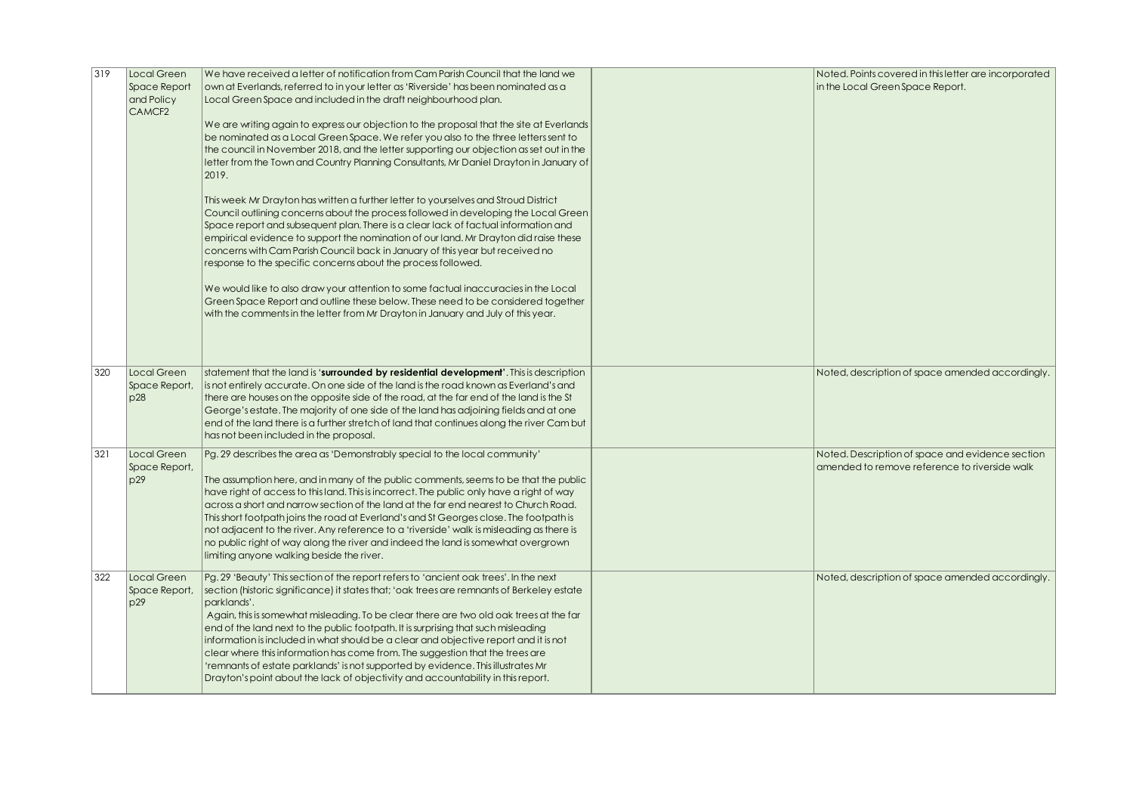| 319 | Local Green<br><b>Space Report</b><br>and Policy<br>CAMCF <sub>2</sub> | We have received a letter of notification from Cam Parish Council that the land we<br>own at Everlands, referred to in your letter as 'Riverside' has been nominated as a<br>Local Green Space and included in the draft neighbourhood plan.<br>We are writing again to express our objection to the proposal that the site at Everlands<br>be nominated as a Local Green Space. We refer you also to the three letters sent to<br>the council in November 2018, and the letter supporting our objection as set out in the<br>letter from the Town and Country Planning Consultants, Mr Daniel Drayton in January of<br>2019.<br>This week Mr Drayton has written a further letter to yourselves and Stroud District<br>Council outlining concerns about the process followed in developing the Local Green<br>Space report and subsequent plan. There is a clear lack of factual information and<br>empirical evidence to support the nomination of our land. Mr Drayton did raise these<br>concerns with Cam Parish Council back in January of this year but received no<br>response to the specific concerns about the process followed.<br>We would like to also draw your attention to some factual inaccuracies in the Local<br>Green Space Report and outline these below. These need to be considered together<br>with the comments in the letter from Mr Drayton in January and July of this year. | Noted. Points covered in this letter are incorporated<br>in the Local Green Space Report.         |
|-----|------------------------------------------------------------------------|-------------------------------------------------------------------------------------------------------------------------------------------------------------------------------------------------------------------------------------------------------------------------------------------------------------------------------------------------------------------------------------------------------------------------------------------------------------------------------------------------------------------------------------------------------------------------------------------------------------------------------------------------------------------------------------------------------------------------------------------------------------------------------------------------------------------------------------------------------------------------------------------------------------------------------------------------------------------------------------------------------------------------------------------------------------------------------------------------------------------------------------------------------------------------------------------------------------------------------------------------------------------------------------------------------------------------------------------------------------------------------------------------------------|---------------------------------------------------------------------------------------------------|
| 320 | Local Green<br>Space Report,<br>p28                                    | statement that the land is 'surrounded by residential development'. This is description<br>is not entirely accurate. On one side of the land is the road known as Everland's and<br>there are houses on the opposite side of the road, at the far end of the land is the St<br>George's estate. The majority of one side of the land has adjoining fields and at one<br>end of the land there is a further stretch of land that continues along the river Cam but<br>has not been included in the proposal.                                                                                                                                                                                                                                                                                                                                                                                                                                                                                                                                                                                                                                                                                                                                                                                                                                                                                                 | Noted, description of space amended accordingly.                                                  |
| 321 | Local Green<br>Space Report,<br>p29                                    | Pg. 29 describes the area as 'Demonstrably special to the local community'<br>The assumption here, and in many of the public comments, seems to be that the public<br>have right of access to this land. This is incorrect. The public only have a right of way<br>across a short and narrow section of the land at the far end nearest to Church Road.<br>This short footpath joins the road at Everland's and St Georges close. The footpath is<br>not adjacent to the river. Any reference to a 'riverside' walk is misleading as there is<br>no public right of way along the river and indeed the land is somewhat overgrown<br>limiting anyone walking beside the river.                                                                                                                                                                                                                                                                                                                                                                                                                                                                                                                                                                                                                                                                                                                              | Noted. Description of space and evidence section<br>amended to remove reference to riverside walk |
| 322 | Local Green<br>Space Report,<br>p29                                    | Pg. 29 'Beauty' This section of the report refers to 'ancient oak trees'. In the next<br>section (historic significance) it states that; 'oak trees are remnants of Berkeley estate<br>parklands'.<br>Again, this is somewhat misleading. To be clear there are two old oak trees at the far<br>end of the land next to the public footpath. It is surprising that such misleading<br>information is included in what should be a clear and objective report and it is not<br>clear where this information has come from. The suggestion that the trees are<br>'remnants of estate parklands' is not supported by evidence. This illustrates Mr<br>Drayton's point about the lack of objectivity and accountability in this report.                                                                                                                                                                                                                                                                                                                                                                                                                                                                                                                                                                                                                                                                         | Noted, description of space amended accordingly.                                                  |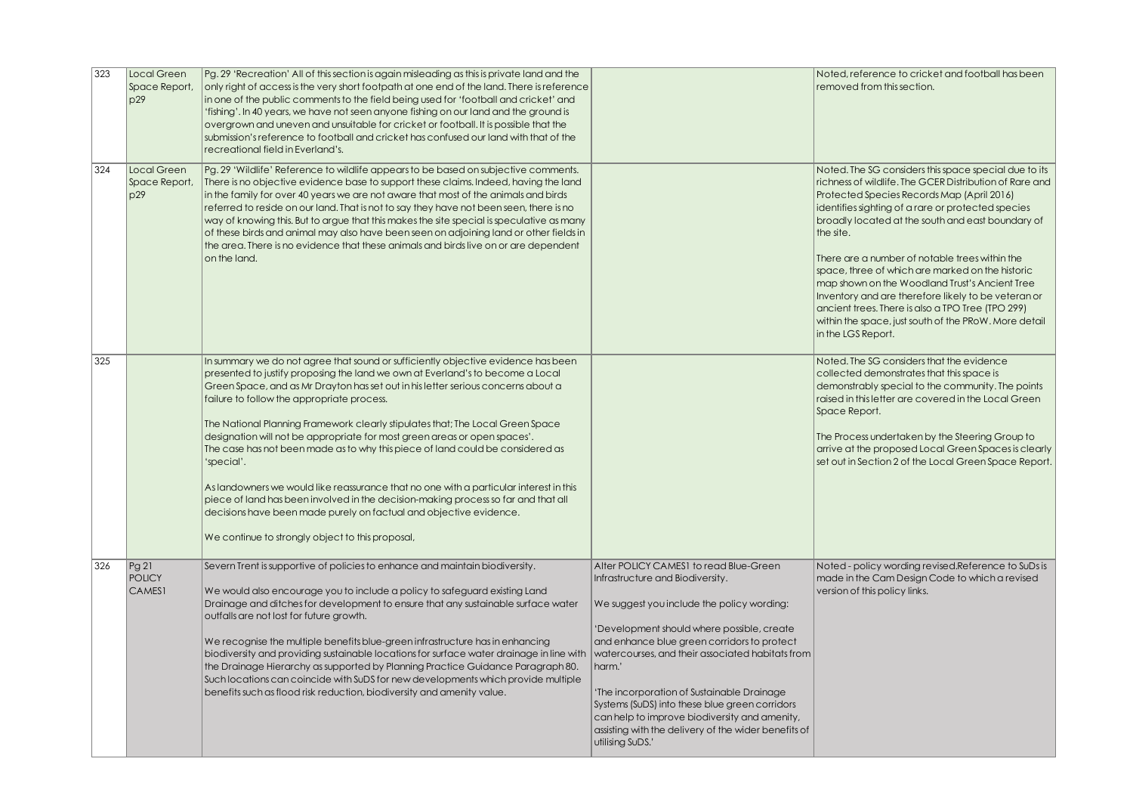| 323 | Local Green<br>Space Report,<br>p29    | Pg. 29 'Recreation' All of this section is again misleading as this is private land and the<br>only right of access is the very short footpath at one end of the land. There is reference<br>in one of the public comments to the field being used for 'football and cricket' and<br>'fishing'. In 40 years, we have not seen anyone fishing on our land and the ground is<br>overgrown and uneven and unsuitable for cricket or football. It is possible that the<br>submission's reference to football and cricket has confused our land with that of the<br>recreational field in Everland's.                                                                                                                                                                                                                                                                               |                                                                                                                                                                                                                                                                                                                                                                                                                                                                                                                 | Noted, reference to cricket and football has been<br>removed from this section.                                                                                                                                                                                                                                                                                                                                                                                                                                                                                                                                                           |
|-----|----------------------------------------|--------------------------------------------------------------------------------------------------------------------------------------------------------------------------------------------------------------------------------------------------------------------------------------------------------------------------------------------------------------------------------------------------------------------------------------------------------------------------------------------------------------------------------------------------------------------------------------------------------------------------------------------------------------------------------------------------------------------------------------------------------------------------------------------------------------------------------------------------------------------------------|-----------------------------------------------------------------------------------------------------------------------------------------------------------------------------------------------------------------------------------------------------------------------------------------------------------------------------------------------------------------------------------------------------------------------------------------------------------------------------------------------------------------|-------------------------------------------------------------------------------------------------------------------------------------------------------------------------------------------------------------------------------------------------------------------------------------------------------------------------------------------------------------------------------------------------------------------------------------------------------------------------------------------------------------------------------------------------------------------------------------------------------------------------------------------|
| 324 | Local Green<br>Space Report,<br>p29    | Pg. 29 'Wildlife' Reference to wildlife appears to be based on subjective comments.<br>There is no objective evidence base to support these claims. Indeed, having the land<br>in the family for over 40 years we are not aware that most of the animals and birds<br>referred to reside on our land. That is not to say they have not been seen, there is no<br>way of knowing this. But to argue that this makes the site special is speculative as many<br>of these birds and animal may also have been seen on adjoining land or other fields in<br>the area. There is no evidence that these animals and birds live on or are dependent<br>on the land.                                                                                                                                                                                                                   |                                                                                                                                                                                                                                                                                                                                                                                                                                                                                                                 | Noted. The SG considers this space special due to its<br>richness of wildlife. The GCER Distribution of Rare and<br>Protected Species Records Map (April 2016)<br>identifies sighting of a rare or protected species<br>broadly located at the south and east boundary of<br>the site.<br>There are a number of notable trees within the<br>space, three of which are marked on the historic<br>map shown on the Woodland Trust's Ancient Tree<br>Inventory and are therefore likely to be veteran or<br>ancient trees. There is also a TPO Tree (TPO 299)<br>within the space, just south of the PRoW. More detail<br>in the LGS Report. |
| 325 |                                        | In summary we do not agree that sound or sufficiently objective evidence has been<br>presented to justify proposing the land we own at Everland's to become a Local<br>Green Space, and as Mr Drayton has set out in his letter serious concerns about a<br>failure to follow the appropriate process.<br>The National Planning Framework clearly stipulates that; The Local Green Space<br>designation will not be appropriate for most green areas or open spaces'.<br>The case has not been made as to why this piece of land could be considered as<br>special'.<br>As landowners we would like reassurance that no one with a particular interest in this<br>piece of land has been involved in the decision-making process so far and that all<br>decisions have been made purely on factual and objective evidence.<br>We continue to strongly object to this proposal, |                                                                                                                                                                                                                                                                                                                                                                                                                                                                                                                 | Noted. The SG considers that the evidence<br>collected demonstrates that this space is<br>demonstrably special to the community. The points<br>raised in this letter are covered in the Local Green<br>Space Report.<br>The Process undertaken by the Steering Group to<br>arrive at the proposed Local Green Spaces is clearly<br>set out in Section 2 of the Local Green Space Report.                                                                                                                                                                                                                                                  |
| 326 | Pg21<br><b>POLICY</b><br><b>CAMES1</b> | Severn Trent is supportive of policies to enhance and maintain biodiversity.<br>We would also encourage you to include a policy to safeguard existing Land<br>Drainage and ditches for development to ensure that any sustainable surface water<br>outfalls are not lost for future growth.<br>We recognise the multiple benefits blue-green infrastructure has in enhancing<br>biodiversity and providing sustainable locations for surface water drainage in line with<br>the Drainage Hierarchy as supported by Planning Practice Guidance Paragraph 80.<br>Such locations can coincide with SuDS for new developments which provide multiple<br>benefits such as flood risk reduction, biodiversity and amenity value.                                                                                                                                                     | Alter POLICY CAMES1 to read Blue-Green<br>Infrastructure and Biodiversity.<br>We suggest you include the policy wording:<br>Development should where possible, create<br>and enhance blue green corridors to protect<br>watercourses, and their associated habitats from<br>harm.'<br>'The incorporation of Sustainable Drainage<br>Systems (SuDS) into these blue green corridors<br>can help to improve biodiversity and amenity,<br>assisting with the delivery of the wider benefits of<br>utilising SuDS.' | Noted - policy wording revised. Reference to SuDs is<br>made in the Cam Design Code to which a revised<br>version of this policy links.                                                                                                                                                                                                                                                                                                                                                                                                                                                                                                   |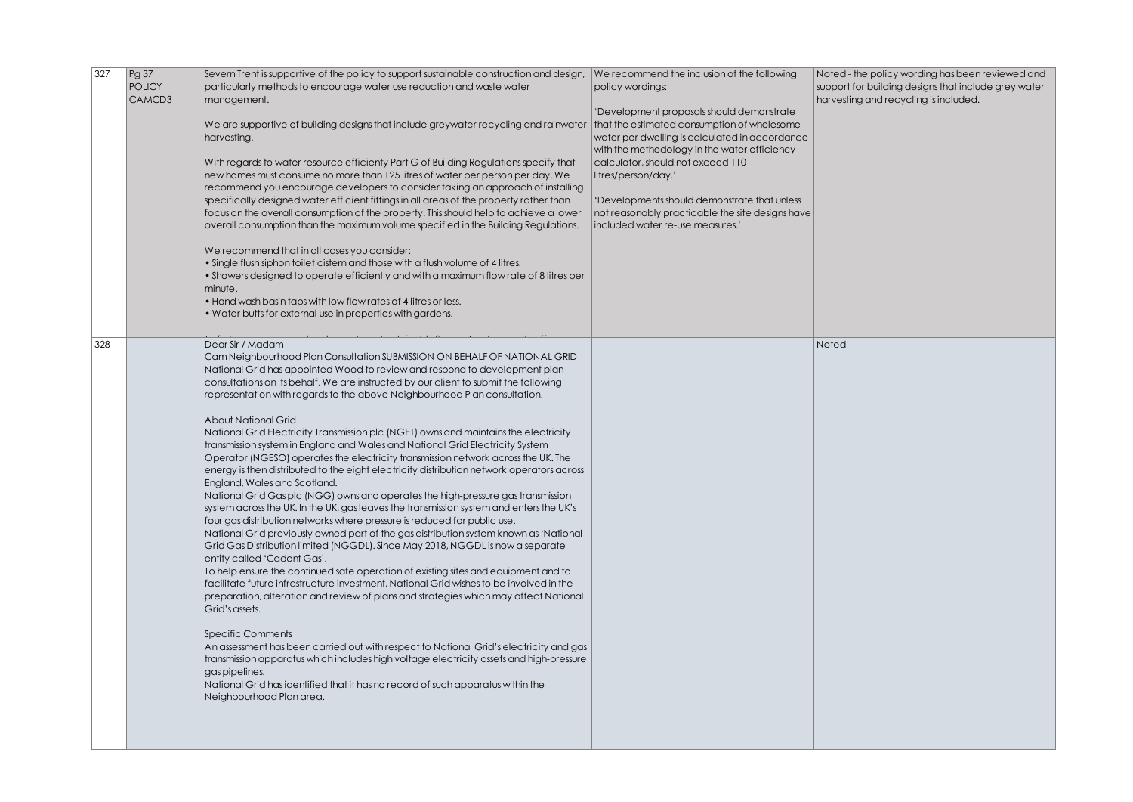| 327 | Pg37<br><b>POLICY</b><br>CAMCD3 | Severn Trent is supportive of the policy to support sustainable construction and design, We recommend the inclusion of the following<br>particularly methods to encourage water use reduction and waste water<br>management.<br>We are supportive of building designs that include greywater recycling and rainwater<br>harvesting.<br>With regards to water resource efficienty Part G of Building Regulations specify that<br>new homes must consume no more than 125 litres of water per person per day. We<br>recommend you encourage developers to consider taking an approach of installing<br>specifically designed water efficient fittings in all areas of the property rather than<br>focus on the overall consumption of the property. This should help to achieve a lower<br>overall consumption than the maximum volume specified in the Building Regulations.<br>We recommend that in all cases you consider:<br>• Single flush siphon toilet cistern and those with a flush volume of 4 litres.<br>• Showers designed to operate efficiently and with a maximum flow rate of 8 litres per<br>minute.<br>• Hand wash basin taps with low flow rates of 4 litres or less.<br>• Water butts for external use in properties with gardens.                                                                                                                                                                                                                                                                                                                                                                                                                                                                                                                                                                                                                                 | policy wordings:<br>'Development proposals should demonstrate<br>that the estimated consumption of wholesome<br>water per dwelling is calculated in accordance<br>with the methodology in the water efficiency<br>calculator, should not exceed 110<br>litres/person/day.'<br>'Developments should demonstrate that unless<br>not reasonably practicable the site designs have<br>included water re-use measures.' | Noted - the policy wording has been reviewed and<br>support for building designs that include grey water<br>harvesting and recycling is included. |
|-----|---------------------------------|--------------------------------------------------------------------------------------------------------------------------------------------------------------------------------------------------------------------------------------------------------------------------------------------------------------------------------------------------------------------------------------------------------------------------------------------------------------------------------------------------------------------------------------------------------------------------------------------------------------------------------------------------------------------------------------------------------------------------------------------------------------------------------------------------------------------------------------------------------------------------------------------------------------------------------------------------------------------------------------------------------------------------------------------------------------------------------------------------------------------------------------------------------------------------------------------------------------------------------------------------------------------------------------------------------------------------------------------------------------------------------------------------------------------------------------------------------------------------------------------------------------------------------------------------------------------------------------------------------------------------------------------------------------------------------------------------------------------------------------------------------------------------------------------------------------------------------------------------------------------------------------|--------------------------------------------------------------------------------------------------------------------------------------------------------------------------------------------------------------------------------------------------------------------------------------------------------------------------------------------------------------------------------------------------------------------|---------------------------------------------------------------------------------------------------------------------------------------------------|
| 328 |                                 | Dear Sir / Madam<br>Cam Neighbourhood Plan Consultation SUBMISSION ON BEHALF OF NATIONAL GRID<br>National Grid has appointed Wood to review and respond to development plan<br>consultations on its behalf. We are instructed by our client to submit the following<br>representation with regards to the above Neighbourhood Plan consultation.<br>About National Grid<br>National Grid Electricity Transmission plc (NGET) owns and maintains the electricity<br>transmission system in England and Wales and National Grid Electricity System<br>Operator (NGESO) operates the electricity transmission network across the UK. The<br>energy is then distributed to the eight electricity distribution network operators across<br>England, Wales and Scotland.<br>National Grid Gas plc (NGG) owns and operates the high-pressure gas transmission<br>system across the UK. In the UK, gas leaves the transmission system and enters the UK's<br>four gas distribution networks where pressure is reduced for public use.<br>National Grid previously owned part of the gas distribution system known as 'National<br>Grid Gas Distribution limited (NGGDL). Since May 2018, NGGDL is now a separate<br>entity called 'Cadent Gas'.<br>To help ensure the continued safe operation of existing sites and equipment and to<br>facilitate future infrastructure investment, National Grid wishes to be involved in the<br>preparation, alteration and review of plans and strategies which may affect National<br>Grid's assets.<br><b>Specific Comments</b><br>An assessment has been carried out with respect to National Grid's electricity and gas<br>transmission apparatus which includes high voltage electricity assets and high-pressure<br>gas pipelines.<br>National Grid has identified that it has no record of such apparatus within the<br>Neighbourhood Plan area. |                                                                                                                                                                                                                                                                                                                                                                                                                    | Noted                                                                                                                                             |